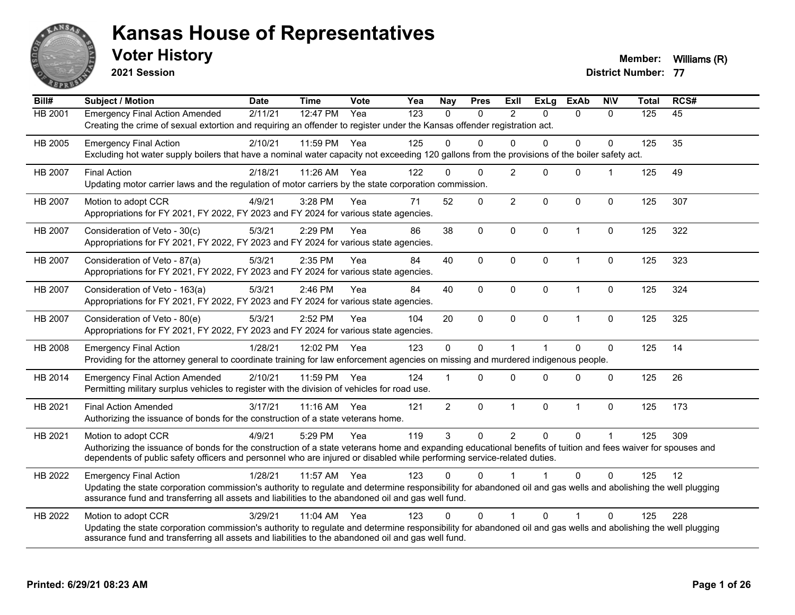

**2021 Session**

**Voter History Member:** Williams (R)

| Bill#   | Subject / Motion                                                                                                                                                                                                                                                                                                | <b>Date</b> | <b>Time</b> | Vote | Yea | <b>Nay</b>     | <b>Pres</b>  | <b>Exll</b>    | <b>ExLg</b>  | <b>ExAb</b>             | <b>NIV</b>   | <b>Total</b> | RCS# |
|---------|-----------------------------------------------------------------------------------------------------------------------------------------------------------------------------------------------------------------------------------------------------------------------------------------------------------------|-------------|-------------|------|-----|----------------|--------------|----------------|--------------|-------------------------|--------------|--------------|------|
| HB 2001 | <b>Emergency Final Action Amended</b><br>Creating the crime of sexual extortion and requiring an offender to register under the Kansas offender registration act.                                                                                                                                               | 2/11/21     | 12:47 PM    | Yea  | 123 | $\Omega$       | $\mathbf{0}$ | $\overline{2}$ | $\Omega$     | $\Omega$                | $\mathbf{0}$ | 125          | 45   |
| HB 2005 | <b>Emergency Final Action</b><br>Excluding hot water supply boilers that have a nominal water capacity not exceeding 120 gallons from the provisions of the boiler safety act.                                                                                                                                  | 2/10/21     | 11:59 PM    | Yea  | 125 | $\Omega$       | $\Omega$     | $\Omega$       | $\Omega$     | $\mathbf{0}$            | $\mathbf{0}$ | 125          | 35   |
| HB 2007 | <b>Final Action</b><br>Updating motor carrier laws and the regulation of motor carriers by the state corporation commission.                                                                                                                                                                                    | 2/18/21     | 11:26 AM    | Yea  | 122 | $\Omega$       | $\Omega$     | $\overline{2}$ | $\Omega$     | $\Omega$                | 1            | 125          | 49   |
| HB 2007 | Motion to adopt CCR<br>Appropriations for FY 2021, FY 2022, FY 2023 and FY 2024 for various state agencies.                                                                                                                                                                                                     | 4/9/21      | 3:28 PM     | Yea  | 71  | 52             | 0            | $\overline{2}$ | $\Omega$     | $\mathbf 0$             | $\mathbf 0$  | 125          | 307  |
| HB 2007 | Consideration of Veto - 30(c)<br>Appropriations for FY 2021, FY 2022, FY 2023 and FY 2024 for various state agencies.                                                                                                                                                                                           | 5/3/21      | 2:29 PM     | Yea  | 86  | 38             | $\mathbf 0$  | $\Omega$       | 0            | $\overline{1}$          | $\mathbf 0$  | 125          | 322  |
| HB 2007 | Consideration of Veto - 87(a)<br>Appropriations for FY 2021, FY 2022, FY 2023 and FY 2024 for various state agencies.                                                                                                                                                                                           | 5/3/21      | 2:35 PM     | Yea  | 84  | 40             | $\mathbf 0$  | $\Omega$       | $\Omega$     | $\overline{1}$          | 0            | 125          | 323  |
| HB 2007 | Consideration of Veto - 163(a)<br>Appropriations for FY 2021, FY 2022, FY 2023 and FY 2024 for various state agencies.                                                                                                                                                                                          | 5/3/21      | 2:46 PM     | Yea  | 84  | 40             | 0            | $\mathbf 0$    | 0            | $\mathbf{1}$            | 0            | 125          | 324  |
| HB 2007 | Consideration of Veto - 80(e)<br>Appropriations for FY 2021, FY 2022, FY 2023 and FY 2024 for various state agencies.                                                                                                                                                                                           | 5/3/21      | 2:52 PM     | Yea  | 104 | 20             | $\Omega$     | $\Omega$       | $\Omega$     | $\overline{1}$          | $\mathbf 0$  | 125          | 325  |
| HB 2008 | <b>Emergency Final Action</b><br>Providing for the attorney general to coordinate training for law enforcement agencies on missing and murdered indigenous people.                                                                                                                                              | 1/28/21     | 12:02 PM    | Yea  | 123 | $\mathbf 0$    | $\mathbf 0$  | 1              |              | $\Omega$                | $\mathbf 0$  | 125          | 14   |
| HB 2014 | <b>Emergency Final Action Amended</b><br>Permitting military surplus vehicles to register with the division of vehicles for road use.                                                                                                                                                                           | 2/10/21     | 11:59 PM    | Yea  | 124 |                | $\Omega$     | 0              | $\Omega$     | $\mathbf{0}$            | $\mathbf 0$  | 125          | 26   |
| HB 2021 | <b>Final Action Amended</b><br>Authorizing the issuance of bonds for the construction of a state veterans home.                                                                                                                                                                                                 | 3/17/21     | $11:16$ AM  | Yea  | 121 | $\overline{2}$ | 0            | $\mathbf{1}$   | 0            | $\overline{1}$          | $\mathbf 0$  | 125          | 173  |
| HB 2021 | Motion to adopt CCR<br>Authorizing the issuance of bonds for the construction of a state veterans home and expanding educational benefits of tuition and fees waiver for spouses and<br>dependents of public safety officers and personnel who are injured or disabled while performing service-related duties. | 4/9/21      | 5:29 PM     | Yea  | 119 | 3              | $\Omega$     | $\overline{2}$ | $\mathbf{0}$ | $\Omega$                | $\mathbf{1}$ | 125          | 309  |
| HB 2022 | <b>Emergency Final Action</b><br>Updating the state corporation commission's authority to regulate and determine responsibility for abandoned oil and gas wells and abolishing the well plugging<br>assurance fund and transferring all assets and liabilities to the abandoned oil and gas well fund.          | 1/28/21     | 11:57 AM    | Yea  | 123 | $\Omega$       | 0            |                |              | $\Omega$                | $\mathbf{0}$ | 125          | 12   |
| HB 2022 | Motion to adopt CCR<br>Updating the state corporation commission's authority to regulate and determine responsibility for abandoned oil and gas wells and abolishing the well plugging<br>assurance fund and transferring all assets and liabilities to the abandoned oil and gas well fund.                    | 3/29/21     | $11:04$ AM  | Yea  | 123 | $\Omega$       | $\Omega$     | $\overline{1}$ | $\Omega$     | $\overline{\mathbf{1}}$ | $\Omega$     | 125          | 228  |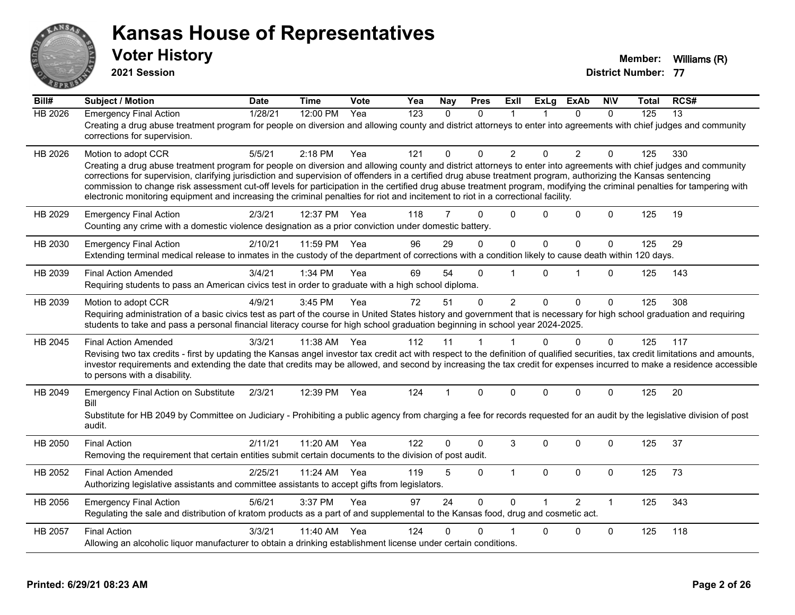

**2021 Session**

| Bill#          | <b>Subject / Motion</b>                                                                                                                                                                                                                                                                                                                                                                                                                                                                                                                                                                                                                                                         | <b>Date</b> | <b>Time</b> | Vote | Yea              | Nay      | <b>Pres</b>  | ExII           | <b>ExLg</b> | <b>ExAb</b>    | <b>NIV</b>   | Total | RCS# |
|----------------|---------------------------------------------------------------------------------------------------------------------------------------------------------------------------------------------------------------------------------------------------------------------------------------------------------------------------------------------------------------------------------------------------------------------------------------------------------------------------------------------------------------------------------------------------------------------------------------------------------------------------------------------------------------------------------|-------------|-------------|------|------------------|----------|--------------|----------------|-------------|----------------|--------------|-------|------|
| <b>HB 2026</b> | <b>Emergency Final Action</b><br>Creating a drug abuse treatment program for people on diversion and allowing county and district attorneys to enter into agreements with chief judges and community<br>corrections for supervision.                                                                                                                                                                                                                                                                                                                                                                                                                                            | 1/28/21     | 12:00 PM    | Yea  | $\overline{123}$ | $\Omega$ | $\Omega$     | $\mathbf 1$    |             | $\Omega$       | $\mathbf{0}$ | 125   | 13   |
| HB 2026        | Motion to adopt CCR<br>Creating a drug abuse treatment program for people on diversion and allowing county and district attorneys to enter into agreements with chief judges and community<br>corrections for supervision, clarifying jurisdiction and supervision of offenders in a certified drug abuse treatment program, authorizing the Kansas sentencing<br>commission to change risk assessment cut-off levels for participation in the certified drug abuse treatment program, modifying the criminal penalties for tampering with<br>electronic monitoring equipment and increasing the criminal penalties for riot and incitement to riot in a correctional facility. | 5/5/21      | 2:18 PM     | Yea  | 121              | 0        | $\Omega$     | $\overline{2}$ | $\Omega$    | $\overline{2}$ | $\Omega$     | 125   | 330  |
| HB 2029        | <b>Emergency Final Action</b><br>Counting any crime with a domestic violence designation as a prior conviction under domestic battery.                                                                                                                                                                                                                                                                                                                                                                                                                                                                                                                                          | 2/3/21      | 12:37 PM    | Yea  | 118              | 7        | $\Omega$     | $\Omega$       | $\Omega$    | $\Omega$       | $\Omega$     | 125   | 19   |
| HB 2030        | <b>Emergency Final Action</b><br>Extending terminal medical release to inmates in the custody of the department of corrections with a condition likely to cause death within 120 days.                                                                                                                                                                                                                                                                                                                                                                                                                                                                                          | 2/10/21     | 11:59 PM    | Yea  | 96               | 29       | 0            | $\pmb{0}$      | $\mathbf 0$ | $\mathbf 0$    | $\mathbf 0$  | 125   | 29   |
| HB 2039        | <b>Final Action Amended</b><br>Requiring students to pass an American civics test in order to graduate with a high school diploma.                                                                                                                                                                                                                                                                                                                                                                                                                                                                                                                                              | 3/4/21      | 1:34 PM     | Yea  | 69               | 54       | $\Omega$     | 1              | 0           | 1              | $\Omega$     | 125   | 143  |
| HB 2039        | Motion to adopt CCR<br>Requiring administration of a basic civics test as part of the course in United States history and government that is necessary for high school graduation and requiring<br>students to take and pass a personal financial literacy course for high school graduation beginning in school year 2024-2025.                                                                                                                                                                                                                                                                                                                                                | 4/9/21      | 3:45 PM     | Yea  | 72               | 51       | $\mathbf 0$  | $\overline{2}$ | $\Omega$    | $\Omega$       | $\mathbf 0$  | 125   | 308  |
| HB 2045        | <b>Final Action Amended</b><br>Revising two tax credits - first by updating the Kansas angel investor tax credit act with respect to the definition of qualified securities, tax credit limitations and amounts,<br>investor requirements and extending the date that credits may be allowed, and second by increasing the tax credit for expenses incurred to make a residence accessible<br>to persons with a disability.                                                                                                                                                                                                                                                     | 3/3/21      | 11:38 AM    | Yea  | 112              | 11       | 1            | 1              | $\Omega$    | $\Omega$       | $\mathbf 0$  | 125   | 117  |
| HB 2049        | <b>Emergency Final Action on Substitute</b><br>Bill<br>Substitute for HB 2049 by Committee on Judiciary - Prohibiting a public agency from charging a fee for records requested for an audit by the legislative division of post<br>audit.                                                                                                                                                                                                                                                                                                                                                                                                                                      | 2/3/21      | 12:39 PM    | Yea  | 124              | 1        | $\Omega$     | $\Omega$       | $\Omega$    | $\Omega$       | $\Omega$     | 125   | 20   |
| HB 2050        | <b>Final Action</b><br>Removing the requirement that certain entities submit certain documents to the division of post audit.                                                                                                                                                                                                                                                                                                                                                                                                                                                                                                                                                   | 2/11/21     | 11:20 AM    | Yea  | 122              | 0        | $\mathbf{0}$ | 3              | $\Omega$    | $\Omega$       | $\Omega$     | 125   | 37   |
| HB 2052        | <b>Final Action Amended</b><br>Authorizing legislative assistants and committee assistants to accept gifts from legislators.                                                                                                                                                                                                                                                                                                                                                                                                                                                                                                                                                    | 2/25/21     | 11:24 AM    | Yea  | 119              | 5        | 0            | $\mathbf{1}$   | $\mathbf 0$ | 0              | $\mathbf 0$  | 125   | 73   |
| HB 2056        | <b>Emergency Final Action</b><br>Regulating the sale and distribution of kratom products as a part of and supplemental to the Kansas food, drug and cosmetic act.                                                                                                                                                                                                                                                                                                                                                                                                                                                                                                               | 5/6/21      | 3:37 PM     | Yea  | 97               | 24       | $\Omega$     | $\mathbf{0}$   |             | 2              | $\mathbf{1}$ | 125   | 343  |
| HB 2057        | <b>Final Action</b><br>Allowing an alcoholic liquor manufacturer to obtain a drinking establishment license under certain conditions.                                                                                                                                                                                                                                                                                                                                                                                                                                                                                                                                           | 3/3/21      | 11:40 AM    | Yea  | 124              | 0        | $\Omega$     |                | $\Omega$    | 0              | $\mathbf 0$  | 125   | 118  |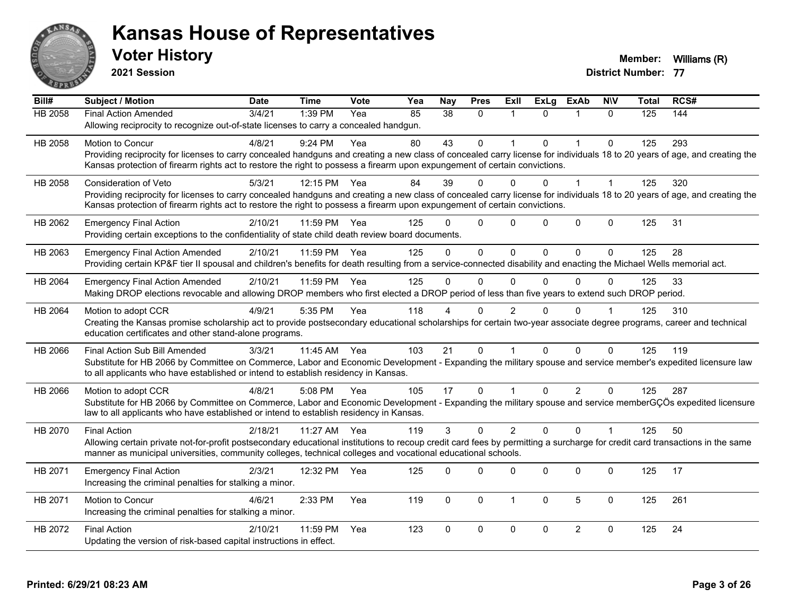

**2021 Session**

| Bill#          | Subject / Motion                                                                                                                                                             | <b>Date</b> | <b>Time</b>  | <b>Vote</b> | Yea | <b>Nay</b>     | <b>Pres</b>  | ExII           | <b>ExLg</b>  | <b>ExAb</b>    | <b>NIV</b>   | <b>Total</b> | RCS# |
|----------------|------------------------------------------------------------------------------------------------------------------------------------------------------------------------------|-------------|--------------|-------------|-----|----------------|--------------|----------------|--------------|----------------|--------------|--------------|------|
| <b>HB 2058</b> | Final Action Amended                                                                                                                                                         | 3/4/21      | 1:39 PM      | Yea         | 85  | 38             | 0            | $\mathbf 1$    | $\Omega$     | $\mathbf{1}$   | $\mathbf{0}$ | 125          | 144  |
|                | Allowing reciprocity to recognize out-of-state licenses to carry a concealed handgun.                                                                                        |             |              |             |     |                |              |                |              |                |              |              |      |
| HB 2058        | <b>Motion to Concur</b>                                                                                                                                                      | 4/8/21      | 9:24 PM      | Yea         | 80  | 43             | $\Omega$     |                | $\Omega$     | 1              | $\Omega$     | 125          | 293  |
|                | Providing reciprocity for licenses to carry concealed handguns and creating a new class of concealed carry license for individuals 18 to 20 years of age, and creating the   |             |              |             |     |                |              |                |              |                |              |              |      |
|                | Kansas protection of firearm rights act to restore the right to possess a firearm upon expungement of certain convictions.                                                   |             |              |             |     |                |              |                |              |                |              |              |      |
| HB 2058        | <b>Consideration of Veto</b>                                                                                                                                                 | 5/3/21      | 12:15 PM     | Yea         | 84  | 39             | $\Omega$     | $\Omega$       | 0            | 1              | 1            | 125          | 320  |
|                | Providing reciprocity for licenses to carry concealed handguns and creating a new class of concealed carry license for individuals 18 to 20 years of age, and creating the   |             |              |             |     |                |              |                |              |                |              |              |      |
|                | Kansas protection of firearm rights act to restore the right to possess a firearm upon expungement of certain convictions.                                                   |             |              |             |     |                |              |                |              |                |              |              |      |
| HB 2062        | <b>Emergency Final Action</b>                                                                                                                                                | 2/10/21     | 11:59 PM     | Yea         | 125 |                | $\mathbf 0$  | $\Omega$       | $\Omega$     | $\mathbf 0$    | $\mathbf 0$  | 125          | 31   |
|                | Providing certain exceptions to the confidentiality of state child death review board documents.                                                                             |             |              |             |     |                |              |                |              |                |              |              |      |
| HB 2063        | <b>Emergency Final Action Amended</b>                                                                                                                                        | 2/10/21     | 11:59 PM Yea |             | 125 | $\Omega$       | $\Omega$     | $\Omega$       | $\mathbf{0}$ | $\Omega$       | $\Omega$     | 125          | 28   |
|                | Providing certain KP&F tier II spousal and children's benefits for death resulting from a service-connected disability and enacting the Michael Wells memorial act.          |             |              |             |     |                |              |                |              |                |              |              |      |
| HB 2064        | <b>Emergency Final Action Amended</b>                                                                                                                                        | 2/10/21     | 11:59 PM     | Yea         | 125 | $\overline{0}$ | $\mathbf 0$  | 0              | $\Omega$     | $\Omega$       | 0            | 125          | 33   |
|                | Making DROP elections revocable and allowing DROP members who first elected a DROP period of less than five years to extend such DROP period.                                |             |              |             |     |                |              |                |              |                |              |              |      |
| HB 2064        | Motion to adopt CCR                                                                                                                                                          | 4/9/21      | 5:35 PM      | Yea         | 118 |                | $\Omega$     | $\overline{2}$ | U            | $\Omega$       |              | 125          | 310  |
|                | Creating the Kansas promise scholarship act to provide postsecondary educational scholarships for certain two-year associate degree programs, career and technical           |             |              |             |     |                |              |                |              |                |              |              |      |
|                | education certificates and other stand-alone programs.                                                                                                                       |             |              |             |     |                |              |                |              |                |              |              |      |
| HB 2066        | Final Action Sub Bill Amended                                                                                                                                                | 3/3/21      | 11:45 AM Yea |             | 103 | 21             | $\Omega$     |                | $\Omega$     | $\Omega$       | $\Omega$     | 125          | 119  |
|                | Substitute for HB 2066 by Committee on Commerce, Labor and Economic Development - Expanding the military spouse and service member's expedited licensure law                 |             |              |             |     |                |              |                |              |                |              |              |      |
|                | to all applicants who have established or intend to establish residency in Kansas.                                                                                           |             |              |             |     |                |              |                |              |                |              |              |      |
| HB 2066        | Motion to adopt CCR                                                                                                                                                          | 4/8/21      | 5:08 PM      | Yea         | 105 | 17             | $\Omega$     |                | $\Omega$     | $\overline{2}$ | 0            | 125          | 287  |
|                | Substitute for HB 2066 by Committee on Commerce, Labor and Economic Development - Expanding the military spouse and service memberGÇÖs expedited licensure                   |             |              |             |     |                |              |                |              |                |              |              |      |
|                | law to all applicants who have established or intend to establish residency in Kansas.                                                                                       |             |              |             |     |                |              |                |              |                |              |              |      |
| HB 2070        | <b>Final Action</b>                                                                                                                                                          | 2/18/21     | 11:27 AM Yea |             | 119 | 3              | $\mathbf{0}$ | 2              | $\Omega$     | $\Omega$       | $\mathbf 1$  | 125          | 50   |
|                | Allowing certain private not-for-profit postsecondary educational institutions to recoup credit card fees by permitting a surcharge for credit card transactions in the same |             |              |             |     |                |              |                |              |                |              |              |      |
|                | manner as municipal universities, community colleges, technical colleges and vocational educational schools.                                                                 |             |              |             |     |                |              |                |              |                |              |              |      |
| HB 2071        | <b>Emergency Final Action</b>                                                                                                                                                | 2/3/21      | 12:32 PM     | Yea         | 125 | $\Omega$       | $\Omega$     | $\mathbf 0$    | $\Omega$     | 0              | 0            | 125          | 17   |
|                | Increasing the criminal penalties for stalking a minor.                                                                                                                      |             |              |             |     |                |              |                |              |                |              |              |      |
| HB 2071        | Motion to Concur                                                                                                                                                             | 4/6/21      | 2:33 PM      | Yea         | 119 | $\mathbf 0$    | 0            | $\mathbf{1}$   | $\mathbf{0}$ | 5              | $\mathbf 0$  | 125          | 261  |
|                | Increasing the criminal penalties for stalking a minor.                                                                                                                      |             |              |             |     |                |              |                |              |                |              |              |      |
|                |                                                                                                                                                                              |             |              |             |     |                |              |                |              |                |              |              |      |
| HB 2072        | <b>Final Action</b><br>Updating the version of risk-based capital instructions in effect.                                                                                    | 2/10/21     | 11:59 PM     | Yea         | 123 | $\Omega$       | $\Omega$     | $\Omega$       | $\Omega$     | $\overline{2}$ | $\mathbf{0}$ | 125          | 24   |
|                |                                                                                                                                                                              |             |              |             |     |                |              |                |              |                |              |              |      |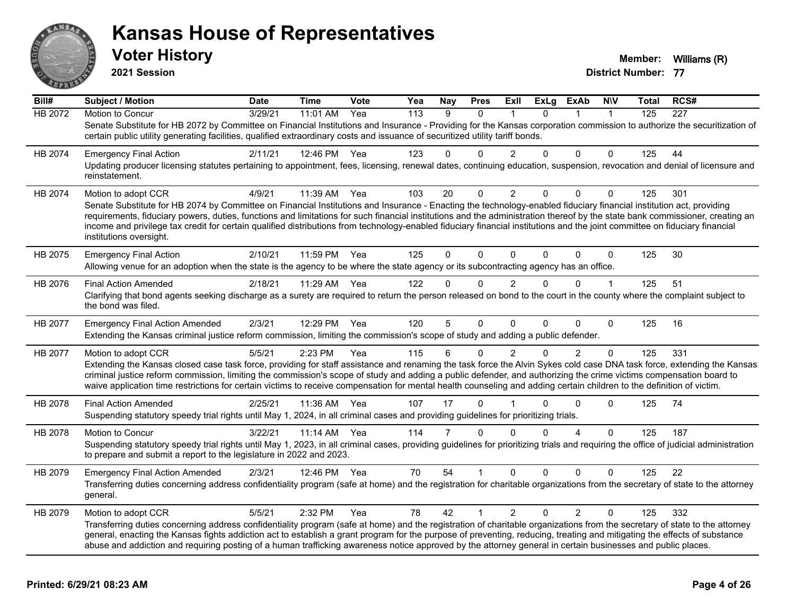

**2021 Session**

| Bill#   | <b>Subject / Motion</b>                                                                                                                                                                                                                                                                                                                                     | <b>Date</b> | <b>Time</b> | Vote | Yea              | <b>Nay</b> | <b>Pres</b>  | ExII           | <b>ExLg</b> | ExAb           | <b>NIV</b>   | Total | RCS# |
|---------|-------------------------------------------------------------------------------------------------------------------------------------------------------------------------------------------------------------------------------------------------------------------------------------------------------------------------------------------------------------|-------------|-------------|------|------------------|------------|--------------|----------------|-------------|----------------|--------------|-------|------|
| HB 2072 | Motion to Concur                                                                                                                                                                                                                                                                                                                                            | 3/29/21     | 11:01 AM    | Yea  | $\overline{113}$ | 9          | $\Omega$     |                | $\Omega$    |                | $\mathbf{1}$ | 125   | 227  |
|         | Senate Substitute for HB 2072 by Committee on Financial Institutions and Insurance - Providing for the Kansas corporation commission to authorize the securitization of<br>certain public utility generating facilities, qualified extraordinary costs and issuance of securitized utility tariff bonds.                                                    |             |             |      |                  |            |              |                |             |                |              |       |      |
| HB 2074 | <b>Emergency Final Action</b>                                                                                                                                                                                                                                                                                                                               | 2/11/21     | 12:46 PM    | Yea  | 123              | 0          | $\Omega$     | $\overline{2}$ | 0           | $\Omega$       | 0            | 125   | 44   |
|         | Updating producer licensing statutes pertaining to appointment, fees, licensing, renewal dates, continuing education, suspension, revocation and denial of licensure and<br>reinstatement.                                                                                                                                                                  |             |             |      |                  |            |              |                |             |                |              |       |      |
| HB 2074 | Motion to adopt CCR                                                                                                                                                                                                                                                                                                                                         | 4/9/21      | 11:39 AM    | Yea  | 103              | 20         | 0            | 2              | $\Omega$    | 0              | 0            | 125   | 301  |
|         | Senate Substitute for HB 2074 by Committee on Financial Institutions and Insurance - Enacting the technology-enabled fiduciary financial institution act, providing                                                                                                                                                                                         |             |             |      |                  |            |              |                |             |                |              |       |      |
|         | requirements, fiduciary powers, duties, functions and limitations for such financial institutions and the administration thereof by the state bank commissioner, creating an<br>income and privilege tax credit for certain qualified distributions from technology-enabled fiduciary financial institutions and the joint committee on fiduciary financial |             |             |      |                  |            |              |                |             |                |              |       |      |
|         | institutions oversight.                                                                                                                                                                                                                                                                                                                                     |             |             |      |                  |            |              |                |             |                |              |       |      |
| HB 2075 | <b>Emergency Final Action</b>                                                                                                                                                                                                                                                                                                                               | 2/10/21     | 11:59 PM    | Yea  | 125              | $\Omega$   | $\Omega$     | $\Omega$       | $\Omega$    | $\Omega$       | $\mathbf 0$  | 125   | 30   |
|         | Allowing venue for an adoption when the state is the agency to be where the state agency or its subcontracting agency has an office.                                                                                                                                                                                                                        |             |             |      |                  |            |              |                |             |                |              |       |      |
| HB 2076 | <b>Final Action Amended</b>                                                                                                                                                                                                                                                                                                                                 | 2/18/21     | 11:29 AM    | Yea  | 122              | 0          | $\Omega$     | $\overline{2}$ | 0           | $\Omega$       | $\mathbf 1$  | 125   | 51   |
|         | Clarifying that bond agents seeking discharge as a surety are required to return the person released on bond to the court in the county where the complaint subject to                                                                                                                                                                                      |             |             |      |                  |            |              |                |             |                |              |       |      |
|         | the bond was filed.                                                                                                                                                                                                                                                                                                                                         |             |             |      |                  |            |              |                |             |                |              |       |      |
| HB 2077 | <b>Emergency Final Action Amended</b>                                                                                                                                                                                                                                                                                                                       | 2/3/21      | 12:29 PM    | Yea  | 120              | 5          | $\Omega$     | $\Omega$       | $\Omega$    | $\Omega$       | 0            | 125   | 16   |
|         | Extending the Kansas criminal justice reform commission, limiting the commission's scope of study and adding a public defender.                                                                                                                                                                                                                             |             |             |      |                  |            |              |                |             |                |              |       |      |
| HB 2077 | Motion to adopt CCR                                                                                                                                                                                                                                                                                                                                         | 5/5/21      | 2:23 PM     | Yea  | 115              | 6          | 0            | 2              | $\Omega$    | $\overline{2}$ | 0            | 125   | 331  |
|         | Extending the Kansas closed case task force, providing for staff assistance and renaming the task force the Alvin Sykes cold case DNA task force, extending the Kansas                                                                                                                                                                                      |             |             |      |                  |            |              |                |             |                |              |       |      |
|         | criminal justice reform commission, limiting the commission's scope of study and adding a public defender, and authorizing the crime victims compensation board to<br>waive application time restrictions for certain victims to receive compensation for mental health counseling and adding certain children to the definition of victim.                 |             |             |      |                  |            |              |                |             |                |              |       |      |
|         |                                                                                                                                                                                                                                                                                                                                                             |             |             |      |                  |            |              |                |             |                |              |       |      |
| HB 2078 | <b>Final Action Amended</b>                                                                                                                                                                                                                                                                                                                                 | 2/25/21     | 11:36 AM    | Yea  | 107              | 17         | $\mathbf{0}$ |                | U           | 0              | 0            | 125   | 74   |
|         | Suspending statutory speedy trial rights until May 1, 2024, in all criminal cases and providing guidelines for prioritizing trials.                                                                                                                                                                                                                         |             |             |      |                  |            |              |                |             |                |              |       |      |
| HB 2078 | <b>Motion to Concur</b>                                                                                                                                                                                                                                                                                                                                     | 3/22/21     | 11:14 AM    | Yea  | 114              | 7          | $\Omega$     | $\Omega$       | 0           | 4              | $\Omega$     | 125   | 187  |
|         | Suspending statutory speedy trial rights until May 1, 2023, in all criminal cases, providing guidelines for prioritizing trials and requiring the office of judicial administration<br>to prepare and submit a report to the legislature in 2022 and 2023.                                                                                                  |             |             |      |                  |            |              |                |             |                |              |       |      |
|         |                                                                                                                                                                                                                                                                                                                                                             |             |             |      |                  |            |              |                |             |                |              |       |      |
| HB 2079 | <b>Emergency Final Action Amended</b>                                                                                                                                                                                                                                                                                                                       | 2/3/21      | 12:46 PM    | Yea  | 70               | 54         |              | $\Omega$       | $\Omega$    | $\Omega$       | 0            | 125   | 22   |
|         | Transferring duties concerning address confidentiality program (safe at home) and the registration for charitable organizations from the secretary of state to the attorney<br>general.                                                                                                                                                                     |             |             |      |                  |            |              |                |             |                |              |       |      |
| HB 2079 | Motion to adopt CCR                                                                                                                                                                                                                                                                                                                                         | 5/5/21      | 2:32 PM     | Yea  | 78               | 42         | 1            | $\overline{2}$ | $\Omega$    | $\overline{2}$ | 0            | 125   | 332  |
|         | Transferring duties concerning address confidentiality program (safe at home) and the registration of charitable organizations from the secretary of state to the attorney                                                                                                                                                                                  |             |             |      |                  |            |              |                |             |                |              |       |      |
|         | general, enacting the Kansas fights addiction act to establish a grant program for the purpose of preventing, reducing, treating and mitigating the effects of substance                                                                                                                                                                                    |             |             |      |                  |            |              |                |             |                |              |       |      |
|         | abuse and addiction and requiring posting of a human trafficking awareness notice approved by the attorney general in certain businesses and public places.                                                                                                                                                                                                 |             |             |      |                  |            |              |                |             |                |              |       |      |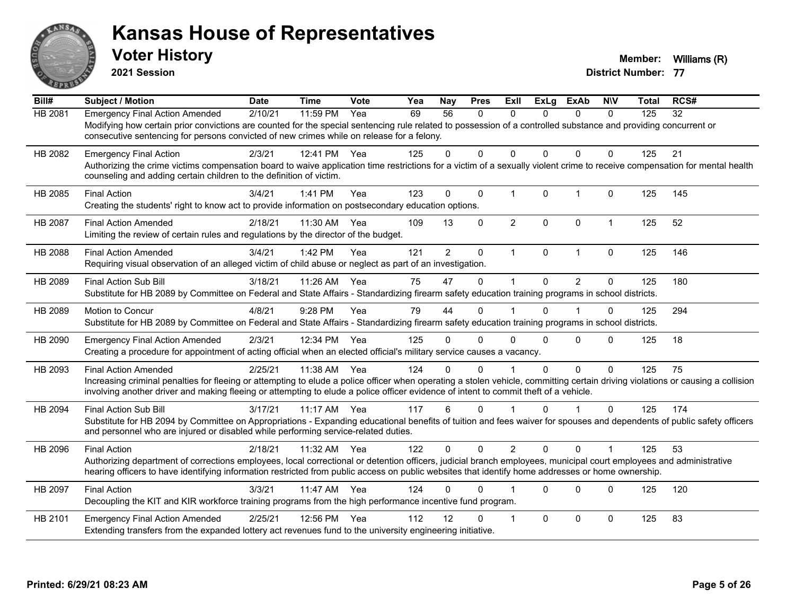

**2021 Session**

| Bill#   | <b>Subject / Motion</b>                                                                                                                                                          | <b>Date</b> | <b>Time</b> | Vote | Yea | <b>Nay</b>     | <b>Pres</b>  | <b>ExII</b>             | <b>ExLg</b>  | <b>ExAb</b>    | <b>NIV</b>   | Total | RCS# |
|---------|----------------------------------------------------------------------------------------------------------------------------------------------------------------------------------|-------------|-------------|------|-----|----------------|--------------|-------------------------|--------------|----------------|--------------|-------|------|
| HB 2081 | <b>Emergency Final Action Amended</b>                                                                                                                                            | 2/10/21     | 11:59 PM    | Yea  | 69  | 56             | $\mathbf{0}$ | 0                       | 0            | $\mathbf{0}$   | $\mathbf{0}$ | 125   | 32   |
|         | Modifying how certain prior convictions are counted for the special sentencing rule related to possession of a controlled substance and providing concurrent or                  |             |             |      |     |                |              |                         |              |                |              |       |      |
|         | consecutive sentencing for persons convicted of new crimes while on release for a felony.                                                                                        |             |             |      |     |                |              |                         |              |                |              |       |      |
| HB 2082 | <b>Emergency Final Action</b>                                                                                                                                                    | 2/3/21      | 12:41 PM    | Yea  | 125 | 0              | $\Omega$     | $\Omega$                | $\Omega$     | $\Omega$       | $\Omega$     | 125   | 21   |
|         | Authorizing the crime victims compensation board to waive application time restrictions for a victim of a sexually violent crime to receive compensation for mental health       |             |             |      |     |                |              |                         |              |                |              |       |      |
|         | counseling and adding certain children to the definition of victim.                                                                                                              |             |             |      |     |                |              |                         |              |                |              |       |      |
| HB 2085 | <b>Final Action</b>                                                                                                                                                              | 3/4/21      | 1:41 PM     | Yea  | 123 | 0              | $\mathbf{0}$ | $\mathbf 1$             | $\mathbf{0}$ | $\mathbf{1}$   | $\mathbf 0$  | 125   | 145  |
|         | Creating the students' right to know act to provide information on postsecondary education options.                                                                              |             |             |      |     |                |              |                         |              |                |              |       |      |
| HB 2087 | <b>Final Action Amended</b>                                                                                                                                                      | 2/18/21     | 11:30 AM    | Yea  | 109 | 13             | 0            | $\overline{2}$          | $\Omega$     | 0              | $\mathbf{1}$ | 125   | 52   |
|         | Limiting the review of certain rules and regulations by the director of the budget.                                                                                              |             |             |      |     |                |              |                         |              |                |              |       |      |
| HB 2088 | <b>Final Action Amended</b>                                                                                                                                                      | 3/4/21      | 1:42 PM     | Yea  | 121 | $\overline{2}$ | $\mathbf 0$  | $\mathbf 1$             | $\mathbf{0}$ | $\mathbf{1}$   | $\mathbf 0$  | 125   | 146  |
|         | Requiring visual observation of an alleged victim of child abuse or neglect as part of an investigation.                                                                         |             |             |      |     |                |              |                         |              |                |              |       |      |
|         |                                                                                                                                                                                  |             |             |      |     |                |              |                         |              |                |              |       |      |
| HB 2089 | <b>Final Action Sub Bill</b><br>Substitute for HB 2089 by Committee on Federal and State Affairs - Standardizing firearm safety education training programs in school districts. | 3/18/21     | 11:26 AM    | Yea  | 75  | 47             | $\mathbf 0$  |                         | $\Omega$     | $\overline{2}$ | 0            | 125   | 180  |
|         |                                                                                                                                                                                  |             |             |      |     |                |              |                         |              |                |              |       |      |
| HB 2089 | Motion to Concur                                                                                                                                                                 | 4/8/21      | 9:28 PM     | Yea  | 79  | 44             | $\Omega$     |                         | 0            | 1              | 0            | 125   | 294  |
|         | Substitute for HB 2089 by Committee on Federal and State Affairs - Standardizing firearm safety education training programs in school districts.                                 |             |             |      |     |                |              |                         |              |                |              |       |      |
| HB 2090 | <b>Emergency Final Action Amended</b>                                                                                                                                            | 2/3/21      | 12:34 PM    | Yea  | 125 | 0              | $\Omega$     | $\Omega$                | $\Omega$     | $\Omega$       | $\Omega$     | 125   | 18   |
|         | Creating a procedure for appointment of acting official when an elected official's military service causes a vacancy.                                                            |             |             |      |     |                |              |                         |              |                |              |       |      |
| HB 2093 | <b>Final Action Amended</b>                                                                                                                                                      | 2/25/21     | 11:38 AM    | Yea  | 124 | 0              | $\Omega$     |                         | $\Omega$     | $\Omega$       | $\Omega$     | 125   | 75   |
|         | Increasing criminal penalties for fleeing or attempting to elude a police officer when operating a stolen vehicle, committing certain driving violations or causing a collision  |             |             |      |     |                |              |                         |              |                |              |       |      |
|         | involving another driver and making fleeing or attempting to elude a police officer evidence of intent to commit theft of a vehicle.                                             |             |             |      |     |                |              |                         |              |                |              |       |      |
| HB 2094 | <b>Final Action Sub Bill</b>                                                                                                                                                     | 3/17/21     | $11:17$ AM  | Yea  | 117 | 6              | $\mathbf{0}$ |                         | $\Omega$     | 1              | $\Omega$     | 125   | 174  |
|         | Substitute for HB 2094 by Committee on Appropriations - Expanding educational benefits of tuition and fees waiver for spouses and dependents of public safety officers           |             |             |      |     |                |              |                         |              |                |              |       |      |
|         | and personnel who are injured or disabled while performing service-related duties.                                                                                               |             |             |      |     |                |              |                         |              |                |              |       |      |
| HB 2096 | <b>Final Action</b>                                                                                                                                                              | 2/18/21     | 11:32 AM    | Yea  | 122 | 0              | $\Omega$     | $\overline{2}$          | $\Omega$     | $\Omega$       | $\mathbf 1$  | 125   | 53   |
|         | Authorizing department of corrections employees, local correctional or detention officers, judicial branch employees, municipal court employees and administrative               |             |             |      |     |                |              |                         |              |                |              |       |      |
|         | hearing officers to have identifying information restricted from public access on public websites that identify home addresses or home ownership.                                |             |             |      |     |                |              |                         |              |                |              |       |      |
| HB 2097 | <b>Final Action</b>                                                                                                                                                              | 3/3/21      | 11:47 AM    | Yea  | 124 | 0              | $\Omega$     |                         | $\Omega$     | $\Omega$       | $\mathbf{0}$ | 125   | 120  |
|         | Decoupling the KIT and KIR workforce training programs from the high performance incentive fund program.                                                                         |             |             |      |     |                |              |                         |              |                |              |       |      |
| HB 2101 | <b>Emergency Final Action Amended</b>                                                                                                                                            | 2/25/21     | 12:56 PM    | Yea  | 112 | 12             | 0            | $\overline{\mathbf{1}}$ | $\Omega$     | 0              | $\Omega$     | 125   | 83   |
|         | Extending transfers from the expanded lottery act revenues fund to the university engineering initiative.                                                                        |             |             |      |     |                |              |                         |              |                |              |       |      |
|         |                                                                                                                                                                                  |             |             |      |     |                |              |                         |              |                |              |       |      |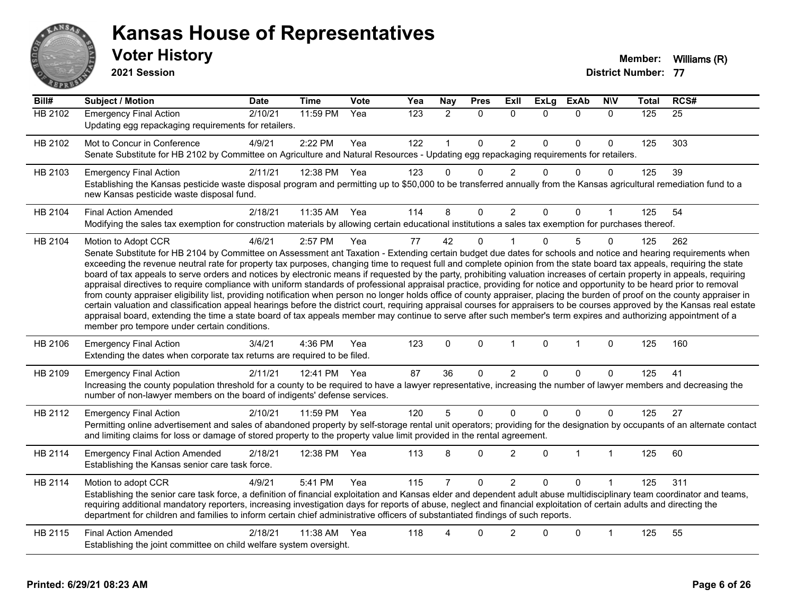

#### **Voter History Member:** Williams (R) **Kansas House of Representatives**

**2021 Session**

| Bill#          | Subject / Motion                                                                                                                                                                                                                                                                                                                                                                                                                                                                                                                                                                                                                                                                                                                                                                                                                                                                                                                                                                                                                                                                                                                                                                                                                                                                                            | <b>Date</b> | <b>Time</b>  | <b>Vote</b> | Yea | <b>Nay</b>     | <b>Pres</b>  | <b>Exll</b>    | <b>ExLg</b> | <b>ExAb</b>  | <b>NIV</b>     | <b>Total</b> | RCS#            |
|----------------|-------------------------------------------------------------------------------------------------------------------------------------------------------------------------------------------------------------------------------------------------------------------------------------------------------------------------------------------------------------------------------------------------------------------------------------------------------------------------------------------------------------------------------------------------------------------------------------------------------------------------------------------------------------------------------------------------------------------------------------------------------------------------------------------------------------------------------------------------------------------------------------------------------------------------------------------------------------------------------------------------------------------------------------------------------------------------------------------------------------------------------------------------------------------------------------------------------------------------------------------------------------------------------------------------------------|-------------|--------------|-------------|-----|----------------|--------------|----------------|-------------|--------------|----------------|--------------|-----------------|
| <b>HB 2102</b> | <b>Emergency Final Action</b><br>Updating egg repackaging requirements for retailers.                                                                                                                                                                                                                                                                                                                                                                                                                                                                                                                                                                                                                                                                                                                                                                                                                                                                                                                                                                                                                                                                                                                                                                                                                       | 2/10/21     | 11:59 PM     | Yea         | 123 | $\overline{2}$ | $\Omega$     | $\Omega$       | $\Omega$    | $\Omega$     | $\mathbf{0}$   | 125          | $\overline{25}$ |
| HB 2102        | Mot to Concur in Conference<br>Senate Substitute for HB 2102 by Committee on Agriculture and Natural Resources - Updating egg repackaging requirements for retailers.                                                                                                                                                                                                                                                                                                                                                                                                                                                                                                                                                                                                                                                                                                                                                                                                                                                                                                                                                                                                                                                                                                                                       | 4/9/21      | 2:22 PM      | Yea         | 122 | 1              | $\Omega$     | $\overline{2}$ | $\Omega$    | $\Omega$     | $\mathbf{0}$   | 125          | 303             |
| HB 2103        | <b>Emergency Final Action</b><br>Establishing the Kansas pesticide waste disposal program and permitting up to \$50,000 to be transferred annually from the Kansas agricultural remediation fund to a<br>new Kansas pesticide waste disposal fund.                                                                                                                                                                                                                                                                                                                                                                                                                                                                                                                                                                                                                                                                                                                                                                                                                                                                                                                                                                                                                                                          | 2/11/21     | 12:38 PM     | Yea         | 123 | 0              | $\mathbf{0}$ | $\overline{2}$ | $\Omega$    | $\Omega$     | $\Omega$       | 125          | 39              |
| HB 2104        | <b>Final Action Amended</b><br>Modifying the sales tax exemption for construction materials by allowing certain educational institutions a sales tax exemption for purchases thereof.                                                                                                                                                                                                                                                                                                                                                                                                                                                                                                                                                                                                                                                                                                                                                                                                                                                                                                                                                                                                                                                                                                                       | 2/18/21     | 11:35 AM Yea |             | 114 | 8              | 0            | $\overline{c}$ | 0           | $\Omega$     |                | 125          | 54              |
| HB 2104        | Motion to Adopt CCR<br>Senate Substitute for HB 2104 by Committee on Assessment ant Taxation - Extending certain budget due dates for schools and notice and hearing requirements when<br>exceeding the revenue neutral rate for property tax purposes, changing time to request full and complete opinion from the state board tax appeals, requiring the state<br>board of tax appeals to serve orders and notices by electronic means if requested by the party, prohibiting valuation increases of certain property in appeals, requiring<br>appraisal directives to require compliance with uniform standards of professional appraisal practice, providing for notice and opportunity to be heard prior to removal<br>from county appraiser eligibility list, providing notification when person no longer holds office of county appraiser, placing the burden of proof on the county appraiser in<br>certain valuation and classification appeal hearings before the district court, requiring appraisal courses for appraisers to be courses approved by the Kansas real estate<br>appraisal board, extending the time a state board of tax appeals member may continue to serve after such member's term expires and authorizing appointment of a<br>member pro tempore under certain conditions. | 4/6/21      | 2:57 PM      | Yea         | 77  | 42             | $\Omega$     |                | $\Omega$    | 5            | $\Omega$       | 125          | 262             |
| HB 2106        | <b>Emergency Final Action</b><br>Extending the dates when corporate tax returns are required to be filed.                                                                                                                                                                                                                                                                                                                                                                                                                                                                                                                                                                                                                                                                                                                                                                                                                                                                                                                                                                                                                                                                                                                                                                                                   | 3/4/21      | 4:36 PM      | Yea         | 123 | $\mathbf{0}$   | $\mathbf{0}$ | $\mathbf{1}$   | $\Omega$    | $\mathbf{1}$ | $\mathbf{0}$   | 125          | 160             |
| HB 2109        | <b>Emergency Final Action</b><br>Increasing the county population threshold for a county to be required to have a lawyer representative, increasing the number of lawyer members and decreasing the<br>number of non-lawyer members on the board of indigents' defense services.                                                                                                                                                                                                                                                                                                                                                                                                                                                                                                                                                                                                                                                                                                                                                                                                                                                                                                                                                                                                                            | 2/11/21     | 12:41 PM     | Yea         | 87  | 36             | $\Omega$     | $\overline{2}$ | $\Omega$    | $\Omega$     | $\Omega$       | 125          | 41              |
| HB 2112        | <b>Emergency Final Action</b><br>Permitting online advertisement and sales of abandoned property by self-storage rental unit operators; providing for the designation by occupants of an alternate contact<br>and limiting claims for loss or damage of stored property to the property value limit provided in the rental agreement.                                                                                                                                                                                                                                                                                                                                                                                                                                                                                                                                                                                                                                                                                                                                                                                                                                                                                                                                                                       | 2/10/21     | 11:59 PM     | Yea         | 120 | 5              | $\mathbf 0$  | 0              | $\Omega$    | $\mathbf 0$  | $\Omega$       | 125          | 27              |
| HB 2114        | <b>Emergency Final Action Amended</b><br>Establishing the Kansas senior care task force.                                                                                                                                                                                                                                                                                                                                                                                                                                                                                                                                                                                                                                                                                                                                                                                                                                                                                                                                                                                                                                                                                                                                                                                                                    | 2/18/21     | 12:38 PM     | Yea         | 113 | 8              | 0            | $\overline{c}$ | $\Omega$    | 1            | $\overline{1}$ | 125          | 60              |
| HB 2114        | Motion to adopt CCR<br>Establishing the senior care task force, a definition of financial exploitation and Kansas elder and dependent adult abuse multidisciplinary team coordinator and teams,<br>requiring additional mandatory reporters, increasing investigation days for reports of abuse, neglect and financial exploitation of certain adults and directing the<br>department for children and families to inform certain chief administrative officers of substantiated findings of such reports.                                                                                                                                                                                                                                                                                                                                                                                                                                                                                                                                                                                                                                                                                                                                                                                                  | 4/9/21      | 5:41 PM      | Yea         | 115 |                | $\Omega$     | $\overline{c}$ | 0           | $\Omega$     |                | 125          | 311             |
| HB 2115        | <b>Final Action Amended</b><br>Establishing the joint committee on child welfare system oversight.                                                                                                                                                                                                                                                                                                                                                                                                                                                                                                                                                                                                                                                                                                                                                                                                                                                                                                                                                                                                                                                                                                                                                                                                          | 2/18/21     | 11:38 AM     | Yea         | 118 |                | 0            | $\overline{2}$ | $\Omega$    | $\mathbf 0$  | 1              | 125          | 55              |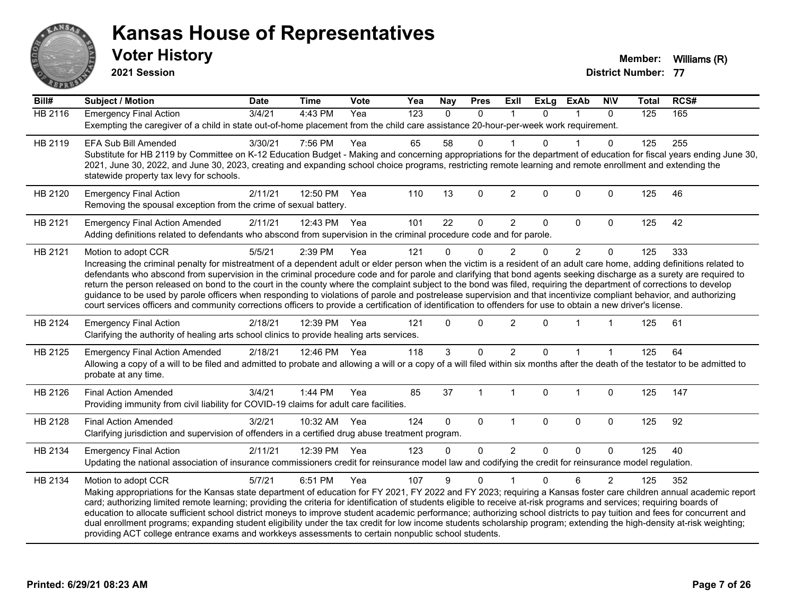

**2021 Session**

| Bill#          | <b>Subject / Motion</b>                                                                                                                                                                                                                                                                                                                                                                                                                                                                                                                                                                                                                                                                                                                                                                                                                                                                | <b>Date</b> | <b>Time</b>  | Vote | Yea | <b>Nay</b> | <b>Pres</b>  | ExII           | <b>ExLg</b> | <b>ExAb</b>    | <b>NIV</b>     | <b>Total</b> | RCS# |
|----------------|----------------------------------------------------------------------------------------------------------------------------------------------------------------------------------------------------------------------------------------------------------------------------------------------------------------------------------------------------------------------------------------------------------------------------------------------------------------------------------------------------------------------------------------------------------------------------------------------------------------------------------------------------------------------------------------------------------------------------------------------------------------------------------------------------------------------------------------------------------------------------------------|-------------|--------------|------|-----|------------|--------------|----------------|-------------|----------------|----------------|--------------|------|
| <b>HB 2116</b> | <b>Emergency Final Action</b><br>Exempting the caregiver of a child in state out-of-home placement from the child care assistance 20-hour-per-week work requirement.                                                                                                                                                                                                                                                                                                                                                                                                                                                                                                                                                                                                                                                                                                                   | 3/4/21      | $4:43$ PM    | Yea  | 123 | $\Omega$   | $\mathbf{0}$ |                | 0           |                | $\mathbf{0}$   | 125          | 165  |
| HB 2119        | <b>EFA Sub Bill Amended</b><br>Substitute for HB 2119 by Committee on K-12 Education Budget - Making and concerning appropriations for the department of education for fiscal years ending June 30,<br>2021, June 30, 2022, and June 30, 2023, creating and expanding school choice programs, restricting remote learning and remote enrollment and extending the<br>statewide property tax levy for schools.                                                                                                                                                                                                                                                                                                                                                                                                                                                                          | 3/30/21     | 7:56 PM      | Yea  | 65  | 58         | 0            |                |             |                | $\Omega$       | 125          | 255  |
| HB 2120        | <b>Emergency Final Action</b><br>Removing the spousal exception from the crime of sexual battery.                                                                                                                                                                                                                                                                                                                                                                                                                                                                                                                                                                                                                                                                                                                                                                                      | 2/11/21     | 12:50 PM     | Yea  | 110 | 13         | $\mathbf 0$  | $\overline{2}$ | $\Omega$    | 0              | $\mathbf 0$    | 125          | 46   |
| HB 2121        | <b>Emergency Final Action Amended</b><br>Adding definitions related to defendants who abscond from supervision in the criminal procedure code and for parole.                                                                                                                                                                                                                                                                                                                                                                                                                                                                                                                                                                                                                                                                                                                          | 2/11/21     | 12:43 PM Yea |      | 101 | 22         | 0            | $\overline{2}$ | $\Omega$    | $\Omega$       | $\Omega$       | 125          | 42   |
| HB 2121        | Motion to adopt CCR<br>Increasing the criminal penalty for mistreatment of a dependent adult or elder person when the victim is a resident of an adult care home, adding definitions related to<br>defendants who abscond from supervision in the criminal procedure code and for parole and clarifying that bond agents seeking discharge as a surety are required to<br>return the person released on bond to the court in the county where the complaint subject to the bond was filed, requiring the department of corrections to develop<br>guidance to be used by parole officers when responding to violations of parole and postrelease supervision and that incentivize compliant behavior, and authorizing<br>court services officers and community corrections officers to provide a certification of identification to offenders for use to obtain a new driver's license. | 5/5/21      | 2:39 PM      | Yea  | 121 | $\Omega$   | 0            | $\overline{2}$ | $\Omega$    | $\overline{2}$ | $\mathbf 0$    | 125          | 333  |
| HB 2124        | <b>Emergency Final Action</b><br>Clarifying the authority of healing arts school clinics to provide healing arts services.                                                                                                                                                                                                                                                                                                                                                                                                                                                                                                                                                                                                                                                                                                                                                             | 2/18/21     | 12:39 PM     | Yea  | 121 | $\Omega$   | $\mathbf 0$  | $\overline{2}$ | $\Omega$    |                |                | 125          | 61   |
| HB 2125        | <b>Emergency Final Action Amended</b><br>Allowing a copy of a will to be filed and admitted to probate and allowing a will or a copy of a will filed within six months after the death of the testator to be admitted to<br>probate at any time.                                                                                                                                                                                                                                                                                                                                                                                                                                                                                                                                                                                                                                       | 2/18/21     | 12:46 PM Yea |      | 118 | 3          | $\Omega$     | $\overline{2}$ | $\Omega$    |                |                | 125          | 64   |
| HB 2126        | <b>Final Action Amended</b><br>Providing immunity from civil liability for COVID-19 claims for adult care facilities.                                                                                                                                                                                                                                                                                                                                                                                                                                                                                                                                                                                                                                                                                                                                                                  | 3/4/21      | 1:44 PM      | Yea  | 85  | 37         |              | 1              | 0           | $\overline{1}$ | $\mathbf 0$    | 125          | 147  |
| HB 2128        | <b>Final Action Amended</b><br>Clarifying jurisdiction and supervision of offenders in a certified drug abuse treatment program.                                                                                                                                                                                                                                                                                                                                                                                                                                                                                                                                                                                                                                                                                                                                                       | 3/2/21      | 10:32 AM Yea |      | 124 | $\Omega$   | $\Omega$     | $\overline{1}$ | $\Omega$    | $\Omega$       | $\Omega$       | 125          | 92   |
| HB 2134        | <b>Emergency Final Action</b><br>Updating the national association of insurance commissioners credit for reinsurance model law and codifying the credit for reinsurance model regulation.                                                                                                                                                                                                                                                                                                                                                                                                                                                                                                                                                                                                                                                                                              | 2/11/21     | 12:39 PM Yea |      | 123 | $\Omega$   | 0            | $\overline{2}$ | 0           | $\Omega$       | $\mathbf 0$    | 125          | 40   |
| HB 2134        | Motion to adopt CCR<br>Making appropriations for the Kansas state department of education for FY 2021, FY 2022 and FY 2023; requiring a Kansas foster care children annual academic report<br>card; authorizing limited remote learning; providing the criteria for identification of students eligible to receive at-risk programs and services; requiring boards of<br>education to allocate sufficient school district moneys to improve student academic performance; authorizing school districts to pay tuition and fees for concurrent and<br>dual enrollment programs; expanding student eligibility under the tax credit for low income students scholarship program; extending the high-density at-risk weighting;<br>providing ACT college entrance exams and workkeys assessments to certain nonpublic school students.                                                    | 5/7/21      | 6:51 PM      | Yea  | 107 | 9          | $\Omega$     |                | $\Omega$    | 6              | $\overline{2}$ | 125          | 352  |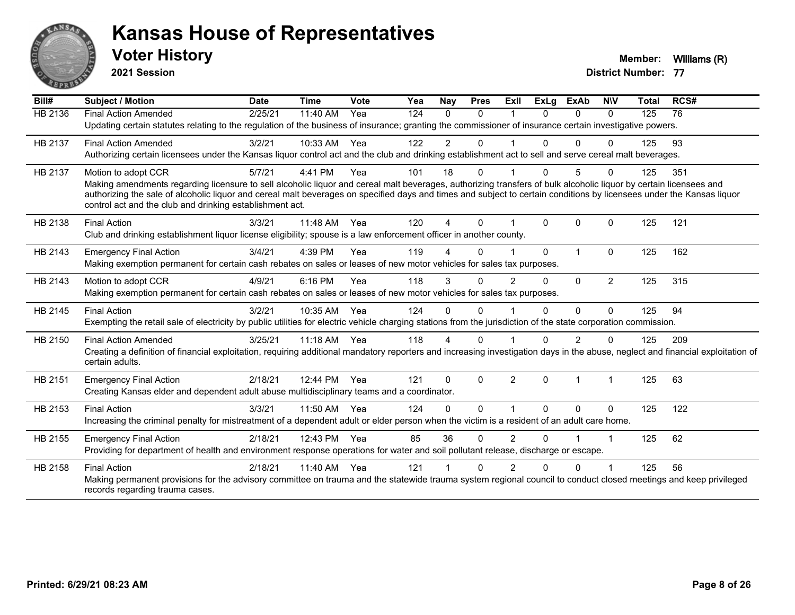

**2021 Session**

| Bill#          | <b>Subject / Motion</b>                                                                                                                                                         | <b>Date</b> | <b>Time</b> | <b>Vote</b> | Yea | Nay            | <b>Pres</b> | <b>ExII</b>          | <b>ExLg</b> | <b>ExAb</b>    | <b>NIV</b>     | <b>Total</b> | RCS# |
|----------------|---------------------------------------------------------------------------------------------------------------------------------------------------------------------------------|-------------|-------------|-------------|-----|----------------|-------------|----------------------|-------------|----------------|----------------|--------------|------|
| <b>HB 2136</b> | <b>Final Action Amended</b>                                                                                                                                                     | 2/25/21     | 11:40 AM    | Yea         | 124 | $\Omega$       | $\Omega$    |                      | $\Omega$    | $\Omega$       | $\Omega$       | 125          | 76   |
|                | Updating certain statutes relating to the regulation of the business of insurance; granting the commissioner of insurance certain investigative powers.                         |             |             |             |     |                |             |                      |             |                |                |              |      |
| HB 2137        | <b>Final Action Amended</b>                                                                                                                                                     | 3/2/21      | 10:33 AM    | Yea         | 122 | $\overline{2}$ | 0           |                      |             | $\Omega$       | O              | 125          | 93   |
|                | Authorizing certain licensees under the Kansas liquor control act and the club and drinking establishment act to sell and serve cereal malt beverages.                          |             |             |             |     |                |             |                      |             |                |                |              |      |
| HB 2137        | Motion to adopt CCR                                                                                                                                                             | 5/7/21      | 4:41 PM     | Yea         | 101 | 18             | 0           | $\blacktriangleleft$ | $\Omega$    | 5              | $\Omega$       | 125          | 351  |
|                | Making amendments regarding licensure to sell alcoholic liquor and cereal malt beverages, authorizing transfers of bulk alcoholic liquor by certain licensees and               |             |             |             |     |                |             |                      |             |                |                |              |      |
|                | authorizing the sale of alcoholic liquor and cereal malt beverages on specified days and times and subject to certain conditions by licensees under the Kansas liquor           |             |             |             |     |                |             |                      |             |                |                |              |      |
|                | control act and the club and drinking establishment act.                                                                                                                        |             |             |             |     |                |             |                      |             |                |                |              |      |
| HB 2138        | <b>Final Action</b>                                                                                                                                                             | 3/3/21      | 11:48 AM    | Yea         | 120 | 4              | $\Omega$    |                      | 0           | $\Omega$       | 0              | 125          | 121  |
|                | Club and drinking establishment liquor license eligibility; spouse is a law enforcement officer in another county.                                                              |             |             |             |     |                |             |                      |             |                |                |              |      |
| HB 2143        | <b>Emergency Final Action</b>                                                                                                                                                   | 3/4/21      | 4:39 PM     | Yea         | 119 |                | 0           |                      | $\Omega$    | $\overline{1}$ | $\Omega$       | 125          | 162  |
|                | Making exemption permanent for certain cash rebates on sales or leases of new motor vehicles for sales tax purposes.                                                            |             |             |             |     |                |             |                      |             |                |                |              |      |
| HB 2143        | Motion to adopt CCR                                                                                                                                                             | 4/9/21      | 6:16 PM     | Yea         | 118 | 3              | $\Omega$    | $\overline{2}$       | $\Omega$    | $\Omega$       | $\overline{2}$ | 125          | 315  |
|                | Making exemption permanent for certain cash rebates on sales or leases of new motor vehicles for sales tax purposes.                                                            |             |             |             |     |                |             |                      |             |                |                |              |      |
| HB 2145        | <b>Final Action</b>                                                                                                                                                             | 3/2/21      | 10:35 AM    | Yea         | 124 | $\Omega$       | $\Omega$    |                      | $\Omega$    | $\Omega$       | $\Omega$       | 125          | 94   |
|                | Exempting the retail sale of electricity by public utilities for electric vehicle charging stations from the jurisdiction of the state corporation commission.                  |             |             |             |     |                |             |                      |             |                |                |              |      |
| HB 2150        | <b>Final Action Amended</b>                                                                                                                                                     | 3/25/21     | $11:18$ AM  | Yea         | 118 | 4              | 0           |                      |             | 2              | 0              | 125          | 209  |
|                | Creating a definition of financial exploitation, requiring additional mandatory reporters and increasing investigation days in the abuse, neglect and financial exploitation of |             |             |             |     |                |             |                      |             |                |                |              |      |
|                | certain adults.                                                                                                                                                                 |             |             |             |     |                |             |                      |             |                |                |              |      |
| HB 2151        | <b>Emergency Final Action</b>                                                                                                                                                   | 2/18/21     | 12:44 PM    | Yea         | 121 | $\Omega$       | $\Omega$    | $\overline{2}$       | $\Omega$    | $\overline{1}$ | 1              | 125          | 63   |
|                | Creating Kansas elder and dependent adult abuse multidisciplinary teams and a coordinator.                                                                                      |             |             |             |     |                |             |                      |             |                |                |              |      |
| HB 2153        | <b>Final Action</b>                                                                                                                                                             | 3/3/21      | 11:50 AM    | Yea         | 124 | $\Omega$       | $\Omega$    | 1                    | $\Omega$    | $\Omega$       | 0              | 125          | 122  |
|                | Increasing the criminal penalty for mistreatment of a dependent adult or elder person when the victim is a resident of an adult care home.                                      |             |             |             |     |                |             |                      |             |                |                |              |      |
| HB 2155        | <b>Emergency Final Action</b>                                                                                                                                                   | 2/18/21     | 12:43 PM    | Yea         | 85  | 36             | $\Omega$    | $\overline{2}$       | 0           |                | 1              | 125          | 62   |
|                | Providing for department of health and environment response operations for water and soil pollutant release, discharge or escape.                                               |             |             |             |     |                |             |                      |             |                |                |              |      |
| HB 2158        | <b>Final Action</b>                                                                                                                                                             | 2/18/21     | 11:40 AM    | Yea         | 121 |                | 0           | 2                    | 0           | $\Omega$       |                | 125          | 56   |
|                | Making permanent provisions for the advisory committee on trauma and the statewide trauma system regional council to conduct closed meetings and keep privileged                |             |             |             |     |                |             |                      |             |                |                |              |      |
|                | records regarding trauma cases.                                                                                                                                                 |             |             |             |     |                |             |                      |             |                |                |              |      |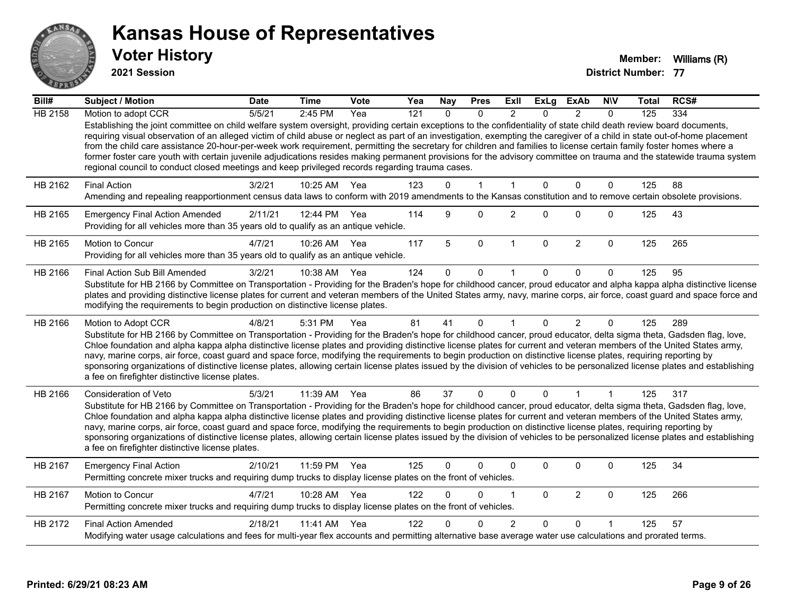

**2021 Session**

| $\overline{Bill#}$ | Subject / Motion                                                                                                                                                                                                                                                                                                                                                                                                                                                                                                                                                                                                                                                                                                                                                                                      | <b>Date</b> | <b>Time</b>  | <b>Vote</b> | Yea              | <b>Nay</b>   | <b>Pres</b>  | <b>ExII</b>    | <b>ExLg</b>  | <b>ExAb</b>    | <b>NIV</b>   | Total | RCS# |
|--------------------|-------------------------------------------------------------------------------------------------------------------------------------------------------------------------------------------------------------------------------------------------------------------------------------------------------------------------------------------------------------------------------------------------------------------------------------------------------------------------------------------------------------------------------------------------------------------------------------------------------------------------------------------------------------------------------------------------------------------------------------------------------------------------------------------------------|-------------|--------------|-------------|------------------|--------------|--------------|----------------|--------------|----------------|--------------|-------|------|
| <b>HB 2158</b>     | Motion to adopt CCR                                                                                                                                                                                                                                                                                                                                                                                                                                                                                                                                                                                                                                                                                                                                                                                   | 5/5/21      | 2:45 PM      | Yea         | $\overline{121}$ | $\Omega$     | $\Omega$     | 2              | $\Omega$     | $\mathcal{P}$  | $\Omega$     | 125   | 334  |
|                    | Establishing the joint committee on child welfare system oversight, providing certain exceptions to the confidentiality of state child death review board documents,<br>requiring visual observation of an alleged victim of child abuse or neglect as part of an investigation, exempting the caregiver of a child in state out-of-home placement<br>from the child care assistance 20-hour-per-week work requirement, permitting the secretary for children and families to license certain family foster homes where a<br>former foster care youth with certain juvenile adjudications resides making permanent provisions for the advisory committee on trauma and the statewide trauma system<br>regional council to conduct closed meetings and keep privileged records regarding trauma cases. |             |              |             |                  |              |              |                |              |                |              |       |      |
| HB 2162            | <b>Final Action</b>                                                                                                                                                                                                                                                                                                                                                                                                                                                                                                                                                                                                                                                                                                                                                                                   | 3/2/21      | 10:25 AM     | Yea         | 123              | $\Omega$     | $\mathbf{1}$ | $\mathbf{1}$   | $\Omega$     | $\Omega$       | $\mathbf{0}$ | 125   | 88   |
|                    | Amending and repealing reapportionment census data laws to conform with 2019 amendments to the Kansas constitution and to remove certain obsolete provisions.                                                                                                                                                                                                                                                                                                                                                                                                                                                                                                                                                                                                                                         |             |              |             |                  |              |              |                |              |                |              |       |      |
| HB 2165            | <b>Emergency Final Action Amended</b><br>Providing for all vehicles more than 35 years old to qualify as an antique vehicle.                                                                                                                                                                                                                                                                                                                                                                                                                                                                                                                                                                                                                                                                          | 2/11/21     | 12:44 PM Yea |             | 114              | 9            | $\Omega$     | $\overline{2}$ | $\Omega$     | $\Omega$       | $\mathbf 0$  | 125   | 43   |
| HB 2165            | Motion to Concur<br>Providing for all vehicles more than 35 years old to qualify as an antique vehicle.                                                                                                                                                                                                                                                                                                                                                                                                                                                                                                                                                                                                                                                                                               | 4/7/21      | 10:26 AM     | Yea         | 117              | 5            | $\mathbf 0$  | $\mathbf{1}$   | $\mathbf 0$  | $\overline{2}$ | $\mathbf 0$  | 125   | 265  |
| HB 2166            | Final Action Sub Bill Amended                                                                                                                                                                                                                                                                                                                                                                                                                                                                                                                                                                                                                                                                                                                                                                         | 3/2/21      | 10:38 AM     | Yea         | 124              | $\mathbf{0}$ | $\mathbf 0$  |                | 0            | $\Omega$       | $\Omega$     | 125   | 95   |
|                    | Substitute for HB 2166 by Committee on Transportation - Providing for the Braden's hope for childhood cancer, proud educator and alpha kappa alpha distinctive license<br>plates and providing distinctive license plates for current and veteran members of the United States army, navy, marine corps, air force, coast guard and space force and<br>modifying the requirements to begin production on distinctive license plates.                                                                                                                                                                                                                                                                                                                                                                  |             |              |             |                  |              |              |                |              |                |              |       |      |
| HB 2166            | Motion to Adopt CCR<br>Substitute for HB 2166 by Committee on Transportation - Providing for the Braden's hope for childhood cancer, proud educator, delta sigma theta, Gadsden flag, love,<br>Chloe foundation and alpha kappa alpha distinctive license plates and providing distinctive license plates for current and veteran members of the United States army,<br>navy, marine corps, air force, coast guard and space force, modifying the requirements to begin production on distinctive license plates, requiring reporting by<br>sponsoring organizations of distinctive license plates, allowing certain license plates issued by the division of vehicles to be personalized license plates and establishing<br>a fee on firefighter distinctive license plates.                         | 4/8/21      | 5:31 PM      | Yea         | 81               | 41           | $\Omega$     | $\mathbf 1$    | $\Omega$     | $\overline{2}$ | $\mathbf{0}$ | 125   | 289  |
| HB 2166            | Consideration of Veto                                                                                                                                                                                                                                                                                                                                                                                                                                                                                                                                                                                                                                                                                                                                                                                 | 5/3/21      | 11:39 AM     | Yea         | 86               | 37           | $\mathbf{0}$ | $\Omega$       | $\Omega$     | $\overline{1}$ |              | 125   | 317  |
|                    | Substitute for HB 2166 by Committee on Transportation - Providing for the Braden's hope for childhood cancer, proud educator, delta sigma theta, Gadsden flag, love,<br>Chloe foundation and alpha kappa alpha distinctive license plates and providing distinctive license plates for current and veteran members of the United States army,<br>navy, marine corps, air force, coast guard and space force, modifying the requirements to begin production on distinctive license plates, requiring reporting by<br>sponsoring organizations of distinctive license plates, allowing certain license plates issued by the division of vehicles to be personalized license plates and establishing<br>a fee on firefighter distinctive license plates.                                                |             |              |             |                  |              |              |                |              |                |              |       |      |
| HB 2167            | <b>Emergency Final Action</b><br>Permitting concrete mixer trucks and requiring dump trucks to display license plates on the front of vehicles.                                                                                                                                                                                                                                                                                                                                                                                                                                                                                                                                                                                                                                                       | 2/10/21     | 11:59 PM     | Yea         | 125              | $\Omega$     | $\Omega$     | $\mathbf 0$    | 0            | 0              | 0            | 125   | 34   |
| HB 2167            | Motion to Concur<br>Permitting concrete mixer trucks and requiring dump trucks to display license plates on the front of vehicles.                                                                                                                                                                                                                                                                                                                                                                                                                                                                                                                                                                                                                                                                    | 4/7/21      | 10:28 AM     | Yea         | 122              | $\Omega$     | $\Omega$     | $\overline{1}$ | $\mathbf{0}$ | $\overline{2}$ | $\mathbf 0$  | 125   | 266  |
| HB 2172            | <b>Final Action Amended</b><br>Modifying water usage calculations and fees for multi-year flex accounts and permitting alternative base average water use calculations and prorated terms.                                                                                                                                                                                                                                                                                                                                                                                                                                                                                                                                                                                                            | 2/18/21     | 11:41 AM     | Yea         | 122              |              | <sup>0</sup> | $\overline{2}$ | 0            | $\Omega$       |              | 125   | 57   |
|                    |                                                                                                                                                                                                                                                                                                                                                                                                                                                                                                                                                                                                                                                                                                                                                                                                       |             |              |             |                  |              |              |                |              |                |              |       |      |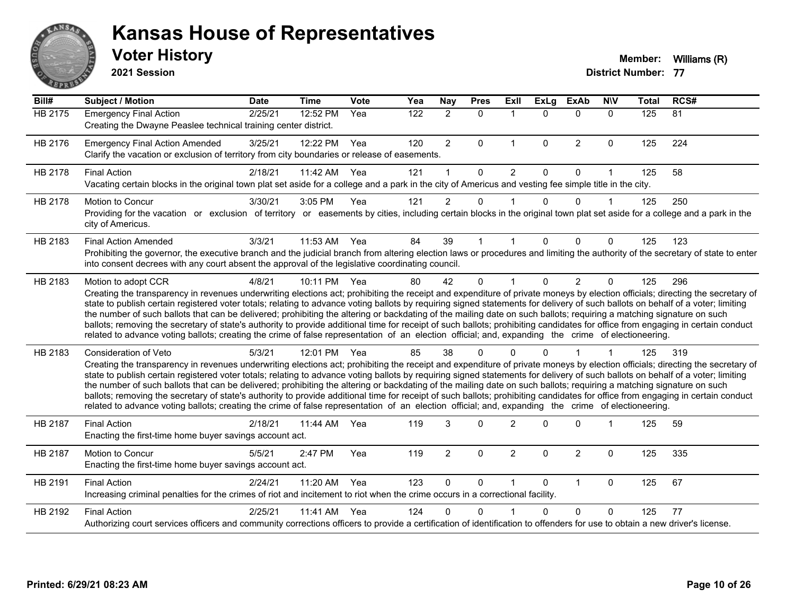

**2021 Session**

| Bill#          | <b>Subject / Motion</b>                                                                                                                                                                                                                                                                                                                                                                                                                                                                                                                                                                                                                                                                                                                                                                                                                                                                                           | <b>Date</b> | <b>Time</b> | Vote | Yea | <b>Nay</b>     | <b>Pres</b>  | Exll           | <b>ExLg</b>  | <b>ExAb</b>    | <b>NIV</b>           | <b>Total</b> | RCS# |
|----------------|-------------------------------------------------------------------------------------------------------------------------------------------------------------------------------------------------------------------------------------------------------------------------------------------------------------------------------------------------------------------------------------------------------------------------------------------------------------------------------------------------------------------------------------------------------------------------------------------------------------------------------------------------------------------------------------------------------------------------------------------------------------------------------------------------------------------------------------------------------------------------------------------------------------------|-------------|-------------|------|-----|----------------|--------------|----------------|--------------|----------------|----------------------|--------------|------|
| <b>HB 2175</b> | <b>Emergency Final Action</b><br>Creating the Dwayne Peaslee technical training center district.                                                                                                                                                                                                                                                                                                                                                                                                                                                                                                                                                                                                                                                                                                                                                                                                                  | 2/25/21     | 12:52 PM    | Yea  | 122 | $\overline{2}$ | $\mathbf 0$  | $\overline{1}$ | $\Omega$     | $\Omega$       | $\Omega$             | 125          | 81   |
| HB 2176        | <b>Emergency Final Action Amended</b><br>Clarify the vacation or exclusion of territory from city boundaries or release of easements.                                                                                                                                                                                                                                                                                                                                                                                                                                                                                                                                                                                                                                                                                                                                                                             | 3/25/21     | 12:22 PM    | Yea  | 120 | $\overline{2}$ | $\Omega$     | $\mathbf{1}$   | $\mathbf{0}$ | $\overline{2}$ | $\mathbf 0$          | 125          | 224  |
| HB 2178        | <b>Final Action</b><br>Vacating certain blocks in the original town plat set aside for a college and a park in the city of Americus and vesting fee simple title in the city.                                                                                                                                                                                                                                                                                                                                                                                                                                                                                                                                                                                                                                                                                                                                     | 2/18/21     | 11:42 AM    | Yea  | 121 | 1              | $\mathbf{0}$ | 2              | $\Omega$     | $\Omega$       | 1                    | 125          | 58   |
| HB 2178        | Motion to Concur<br>Providing for the vacation or exclusion of territory or easements by cities, including certain blocks in the original town plat set aside for a college and a park in the<br>city of Americus.                                                                                                                                                                                                                                                                                                                                                                                                                                                                                                                                                                                                                                                                                                | 3/30/21     | 3:05 PM     | Yea  | 121 | $\overline{2}$ | $\Omega$     |                | $\Omega$     | $\Omega$       | $\blacktriangleleft$ | 125          | 250  |
| HB 2183        | <b>Final Action Amended</b><br>Prohibiting the governor, the executive branch and the judicial branch from altering election laws or procedures and limiting the authority of the secretary of state to enter<br>into consent decrees with any court absent the approval of the legislative coordinating council.                                                                                                                                                                                                                                                                                                                                                                                                                                                                                                                                                                                                 | 3/3/21      | 11:53 AM    | Yea  | 84  | 39             |              |                | 0            | $\Omega$       | $\Omega$             | 125          | 123  |
| HB 2183        | Motion to adopt CCR<br>Creating the transparency in revenues underwriting elections act; prohibiting the receipt and expenditure of private moneys by election officials; directing the secretary of<br>state to publish certain registered voter totals; relating to advance voting ballots by requiring signed statements for delivery of such ballots on behalf of a voter; limiting<br>the number of such ballots that can be delivered; prohibiting the altering or backdating of the mailing date on such ballots; requiring a matching signature on such<br>ballots; removing the secretary of state's authority to provide additional time for receipt of such ballots; prohibiting candidates for office from engaging in certain conduct<br>related to advance voting ballots; creating the crime of false representation of an election official; and, expanding the crime of electioneering.          | 4/8/21      | 10:11 PM    | Yea  | 80  | 42             | $\Omega$     |                | $\mathbf{0}$ | $\overline{2}$ | $\mathbf 0$          | 125          | 296  |
| HB 2183        | <b>Consideration of Veto</b><br>Creating the transparency in revenues underwriting elections act; prohibiting the receipt and expenditure of private moneys by election officials; directing the secretary of<br>state to publish certain registered voter totals; relating to advance voting ballots by requiring signed statements for delivery of such ballots on behalf of a voter; limiting<br>the number of such ballots that can be delivered; prohibiting the altering or backdating of the mailing date on such ballots; requiring a matching signature on such<br>ballots; removing the secretary of state's authority to provide additional time for receipt of such ballots; prohibiting candidates for office from engaging in certain conduct<br>related to advance voting ballots; creating the crime of false representation of an election official; and, expanding the crime of electioneering. | 5/3/21      | 12:01 PM    | Yea  | 85  | 38             | $\Omega$     |                | n            |                |                      | 125          | 319  |
| HB 2187        | <b>Final Action</b><br>Enacting the first-time home buyer savings account act.                                                                                                                                                                                                                                                                                                                                                                                                                                                                                                                                                                                                                                                                                                                                                                                                                                    | 2/18/21     | 11:44 AM    | Yea  | 119 | 3              | $\Omega$     | $\overline{2}$ | $\Omega$     | $\Omega$       | 1                    | 125          | 59   |
| HB 2187        | Motion to Concur<br>Enacting the first-time home buyer savings account act.                                                                                                                                                                                                                                                                                                                                                                                                                                                                                                                                                                                                                                                                                                                                                                                                                                       | 5/5/21      | 2:47 PM     | Yea  | 119 | $\overline{2}$ | $\mathbf 0$  | $\overline{2}$ | $\Omega$     | $\overline{2}$ | $\mathbf 0$          | 125          | 335  |
| HB 2191        | <b>Final Action</b><br>Increasing criminal penalties for the crimes of riot and incitement to riot when the crime occurs in a correctional facility.                                                                                                                                                                                                                                                                                                                                                                                                                                                                                                                                                                                                                                                                                                                                                              | 2/24/21     | 11:20 AM    | Yea  | 123 | 0              | 0            |                | $\Omega$     | $\mathbf{1}$   | $\mathbf 0$          | 125          | 67   |
| HB 2192        | <b>Final Action</b><br>Authorizing court services officers and community corrections officers to provide a certification of identification to offenders for use to obtain a new driver's license.                                                                                                                                                                                                                                                                                                                                                                                                                                                                                                                                                                                                                                                                                                                 | 2/25/21     | 11:41 AM    | Yea  | 124 | 0              | $\Omega$     |                | 0            | $\Omega$       | $\Omega$             | 125          | 77   |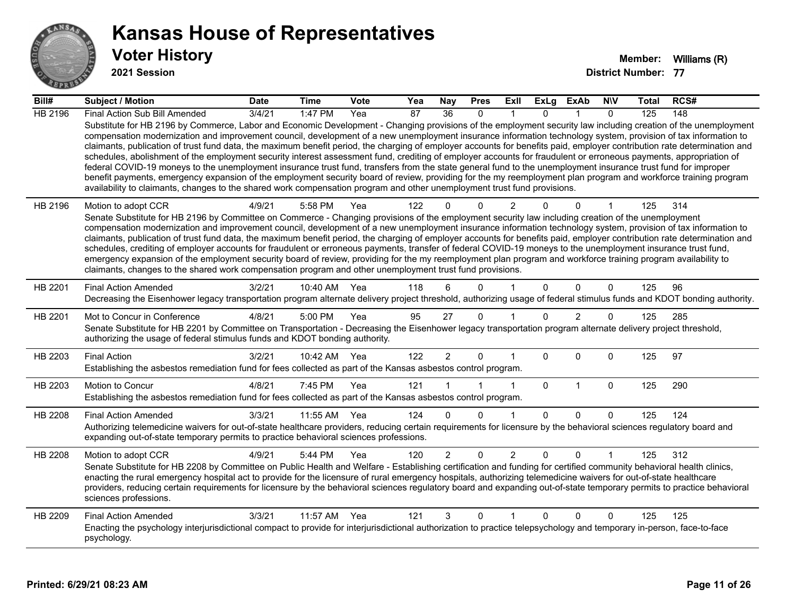

**2021 Session**

| Bill#   | <b>Subject / Motion</b>                                                                                                                                                                                                                                                                                                                                                                                                                                                                                                                                                                                                                                                                                                                                                                                                                                                                                                                                                                                                                                                                                                                           | <b>Date</b> | <b>Time</b>  | <b>Vote</b> | Yea             | <b>Nay</b>      | <b>Pres</b>  | ExII           | ExLg         | ExAb           | <b>NIV</b>   | Total | RCS# |
|---------|---------------------------------------------------------------------------------------------------------------------------------------------------------------------------------------------------------------------------------------------------------------------------------------------------------------------------------------------------------------------------------------------------------------------------------------------------------------------------------------------------------------------------------------------------------------------------------------------------------------------------------------------------------------------------------------------------------------------------------------------------------------------------------------------------------------------------------------------------------------------------------------------------------------------------------------------------------------------------------------------------------------------------------------------------------------------------------------------------------------------------------------------------|-------------|--------------|-------------|-----------------|-----------------|--------------|----------------|--------------|----------------|--------------|-------|------|
| HB 2196 | Final Action Sub Bill Amended                                                                                                                                                                                                                                                                                                                                                                                                                                                                                                                                                                                                                                                                                                                                                                                                                                                                                                                                                                                                                                                                                                                     | 3/4/21      | 1:47 PM      | Yea         | $\overline{87}$ | $\overline{36}$ | $\mathbf{0}$ |                | 0            |                | $\mathbf{0}$ | 125   | 148  |
|         | Substitute for HB 2196 by Commerce, Labor and Economic Development - Changing provisions of the employment security law including creation of the unemployment<br>compensation modernization and improvement council, development of a new unemployment insurance information technology system, provision of tax information to<br>claimants, publication of trust fund data, the maximum benefit period, the charging of employer accounts for benefits paid, employer contribution rate determination and<br>schedules, abolishment of the employment security interest assessment fund, crediting of employer accounts for fraudulent or erroneous payments, appropriation of<br>federal COVID-19 moneys to the unemployment insurance trust fund, transfers from the state general fund to the unemployment insurance trust fund for improper<br>benefit payments, emergency expansion of the employment security board of review, providing for the my reemployment plan program and workforce training program<br>availability to claimants, changes to the shared work compensation program and other unemployment trust fund provisions. |             |              |             |                 |                 |              |                |              |                |              |       |      |
| HB 2196 | Motion to adopt CCR                                                                                                                                                                                                                                                                                                                                                                                                                                                                                                                                                                                                                                                                                                                                                                                                                                                                                                                                                                                                                                                                                                                               | 4/9/21      | 5:58 PM      | Yea         | 122             |                 | $\Omega$     | 2              |              | $\Omega$       |              | 125   | 314  |
|         | Senate Substitute for HB 2196 by Committee on Commerce - Changing provisions of the employment security law including creation of the unemployment<br>compensation modernization and improvement council, development of a new unemployment insurance information technology system, provision of tax information to                                                                                                                                                                                                                                                                                                                                                                                                                                                                                                                                                                                                                                                                                                                                                                                                                              |             |              |             |                 |                 |              |                |              |                |              |       |      |
|         | claimants, publication of trust fund data, the maximum benefit period, the charging of employer accounts for benefits paid, employer contribution rate determination and                                                                                                                                                                                                                                                                                                                                                                                                                                                                                                                                                                                                                                                                                                                                                                                                                                                                                                                                                                          |             |              |             |                 |                 |              |                |              |                |              |       |      |
|         | schedules, crediting of employer accounts for fraudulent or erroneous payments, transfer of federal COVID-19 moneys to the unemployment insurance trust fund,                                                                                                                                                                                                                                                                                                                                                                                                                                                                                                                                                                                                                                                                                                                                                                                                                                                                                                                                                                                     |             |              |             |                 |                 |              |                |              |                |              |       |      |
|         | emergency expansion of the employment security board of review, providing for the my reemployment plan program and workforce training program availability to<br>claimants, changes to the shared work compensation program and other unemployment trust fund provisions.                                                                                                                                                                                                                                                                                                                                                                                                                                                                                                                                                                                                                                                                                                                                                                                                                                                                         |             |              |             |                 |                 |              |                |              |                |              |       |      |
|         |                                                                                                                                                                                                                                                                                                                                                                                                                                                                                                                                                                                                                                                                                                                                                                                                                                                                                                                                                                                                                                                                                                                                                   |             |              |             |                 |                 |              |                |              |                |              |       |      |
| HB 2201 | <b>Final Action Amended</b><br>Decreasing the Eisenhower legacy transportation program alternate delivery project threshold, authorizing usage of federal stimulus funds and KDOT bonding authority.                                                                                                                                                                                                                                                                                                                                                                                                                                                                                                                                                                                                                                                                                                                                                                                                                                                                                                                                              | 3/2/21      | 10:40 AM     | Yea         | 118             | 6               | $\Omega$     |                | $\Omega$     | $\Omega$       | $\mathbf{0}$ | 125   | 96   |
| HB 2201 | Mot to Concur in Conference                                                                                                                                                                                                                                                                                                                                                                                                                                                                                                                                                                                                                                                                                                                                                                                                                                                                                                                                                                                                                                                                                                                       | 4/8/21      | 5:00 PM      | Yea         | 95              | 27              | $\mathbf 0$  |                | $\Omega$     | $\overline{2}$ | 0            | 125   | 285  |
|         | Senate Substitute for HB 2201 by Committee on Transportation - Decreasing the Eisenhower legacy transportation program alternate delivery project threshold,<br>authorizing the usage of federal stimulus funds and KDOT bonding authority.                                                                                                                                                                                                                                                                                                                                                                                                                                                                                                                                                                                                                                                                                                                                                                                                                                                                                                       |             |              |             |                 |                 |              |                |              |                |              |       |      |
| HB 2203 | <b>Final Action</b>                                                                                                                                                                                                                                                                                                                                                                                                                                                                                                                                                                                                                                                                                                                                                                                                                                                                                                                                                                                                                                                                                                                               | 3/2/21      | 10:42 AM Yea |             | 122             | $\overline{2}$  | $\mathbf 0$  |                | $\Omega$     | $\mathbf{0}$   | $\mathbf{0}$ | 125   | 97   |
|         | Establishing the asbestos remediation fund for fees collected as part of the Kansas asbestos control program.                                                                                                                                                                                                                                                                                                                                                                                                                                                                                                                                                                                                                                                                                                                                                                                                                                                                                                                                                                                                                                     |             |              |             |                 |                 |              |                |              |                |              |       |      |
| HB 2203 | Motion to Concur                                                                                                                                                                                                                                                                                                                                                                                                                                                                                                                                                                                                                                                                                                                                                                                                                                                                                                                                                                                                                                                                                                                                  | 4/8/21      | 7:45 PM      | Yea         | 121             |                 |              | $\mathbf 1$    | $\mathbf{0}$ | $\mathbf{1}$   | 0            | 125   | 290  |
|         | Establishing the asbestos remediation fund for fees collected as part of the Kansas asbestos control program.                                                                                                                                                                                                                                                                                                                                                                                                                                                                                                                                                                                                                                                                                                                                                                                                                                                                                                                                                                                                                                     |             |              |             |                 |                 |              |                |              |                |              |       |      |
| HB 2208 | <b>Final Action Amended</b>                                                                                                                                                                                                                                                                                                                                                                                                                                                                                                                                                                                                                                                                                                                                                                                                                                                                                                                                                                                                                                                                                                                       | 3/3/21      | 11:55 AM     | Yea         | 124             | $\Omega$        | $\Omega$     | -1             | $\Omega$     | $\Omega$       | $\Omega$     | 125   | 124  |
|         | Authorizing telemedicine waivers for out-of-state healthcare providers, reducing certain requirements for licensure by the behavioral sciences regulatory board and<br>expanding out-of-state temporary permits to practice behavioral sciences professions.                                                                                                                                                                                                                                                                                                                                                                                                                                                                                                                                                                                                                                                                                                                                                                                                                                                                                      |             |              |             |                 |                 |              |                |              |                |              |       |      |
| HB 2208 | Motion to adopt CCR                                                                                                                                                                                                                                                                                                                                                                                                                                                                                                                                                                                                                                                                                                                                                                                                                                                                                                                                                                                                                                                                                                                               | 4/9/21      | 5:44 PM      | Yea         | 120             | $\overline{2}$  | $\Omega$     | $\overline{2}$ | 0            | $\Omega$       |              | 125   | 312  |
|         | Senate Substitute for HB 2208 by Committee on Public Health and Welfare - Establishing certification and funding for certified community behavioral health clinics,                                                                                                                                                                                                                                                                                                                                                                                                                                                                                                                                                                                                                                                                                                                                                                                                                                                                                                                                                                               |             |              |             |                 |                 |              |                |              |                |              |       |      |
|         | enacting the rural emergency hospital act to provide for the licensure of rural emergency hospitals, authorizing telemedicine waivers for out-of-state healthcare<br>providers, reducing certain requirements for licensure by the behavioral sciences regulatory board and expanding out-of-state temporary permits to practice behavioral                                                                                                                                                                                                                                                                                                                                                                                                                                                                                                                                                                                                                                                                                                                                                                                                       |             |              |             |                 |                 |              |                |              |                |              |       |      |
|         | sciences professions.                                                                                                                                                                                                                                                                                                                                                                                                                                                                                                                                                                                                                                                                                                                                                                                                                                                                                                                                                                                                                                                                                                                             |             |              |             |                 |                 |              |                |              |                |              |       |      |
| HB 2209 | <b>Final Action Amended</b>                                                                                                                                                                                                                                                                                                                                                                                                                                                                                                                                                                                                                                                                                                                                                                                                                                                                                                                                                                                                                                                                                                                       | 3/3/21      | 11:57 AM     | Yea         | 121             | 3               | $\Omega$     | 1              | 0            | $\Omega$       | $\Omega$     | 125   | 125  |
|         | Enacting the psychology interjurisdictional compact to provide for interjurisdictional authorization to practice telepsychology and temporary in-person, face-to-face<br>psychology.                                                                                                                                                                                                                                                                                                                                                                                                                                                                                                                                                                                                                                                                                                                                                                                                                                                                                                                                                              |             |              |             |                 |                 |              |                |              |                |              |       |      |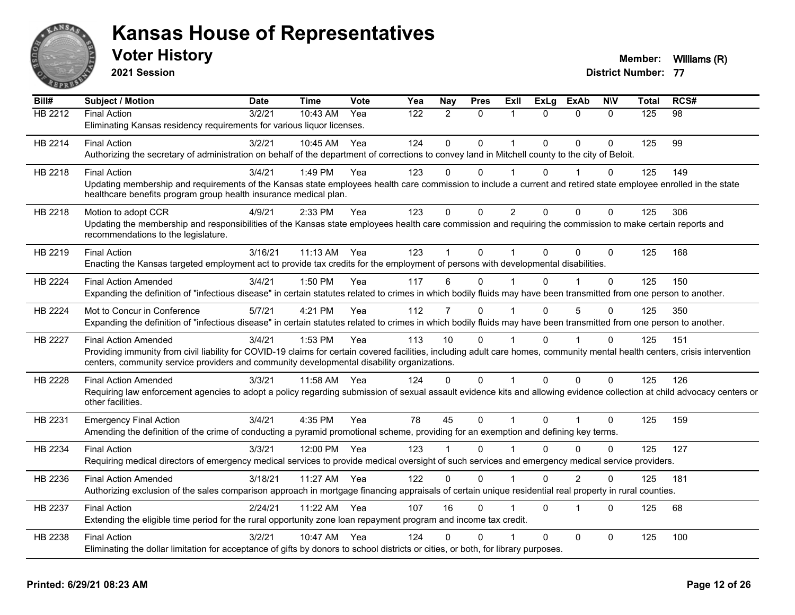

**2021 Session**

| Bill#          | <b>Subject / Motion</b>                                                                                                                                                                                                                                                    | <b>Date</b> | <b>Time</b> | <b>Vote</b> | Yea              | <b>Nay</b>     | <b>Pres</b> | Exll        | <b>ExLg</b> | <b>ExAb</b>    | <b>NIV</b>   | <b>Total</b>   | RCS#            |
|----------------|----------------------------------------------------------------------------------------------------------------------------------------------------------------------------------------------------------------------------------------------------------------------------|-------------|-------------|-------------|------------------|----------------|-------------|-------------|-------------|----------------|--------------|----------------|-----------------|
| <b>HB 2212</b> | <b>Final Action</b>                                                                                                                                                                                                                                                        | 3/2/21      | 10:43 AM    | Yea         | $\overline{122}$ | 2              | $\Omega$    | $\mathbf 1$ | $\Omega$    | $\Omega$       | $\mathbf{0}$ | $\frac{1}{25}$ | $\overline{98}$ |
|                | Eliminating Kansas residency requirements for various liquor licenses.                                                                                                                                                                                                     |             |             |             |                  |                |             |             |             |                |              |                |                 |
| HB 2214        | <b>Final Action</b>                                                                                                                                                                                                                                                        | 3/2/21      | 10:45 AM    | Yea         | 124              | $\mathbf{0}$   | $\Omega$    | 1           | $\Omega$    | $\mathbf{0}$   | $\Omega$     | 125            | 99              |
|                | Authorizing the secretary of administration on behalf of the department of corrections to convey land in Mitchell county to the city of Beloit.                                                                                                                            |             |             |             |                  |                |             |             |             |                |              |                |                 |
| HB 2218        | <b>Final Action</b>                                                                                                                                                                                                                                                        | 3/4/21      | 1:49 PM     | Yea         | 123              | $\Omega$       | 0           |             | $\Omega$    |                | 0            | 125            | 149             |
|                | Updating membership and requirements of the Kansas state employees health care commission to include a current and retired state employee enrolled in the state<br>healthcare benefits program group health insurance medical plan.                                        |             |             |             |                  |                |             |             |             |                |              |                |                 |
| HB 2218        | Motion to adopt CCR                                                                                                                                                                                                                                                        | 4/9/21      | 2:33 PM     | Yea         | 123              | $\Omega$       | $\Omega$    | 2           | $\Omega$    | $\Omega$       | $\Omega$     | 125            | 306             |
|                | Updating the membership and responsibilities of the Kansas state employees health care commission and requiring the commission to make certain reports and<br>recommendations to the legislature.                                                                          |             |             |             |                  |                |             |             |             |                |              |                |                 |
| HB 2219        | <b>Final Action</b>                                                                                                                                                                                                                                                        | 3/16/21     | 11:13 AM    | Yea         | 123              |                | 0           |             | $\Omega$    | $\Omega$       | $\Omega$     | 125            | 168             |
|                | Enacting the Kansas targeted employment act to provide tax credits for the employment of persons with developmental disabilities.                                                                                                                                          |             |             |             |                  |                |             |             |             |                |              |                |                 |
| HB 2224        | <b>Final Action Amended</b>                                                                                                                                                                                                                                                | 3/4/21      | 1:50 PM     | Yea         | 117              | 6              | $\Omega$    |             | $\Omega$    |                | $\Omega$     | 125            | 150             |
|                | Expanding the definition of "infectious disease" in certain statutes related to crimes in which bodily fluids may have been transmitted from one person to another.                                                                                                        |             |             |             |                  |                |             |             |             |                |              |                |                 |
| HB 2224        | Mot to Concur in Conference                                                                                                                                                                                                                                                | 5/7/21      | 4:21 PM     | Yea         | 112              | $\overline{7}$ | $\Omega$    |             | $\Omega$    | 5              | $\Omega$     | 125            | 350             |
|                | Expanding the definition of "infectious disease" in certain statutes related to crimes in which bodily fluids may have been transmitted from one person to another.                                                                                                        |             |             |             |                  |                |             |             |             |                |              |                |                 |
| <b>HB 2227</b> | <b>Final Action Amended</b>                                                                                                                                                                                                                                                | 3/4/21      | 1:53 PM     | Yea         | 113              | 10             | $\Omega$    |             | $\Omega$    |                | $\Omega$     | 125            | 151             |
|                | Providing immunity from civil liability for COVID-19 claims for certain covered facilities, including adult care homes, community mental health centers, crisis intervention<br>centers, community service providers and community developmental disability organizations. |             |             |             |                  |                |             |             |             |                |              |                |                 |
| HB 2228        | <b>Final Action Amended</b>                                                                                                                                                                                                                                                | 3/3/21      | 11:58 AM    | Yea         | 124              | 0              | 0           | 1           | $\Omega$    | $\mathbf 0$    | $\Omega$     | 125            | 126             |
|                | Requiring law enforcement agencies to adopt a policy regarding submission of sexual assault evidence kits and allowing evidence collection at child advocacy centers or<br>other facilities.                                                                               |             |             |             |                  |                |             |             |             |                |              |                |                 |
| HB 2231        | <b>Emergency Final Action</b>                                                                                                                                                                                                                                              | 3/4/21      | 4:35 PM     | Yea         | 78               | 45             | $\mathbf 0$ | 1           | $\Omega$    | 1              | $\Omega$     | 125            | 159             |
|                | Amending the definition of the crime of conducting a pyramid promotional scheme, providing for an exemption and defining key terms.                                                                                                                                        |             |             |             |                  |                |             |             |             |                |              |                |                 |
| HB 2234        | <b>Final Action</b>                                                                                                                                                                                                                                                        | 3/3/21      | 12:00 PM    | Yea         | 123              |                | 0           |             | 0           | $\Omega$       | $\Omega$     | 125            | 127             |
|                | Requiring medical directors of emergency medical services to provide medical oversight of such services and emergency medical service providers.                                                                                                                           |             |             |             |                  |                |             |             |             |                |              |                |                 |
| HB 2236        | <b>Final Action Amended</b>                                                                                                                                                                                                                                                | 3/18/21     | 11:27 AM    | Yea         | 122              | $\mathbf 0$    | $\mathbf 0$ | 1           | $\Omega$    | $\overline{2}$ | $\mathbf 0$  | 125            | 181             |
|                | Authorizing exclusion of the sales comparison approach in mortgage financing appraisals of certain unique residential real property in rural counties.                                                                                                                     |             |             |             |                  |                |             |             |             |                |              |                |                 |
| HB 2237        | <b>Final Action</b>                                                                                                                                                                                                                                                        | 2/24/21     | 11:22 AM    | Yea         | 107              | 16             | $\Omega$    |             | $\Omega$    | $\overline{1}$ | $\Omega$     | 125            | 68              |
|                | Extending the eligible time period for the rural opportunity zone loan repayment program and income tax credit.                                                                                                                                                            |             |             |             |                  |                |             |             |             |                |              |                |                 |
| HB 2238        | <b>Final Action</b>                                                                                                                                                                                                                                                        | 3/2/21      | $10:47$ AM  | Yea         | 124              | $\Omega$       | $\Omega$    |             | $\Omega$    | $\mathbf{0}$   | $\Omega$     | 125            | 100             |
|                | Eliminating the dollar limitation for acceptance of gifts by donors to school districts or cities, or both, for library purposes.                                                                                                                                          |             |             |             |                  |                |             |             |             |                |              |                |                 |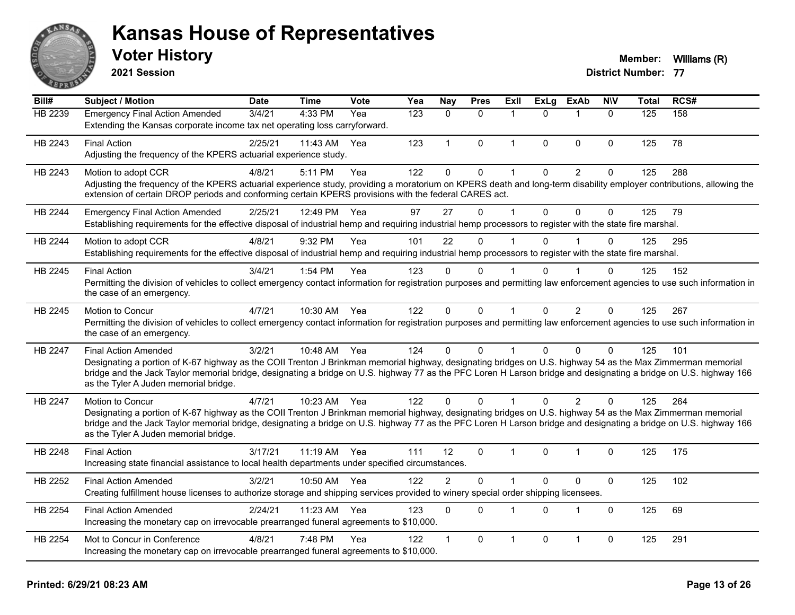

**2021 Session**

#### **Voter History Member:** Williams (R)

| Bill#          | <b>Subject / Motion</b>                                                                                                                                                                                                                                                                                                                                                                                  | <b>Date</b> | <b>Time</b>  | Vote | Yea | Nay            | <b>Pres</b>  | <b>Exll</b>  | <b>ExLg</b> | <b>ExAb</b>    | <b>NIV</b>   | <b>Total</b> | RCS# |
|----------------|----------------------------------------------------------------------------------------------------------------------------------------------------------------------------------------------------------------------------------------------------------------------------------------------------------------------------------------------------------------------------------------------------------|-------------|--------------|------|-----|----------------|--------------|--------------|-------------|----------------|--------------|--------------|------|
| HB 2239        | <b>Emergency Final Action Amended</b><br>Extending the Kansas corporate income tax net operating loss carryforward.                                                                                                                                                                                                                                                                                      | 3/4/21      | 4:33 PM      | Yea  | 123 | $\Omega$       | $\Omega$     | 1            | $\Omega$    | $\mathbf 1$    | $\Omega$     | 125          | 158  |
| HB 2243        | <b>Final Action</b><br>Adjusting the frequency of the KPERS actuarial experience study.                                                                                                                                                                                                                                                                                                                  | 2/25/21     | 11:43 AM     | Yea  | 123 | $\mathbf{1}$   | $\mathbf{0}$ | $\mathbf 1$  | $\Omega$    | $\mathbf{0}$   | $\mathbf{0}$ | 125          | 78   |
| HB 2243        | Motion to adopt CCR<br>Adjusting the frequency of the KPERS actuarial experience study, providing a moratorium on KPERS death and long-term disability employer contributions, allowing the<br>extension of certain DROP periods and conforming certain KPERS provisions with the federal CARES act.                                                                                                     | 4/8/21      | 5:11 PM      | Yea  | 122 | $\Omega$       | $\pmb{0}$    | 1            | $\Omega$    | $\overline{2}$ | $\Omega$     | 125          | 288  |
| HB 2244        | <b>Emergency Final Action Amended</b><br>Establishing requirements for the effective disposal of industrial hemp and requiring industrial hemp processors to register with the state fire marshal.                                                                                                                                                                                                       | 2/25/21     | 12:49 PM     | Yea  | 97  | 27             | $\mathbf{0}$ | 1            | $\Omega$    | $\mathbf{0}$   | $\mathbf{0}$ | 125          | 79   |
| HB 2244        | Motion to adopt CCR<br>Establishing requirements for the effective disposal of industrial hemp and requiring industrial hemp processors to register with the state fire marshal.                                                                                                                                                                                                                         | 4/8/21      | 9:32 PM      | Yea  | 101 | 22             | $\Omega$     |              | $\Omega$    |                | $\Omega$     | 125          | 295  |
| HB 2245        | <b>Final Action</b><br>Permitting the division of vehicles to collect emergency contact information for registration purposes and permitting law enforcement agencies to use such information in<br>the case of an emergency.                                                                                                                                                                            | 3/4/21      | 1:54 PM      | Yea  | 123 | $\Omega$       | $\Omega$     |              |             |                | $\Omega$     | 125          | 152  |
| HB 2245        | Motion to Concur<br>Permitting the division of vehicles to collect emergency contact information for registration purposes and permitting law enforcement agencies to use such information in<br>the case of an emergency.                                                                                                                                                                               | 4/7/21      | 10:30 AM     | Yea  | 122 | $\Omega$       | $\mathbf{0}$ | $\mathbf{1}$ | $\Omega$    | 2              | $\Omega$     | 125          | 267  |
| HB 2247        | <b>Final Action Amended</b><br>Designating a portion of K-67 highway as the COII Trenton J Brinkman memorial highway, designating bridges on U.S. highway 54 as the Max Zimmerman memorial<br>bridge and the Jack Taylor memorial bridge, designating a bridge on U.S. highway 77 as the PFC Loren H Larson bridge and designating a bridge on U.S. highway 166<br>as the Tyler A Juden memorial bridge. | 3/2/21      | 10:48 AM Yea |      | 124 | $\Omega$       | $\mathbf{0}$ |              | $\Omega$    | $\mathbf{0}$   | $\Omega$     | 125          | 101  |
| <b>HB 2247</b> | Motion to Concur<br>Designating a portion of K-67 highway as the COII Trenton J Brinkman memorial highway, designating bridges on U.S. highway 54 as the Max Zimmerman memorial<br>bridge and the Jack Taylor memorial bridge, designating a bridge on U.S. highway 77 as the PFC Loren H Larson bridge and designating a bridge on U.S. highway 166<br>as the Tyler A Juden memorial bridge.            | 4/7/21      | 10:23 AM Yea |      | 122 | $\Omega$       | $\Omega$     |              | $\Omega$    | 2              | 0            | 125          | 264  |
| HB 2248        | <b>Final Action</b><br>Increasing state financial assistance to local health departments under specified circumstances.                                                                                                                                                                                                                                                                                  | 3/17/21     | 11:19 AM Yea |      | 111 | 12             | $\mathbf{0}$ | 1            | $\Omega$    | $\overline{1}$ | $\Omega$     | 125          | 175  |
| HB 2252        | <b>Final Action Amended</b><br>Creating fulfillment house licenses to authorize storage and shipping services provided to winery special order shipping licensees.                                                                                                                                                                                                                                       | 3/2/21      | 10:50 AM     | Yea  | 122 | $\overline{2}$ | $\mathbf 0$  | 1            | $\Omega$    | $\pmb{0}$      | $\pmb{0}$    | 125          | 102  |
| HB 2254        | <b>Final Action Amended</b><br>Increasing the monetary cap on irrevocable prearranged funeral agreements to \$10,000.                                                                                                                                                                                                                                                                                    | 2/24/21     | 11:23 AM     | Yea  | 123 | $\Omega$       | $\Omega$     | 1            | $\Omega$    | $\mathbf 1$    | $\mathbf{0}$ | 125          | 69   |
| HB 2254        | Mot to Concur in Conference<br>Increasing the monetary cap on irrevocable prearranged funeral agreements to \$10,000.                                                                                                                                                                                                                                                                                    | 4/8/21      | 7:48 PM      | Yea  | 122 |                | $\mathbf{0}$ | 1            | $\Omega$    | $\overline{1}$ | 0            | 125          | 291  |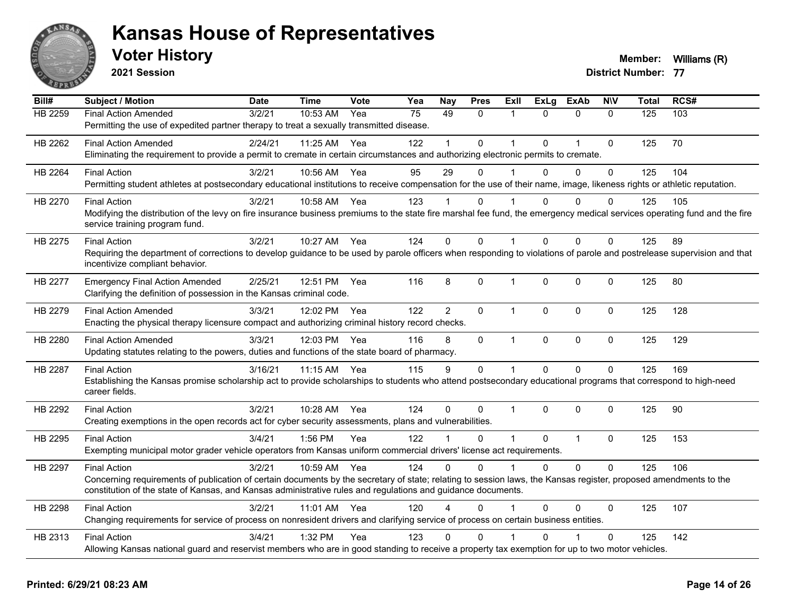

**2021 Session**

| Bill#          | <b>Subject / Motion</b>                                                                                                                                                                                                                                                          | <b>Date</b> | <b>Time</b> | <b>Vote</b> | Yea | <b>Nay</b> | <b>Pres</b>  | <b>Exll</b>    | <b>ExLg</b>  | <b>ExAb</b>    | <b>NIV</b>   | <b>Total</b> | RCS# |
|----------------|----------------------------------------------------------------------------------------------------------------------------------------------------------------------------------------------------------------------------------------------------------------------------------|-------------|-------------|-------------|-----|------------|--------------|----------------|--------------|----------------|--------------|--------------|------|
| <b>HB 2259</b> | <b>Final Action Amended</b>                                                                                                                                                                                                                                                      | 3/2/21      | 10:53 AM    | Yea         | 75  | 49         | $\Omega$     | 1              | $\Omega$     | $\mathbf{0}$   | $\mathbf{0}$ | 125          | 103  |
|                | Permitting the use of expedited partner therapy to treat a sexually transmitted disease.                                                                                                                                                                                         |             |             |             |     |            |              |                |              |                |              |              |      |
| HB 2262        | <b>Final Action Amended</b>                                                                                                                                                                                                                                                      | 2/24/21     | 11:25 AM    | Yea         | 122 |            | $\Omega$     | $\overline{1}$ | $\Omega$     | $\overline{1}$ | $\mathbf{0}$ | 125          | 70   |
|                | Eliminating the requirement to provide a permit to cremate in certain circumstances and authorizing electronic permits to cremate.                                                                                                                                               |             |             |             |     |            |              |                |              |                |              |              |      |
| HB 2264        | <b>Final Action</b>                                                                                                                                                                                                                                                              | 3/2/21      | 10:56 AM    | Yea         | 95  | 29         | $\Omega$     | $\overline{1}$ | $\Omega$     | $\mathbf{0}$   | $\Omega$     | 125          | 104  |
|                | Permitting student athletes at postsecondary educational institutions to receive compensation for the use of their name, image, likeness rights or athletic reputation.                                                                                                          |             |             |             |     |            |              |                |              |                |              |              |      |
| HB 2270        | <b>Final Action</b>                                                                                                                                                                                                                                                              | 3/2/21      | 10:58 AM    | Yea         | 123 |            | 0            |                | 0            | 0              | 0            | 125          | 105  |
|                | Modifying the distribution of the levy on fire insurance business premiums to the state fire marshal fee fund, the emergency medical services operating fund and the fire<br>service training program fund.                                                                      |             |             |             |     |            |              |                |              |                |              |              |      |
| HB 2275        | <b>Final Action</b>                                                                                                                                                                                                                                                              | 3/2/21      | 10:27 AM    | Yea         | 124 | $\Omega$   | $\Omega$     | 1              | 0            | $\Omega$       | $\Omega$     | 125          | 89   |
|                | Requiring the department of corrections to develop guidance to be used by parole officers when responding to violations of parole and postrelease supervision and that                                                                                                           |             |             |             |     |            |              |                |              |                |              |              |      |
|                | incentivize compliant behavior.                                                                                                                                                                                                                                                  |             |             |             |     |            |              |                |              |                |              |              |      |
| <b>HB 2277</b> | <b>Emergency Final Action Amended</b>                                                                                                                                                                                                                                            | 2/25/21     | 12:51 PM    | Yea         | 116 | 8          | 0            | 1              | $\mathbf 0$  | $\mathbf 0$    | 0            | 125          | 80   |
|                | Clarifying the definition of possession in the Kansas criminal code.                                                                                                                                                                                                             |             |             |             |     |            |              |                |              |                |              |              |      |
| HB 2279        | <b>Final Action Amended</b>                                                                                                                                                                                                                                                      | 3/3/21      | 12:02 PM    | Yea         | 122 | 2          | $\Omega$     | $\mathbf{1}$   | $\mathbf{0}$ | $\mathbf{0}$   | $\Omega$     | 125          | 128  |
|                | Enacting the physical therapy licensure compact and authorizing criminal history record checks.                                                                                                                                                                                  |             |             |             |     |            |              |                |              |                |              |              |      |
| HB 2280        | <b>Final Action Amended</b>                                                                                                                                                                                                                                                      | 3/3/21      | 12:03 PM    | Yea         | 116 | 8          | 0            | $\mathbf{1}$   | $\mathbf 0$  | $\mathbf 0$    | $\mathbf 0$  | 125          | 129  |
|                | Updating statutes relating to the powers, duties and functions of the state board of pharmacy.                                                                                                                                                                                   |             |             |             |     |            |              |                |              |                |              |              |      |
| HB 2287        | <b>Final Action</b>                                                                                                                                                                                                                                                              | 3/16/21     | 11:15 AM    | Yea         | 115 | 9          | $\mathbf 0$  | $\mathbf{1}$   | $\mathbf 0$  | $\mathbf 0$    | $\mathbf 0$  | 125          | 169  |
|                | Establishing the Kansas promise scholarship act to provide scholarships to students who attend postsecondary educational programs that correspond to high-need                                                                                                                   |             |             |             |     |            |              |                |              |                |              |              |      |
|                | career fields.                                                                                                                                                                                                                                                                   |             |             |             |     |            |              |                |              |                |              |              |      |
| HB 2292        | <b>Final Action</b>                                                                                                                                                                                                                                                              | 3/2/21      | 10:28 AM    | Yea         | 124 | $\Omega$   | $\mathbf{0}$ | $\mathbf 1$    | $\Omega$     | $\mathbf{0}$   | $\Omega$     | 125          | 90   |
|                | Creating exemptions in the open records act for cyber security assessments, plans and vulnerabilities.                                                                                                                                                                           |             |             |             |     |            |              |                |              |                |              |              |      |
| HB 2295        | <b>Final Action</b>                                                                                                                                                                                                                                                              | 3/4/21      | 1:56 PM     | Yea         | 122 |            | 0            | 1              | $\Omega$     | $\overline{1}$ | $\mathbf 0$  | 125          | 153  |
|                | Exempting municipal motor grader vehicle operators from Kansas uniform commercial drivers' license act requirements.                                                                                                                                                             |             |             |             |     |            |              |                |              |                |              |              |      |
| HB 2297        | <b>Final Action</b>                                                                                                                                                                                                                                                              | 3/2/21      | 10:59 AM    | Yea         | 124 | $\Omega$   | $\Omega$     | 1              | $\Omega$     | $\Omega$       | $\Omega$     | 125          | 106  |
|                | Concerning requirements of publication of certain documents by the secretary of state; relating to session laws, the Kansas register, proposed amendments to the<br>constitution of the state of Kansas, and Kansas administrative rules and regulations and guidance documents. |             |             |             |     |            |              |                |              |                |              |              |      |
| HB 2298        | <b>Final Action</b>                                                                                                                                                                                                                                                              | 3/2/21      | 11:01 AM    | Yea         | 120 |            | $\Omega$     |                | $\Omega$     | 0              | $\Omega$     | 125          | 107  |
|                | Changing requirements for service of process on nonresident drivers and clarifying service of process on certain business entities.                                                                                                                                              |             |             |             |     |            |              |                |              |                |              |              |      |
| HB 2313        | <b>Final Action</b>                                                                                                                                                                                                                                                              | 3/4/21      | 1:32 PM     | Yea         | 123 | 0          | 0            |                | O            |                | $\mathbf 0$  | 125          | 142  |
|                | Allowing Kansas national guard and reservist members who are in good standing to receive a property tax exemption for up to two motor vehicles.                                                                                                                                  |             |             |             |     |            |              |                |              |                |              |              |      |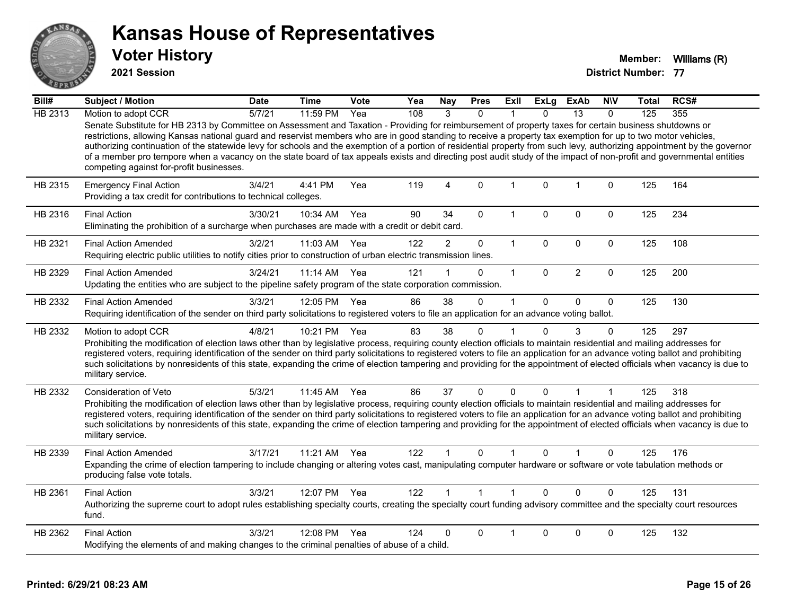

**2021 Session**

| Bill#   | Subject / Motion                                                                                                                                                                                                                                                                                                                                                                                                                                                                                                                                                                                                                                                                                                          | <b>Date</b> | Time     | Vote | Yea | Nay            | <b>Pres</b>    | Exll        | <b>ExLg</b>  | <b>ExAb</b>    | <b>NIV</b>   | Total | RCS# |
|---------|---------------------------------------------------------------------------------------------------------------------------------------------------------------------------------------------------------------------------------------------------------------------------------------------------------------------------------------------------------------------------------------------------------------------------------------------------------------------------------------------------------------------------------------------------------------------------------------------------------------------------------------------------------------------------------------------------------------------------|-------------|----------|------|-----|----------------|----------------|-------------|--------------|----------------|--------------|-------|------|
| HB 2313 | Motion to adopt CCR                                                                                                                                                                                                                                                                                                                                                                                                                                                                                                                                                                                                                                                                                                       | 5/7/21      | 11:59 PM | Yea  | 108 | 3              | $\Omega$       |             | $\Omega$     | 13             | $\Omega$     | 125   | 355  |
|         | Senate Substitute for HB 2313 by Committee on Assessment and Taxation - Providing for reimbursement of property taxes for certain business shutdowns or<br>restrictions, allowing Kansas national guard and reservist members who are in good standing to receive a property tax exemption for up to two motor vehicles,<br>authorizing continuation of the statewide levy for schools and the exemption of a portion of residential property from such levy, authorizing appointment by the governor<br>of a member pro tempore when a vacancy on the state board of tax appeals exists and directing post audit study of the impact of non-profit and governmental entities<br>competing against for-profit businesses. |             |          |      |     |                |                |             |              |                |              |       |      |
| HB 2315 | <b>Emergency Final Action</b><br>Providing a tax credit for contributions to technical colleges.                                                                                                                                                                                                                                                                                                                                                                                                                                                                                                                                                                                                                          | 3/4/21      | 4:41 PM  | Yea  | 119 | $\overline{4}$ | $\mathbf 0$    | $\mathbf 1$ | $\mathbf{0}$ | $\mathbf{1}$   | $\mathbf 0$  | 125   | 164  |
| HB 2316 | <b>Final Action</b><br>Eliminating the prohibition of a surcharge when purchases are made with a credit or debit card.                                                                                                                                                                                                                                                                                                                                                                                                                                                                                                                                                                                                    | 3/30/21     | 10:34 AM | Yea  | 90  | 34             | $\mathbf{0}$   | 1           | $\Omega$     | $\mathbf 0$    | $\mathbf 0$  | 125   | 234  |
| HB 2321 | <b>Final Action Amended</b><br>Requiring electric public utilities to notify cities prior to construction of urban electric transmission lines.                                                                                                                                                                                                                                                                                                                                                                                                                                                                                                                                                                           | 3/2/21      | 11:03 AM | Yea  | 122 | $\overline{a}$ | $\mathbf 0$    | $\mathbf 1$ | 0            | $\mathbf 0$    | $\mathbf 0$  | 125   | 108  |
| HB 2329 | <b>Final Action Amended</b><br>Updating the entities who are subject to the pipeline safety program of the state corporation commission.                                                                                                                                                                                                                                                                                                                                                                                                                                                                                                                                                                                  | 3/24/21     | 11:14 AM | Yea  | 121 |                | 0              | $\mathbf 1$ | $\mathbf{0}$ | $\overline{2}$ | $\mathbf 0$  | 125   | 200  |
| HB 2332 | <b>Final Action Amended</b><br>Requiring identification of the sender on third party solicitations to registered voters to file an application for an advance voting ballot.                                                                                                                                                                                                                                                                                                                                                                                                                                                                                                                                              | 3/3/21      | 12:05 PM | Yea  | 86  | 38             | $\mathbf{0}$   | 1           | $\Omega$     | $\mathbf{0}$   | $\Omega$     | 125   | 130  |
| HB 2332 | Motion to adopt CCR<br>Prohibiting the modification of election laws other than by legislative process, requiring county election officials to maintain residential and mailing addresses for<br>registered voters, requiring identification of the sender on third party solicitations to registered voters to file an application for an advance voting ballot and prohibiting<br>such solicitations by nonresidents of this state, expanding the crime of election tampering and providing for the appointment of elected officials when vacancy is due to<br>military service.                                                                                                                                        | 4/8/21      | 10:21 PM | Yea  | 83  | 38             | 0              |             | $\Omega$     | 3              | $\Omega$     | 125   | 297  |
| HB 2332 | Consideration of Veto<br>Prohibiting the modification of election laws other than by legislative process, requiring county election officials to maintain residential and mailing addresses for<br>registered voters, requiring identification of the sender on third party solicitations to registered voters to file an application for an advance voting ballot and prohibiting<br>such solicitations by nonresidents of this state, expanding the crime of election tampering and providing for the appointment of elected officials when vacancy is due to<br>military service.                                                                                                                                      | 5/3/21      | 11:45 AM | Yea  | 86  | 37             | $\mathbf 0$    | $\Omega$    | $\Omega$     | 1              | $\mathbf{1}$ | 125   | 318  |
| HB 2339 | <b>Final Action Amended</b><br>Expanding the crime of election tampering to include changing or altering votes cast, manipulating computer hardware or software or vote tabulation methods or<br>producing false vote totals.                                                                                                                                                                                                                                                                                                                                                                                                                                                                                             | 3/17/21     | 11:21 AM | Yea  | 122 |                | $\mathbf{0}$   |             | $\Omega$     |                | $\mathbf{0}$ | 125   | 176  |
| HB 2361 | <b>Final Action</b><br>Authorizing the supreme court to adopt rules establishing specialty courts, creating the specialty court funding advisory committee and the specialty court resources<br>fund.                                                                                                                                                                                                                                                                                                                                                                                                                                                                                                                     | 3/3/21      | 12:07 PM | Yea  | 122 |                | $\overline{1}$ |             | $\Omega$     | $\Omega$       | $\Omega$     | 125   | 131  |
| HB 2362 | <b>Final Action</b><br>Modifying the elements of and making changes to the criminal penalties of abuse of a child.                                                                                                                                                                                                                                                                                                                                                                                                                                                                                                                                                                                                        | 3/3/21      | 12:08 PM | Yea  | 124 | 0              | 0              | 1           | 0            | $\mathbf 0$    | 0            | 125   | 132  |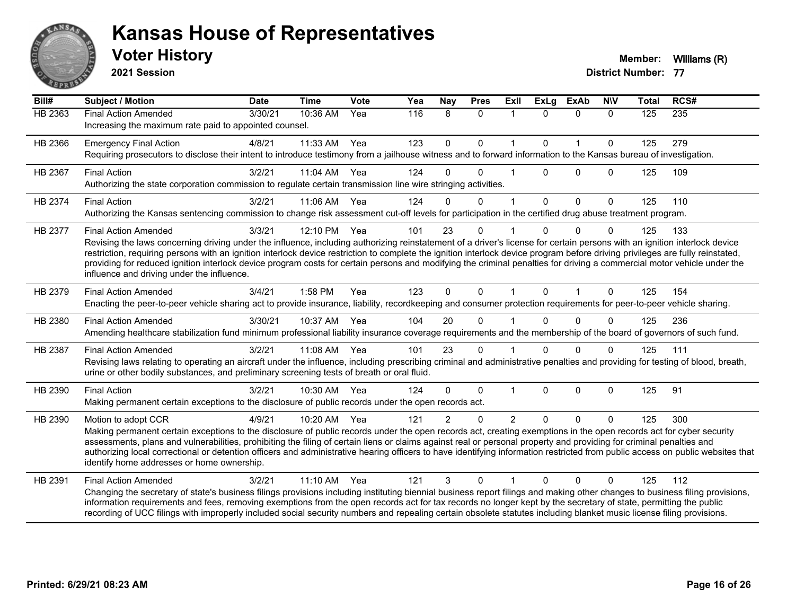

**2021 Session**

| Bill#          | <b>Subject / Motion</b>                                                                                                                                                                                                                                                                                                                                                                                                                                                                                                                                                                                             | <b>Date</b> | <b>Time</b> | Vote | Yea | Nay            | <b>Pres</b>  | <b>Exll</b>    | <b>ExLg</b>  | <b>ExAb</b>  | <b>NIV</b>   | <b>Total</b> | RCS# |
|----------------|---------------------------------------------------------------------------------------------------------------------------------------------------------------------------------------------------------------------------------------------------------------------------------------------------------------------------------------------------------------------------------------------------------------------------------------------------------------------------------------------------------------------------------------------------------------------------------------------------------------------|-------------|-------------|------|-----|----------------|--------------|----------------|--------------|--------------|--------------|--------------|------|
| <b>HB 2363</b> | <b>Final Action Amended</b><br>Increasing the maximum rate paid to appointed counsel.                                                                                                                                                                                                                                                                                                                                                                                                                                                                                                                               | 3/30/21     | 10:36 AM    | Yea  | 116 | 8              | $\mathbf{0}$ | $\mathbf{1}$   | $\Omega$     | $\mathbf{0}$ | $\Omega$     | 125          | 235  |
| HB 2366        | <b>Emergency Final Action</b><br>Requiring prosecutors to disclose their intent to introduce testimony from a jailhouse witness and to forward information to the Kansas bureau of investigation.                                                                                                                                                                                                                                                                                                                                                                                                                   | 4/8/21      | 11:33 AM    | Yea  | 123 | $\mathbf 0$    | $\mathbf 0$  | $\mathbf{1}$   | $\mathbf{0}$ | $\mathbf{1}$ | $\mathbf{0}$ | 125          | 279  |
| HB 2367        | <b>Final Action</b><br>Authorizing the state corporation commission to regulate certain transmission line wire stringing activities.                                                                                                                                                                                                                                                                                                                                                                                                                                                                                | 3/2/21      | 11:04 AM    | Yea  | 124 | $\Omega$       | $\Omega$     |                | $\Omega$     | $\Omega$     | $\Omega$     | 125          | 109  |
| HB 2374        | <b>Final Action</b><br>Authorizing the Kansas sentencing commission to change risk assessment cut-off levels for participation in the certified drug abuse treatment program.                                                                                                                                                                                                                                                                                                                                                                                                                                       | 3/2/21      | 11:06 AM    | Yea  | 124 | $\Omega$       | $\mathbf{0}$ | 1              | $\mathbf{0}$ | $\mathbf{0}$ | $\mathbf{0}$ | 125          | 110  |
| HB 2377        | <b>Final Action Amended</b><br>Revising the laws concerning driving under the influence, including authorizing reinstatement of a driver's license for certain persons with an ignition interlock device<br>restriction, requiring persons with an ignition interlock device restriction to complete the ignition interlock device program before driving privileges are fully reinstated,<br>providing for reduced ignition interlock device program costs for certain persons and modifying the criminal penalties for driving a commercial motor vehicle under the<br>influence and driving under the influence. | 3/3/21      | 12:10 PM    | Yea  | 101 | 23             | $\Omega$     |                | $\Omega$     | $\Omega$     | $\Omega$     | 125          | 133  |
| HB 2379        | <b>Final Action Amended</b><br>Enacting the peer-to-peer vehicle sharing act to provide insurance, liability, recordkeeping and consumer protection requirements for peer-to-peer vehicle sharing.                                                                                                                                                                                                                                                                                                                                                                                                                  | 3/4/21      | 1:58 PM     | Yea  | 123 | $\mathbf{0}$   | $\mathbf{0}$ | $\mathbf 1$    | $\mathbf{0}$ | $\mathbf 1$  | $\mathbf{0}$ | 125          | 154  |
| HB 2380        | <b>Final Action Amended</b><br>Amending healthcare stabilization fund minimum professional liability insurance coverage requirements and the membership of the board of governors of such fund.                                                                                                                                                                                                                                                                                                                                                                                                                     | 3/30/21     | 10:37 AM    | Yea  | 104 | 20             | $\Omega$     |                |              | $\Omega$     | $\Omega$     | 125          | 236  |
| HB 2387        | <b>Final Action Amended</b><br>Revising laws relating to operating an aircraft under the influence, including prescribing criminal and administrative penalties and providing for testing of blood, breath,<br>urine or other bodily substances, and preliminary screening tests of breath or oral fluid.                                                                                                                                                                                                                                                                                                           | 3/2/21      | 11:08 AM    | Yea  | 101 | 23             | $\mathbf{0}$ |                | $\Omega$     | $\Omega$     | $\Omega$     | 125          | 111  |
| HB 2390        | <b>Final Action</b><br>Making permanent certain exceptions to the disclosure of public records under the open records act.                                                                                                                                                                                                                                                                                                                                                                                                                                                                                          | 3/2/21      | 10:30 AM    | Yea  | 124 | $\Omega$       | $\Omega$     |                | $\Omega$     | $\mathbf 0$  | $\mathbf{0}$ | 125          | 91   |
| HB 2390        | Motion to adopt CCR<br>Making permanent certain exceptions to the disclosure of public records under the open records act, creating exemptions in the open records act for cyber security<br>assessments, plans and vulnerabilities, prohibiting the filing of certain liens or claims against real or personal property and providing for criminal penalties and<br>authorizing local correctional or detention officers and administrative hearing officers to have identifying information restricted from public access on public websites that<br>identify home addresses or home ownership.                   | 4/9/21      | 10:20 AM    | Yea  | 121 | $\overline{2}$ | $\Omega$     | $\overline{2}$ | $\Omega$     | $\Omega$     | $\Omega$     | 125          | 300  |
| HB 2391        | <b>Final Action Amended</b><br>Changing the secretary of state's business filings provisions including instituting biennial business report filings and making other changes to business filing provisions,<br>information requirements and fees, removing exemptions from the open records act for tax records no longer kept by the secretary of state, permitting the public<br>recording of UCC filings with improperly included social security numbers and repealing certain obsolete statutes including blanket music license filing provisions.                                                             | 3/2/21      | 11:10 AM    | Yea  | 121 | 3              | $\Omega$     |                | $\Omega$     | $\Omega$     | $\Omega$     | 125          | 112  |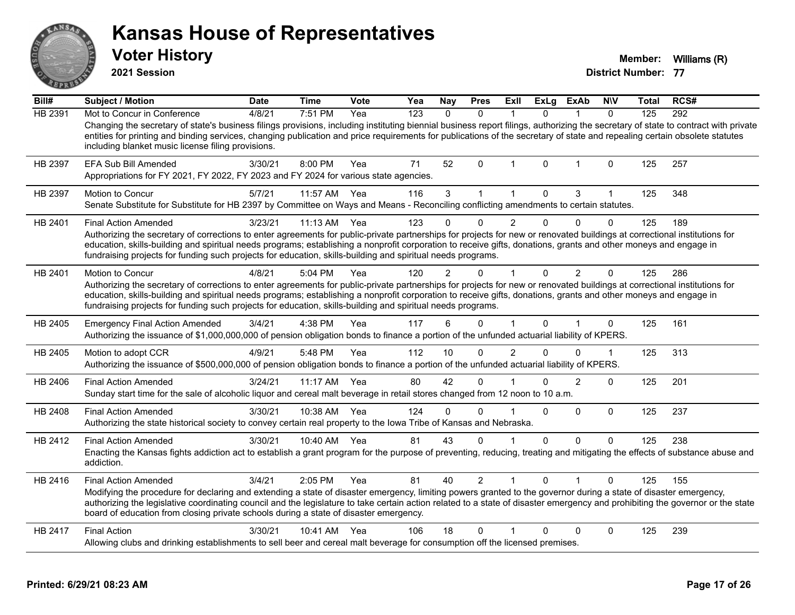**2021 Session**

**Voter History Member:** Williams (R)

| Bill#   | <b>Subject / Motion</b>                                                                                                                                                                                                                                                                                                                                                                                                                                                    | <b>Date</b> | <b>Time</b> | Vote | Yea | <b>Nay</b>   | <b>Pres</b>    | <b>ExII</b>    | <b>ExLg</b> | <b>ExAb</b>    | <b>NIV</b>   | Total | RCS# |
|---------|----------------------------------------------------------------------------------------------------------------------------------------------------------------------------------------------------------------------------------------------------------------------------------------------------------------------------------------------------------------------------------------------------------------------------------------------------------------------------|-------------|-------------|------|-----|--------------|----------------|----------------|-------------|----------------|--------------|-------|------|
| HB 2391 | Mot to Concur in Conference                                                                                                                                                                                                                                                                                                                                                                                                                                                | 4/8/21      | 7:51 PM     | Yea  | 123 | $\mathbf{0}$ | $\mathbf{0}$   | -1             | 0           | 1              | $\mathbf{0}$ | 125   | 292  |
|         | Changing the secretary of state's business filings provisions, including instituting biennial business report filings, authorizing the secretary of state to contract with private<br>entities for printing and binding services, changing publication and price requirements for publications of the secretary of state and repealing certain obsolete statutes<br>including blanket music license filing provisions.                                                     |             |             |      |     |              |                |                |             |                |              |       |      |
| HB 2397 | EFA Sub Bill Amended<br>Appropriations for FY 2021, FY 2022, FY 2023 and FY 2024 for various state agencies.                                                                                                                                                                                                                                                                                                                                                               | 3/30/21     | 8:00 PM     | Yea  | 71  | 52           | $\Omega$       | -1             | $\Omega$    | 1              | $\Omega$     | 125   | 257  |
| HB 2397 | Motion to Concur<br>Senate Substitute for Substitute for HB 2397 by Committee on Ways and Means - Reconciling conflicting amendments to certain statutes.                                                                                                                                                                                                                                                                                                                  | 5/7/21      | 11:57 AM    | Yea  | 116 | 3            | 1              |                | $\Omega$    | 3              |              | 125   | 348  |
| HB 2401 | <b>Final Action Amended</b>                                                                                                                                                                                                                                                                                                                                                                                                                                                | 3/23/21     | $11:13$ AM  | Yea  | 123 |              | 0              | 2              | 0           | $\Omega$       | $\Omega$     | 125   | 189  |
|         | Authorizing the secretary of corrections to enter agreements for public-private partnerships for projects for new or renovated buildings at correctional institutions for<br>education, skills-building and spiritual needs programs; establishing a nonprofit corporation to receive gifts, donations, grants and other moneys and engage in<br>fundraising projects for funding such projects for education, skills-building and spiritual needs programs.               |             |             |      |     |              |                |                |             |                |              |       |      |
| HB 2401 | <b>Motion to Concur</b>                                                                                                                                                                                                                                                                                                                                                                                                                                                    | 4/8/21      | 5:04 PM     | Yea  | 120 | 2            | 0              |                | 0           | 2              | $\Omega$     | 125   | 286  |
|         | Authorizing the secretary of corrections to enter agreements for public-private partnerships for projects for new or renovated buildings at correctional institutions for<br>education, skills-building and spiritual needs programs; establishing a nonprofit corporation to receive gifts, donations, grants and other moneys and engage in<br>fundraising projects for funding such projects for education, skills-building and spiritual needs programs.               |             |             |      |     |              |                |                |             |                |              |       |      |
| HB 2405 | <b>Emergency Final Action Amended</b><br>Authorizing the issuance of \$1,000,000,000 of pension obligation bonds to finance a portion of the unfunded actuarial liability of KPERS.                                                                                                                                                                                                                                                                                        | 3/4/21      | 4:38 PM     | Yea  | 117 | 6            | $\mathbf{0}$   |                | $\Omega$    | 1              | 0            | 125   | 161  |
| HB 2405 | Motion to adopt CCR<br>Authorizing the issuance of \$500,000,000 of pension obligation bonds to finance a portion of the unfunded actuarial liability of KPERS.                                                                                                                                                                                                                                                                                                            | 4/9/21      | 5:48 PM     | Yea  | 112 | 10           | $\Omega$       | $\overline{2}$ | $\Omega$    | 0              | $\mathbf{1}$ | 125   | 313  |
| HB 2406 | <b>Final Action Amended</b><br>Sunday start time for the sale of alcoholic liquor and cereal malt beverage in retail stores changed from 12 noon to 10 a.m.                                                                                                                                                                                                                                                                                                                | 3/24/21     | 11:17 AM    | Yea  | 80  | 42           | $\Omega$       |                | U           | $\overline{2}$ | $\Omega$     | 125   | 201  |
| HB 2408 | <b>Final Action Amended</b><br>Authorizing the state historical society to convey certain real property to the Iowa Tribe of Kansas and Nebraska.                                                                                                                                                                                                                                                                                                                          | 3/30/21     | 10:38 AM    | Yea  | 124 | $\Omega$     | $\Omega$       |                | $\Omega$    | $\mathbf 0$    | $\mathbf 0$  | 125   | 237  |
| HB 2412 | <b>Final Action Amended</b><br>Enacting the Kansas fights addiction act to establish a grant program for the purpose of preventing, reducing, treating and mitigating the effects of substance abuse and<br>addiction.                                                                                                                                                                                                                                                     | 3/30/21     | 10:40 AM    | Yea  | 81  | 43           | $\Omega$       |                | $\Omega$    | $\Omega$       | $\Omega$     | 125   | 238  |
| HB 2416 | <b>Final Action Amended</b><br>Modifying the procedure for declaring and extending a state of disaster emergency, limiting powers granted to the governor during a state of disaster emergency,<br>authorizing the legislative coordinating council and the legislature to take certain action related to a state of disaster emergency and prohibiting the governor or the state<br>board of education from closing private schools during a state of disaster emergency. | 3/4/21      | 2:05 PM     | Yea  | 81  | 40           | $\overline{2}$ |                | 0           |                | $\Omega$     | 125   | 155  |
| HB 2417 | <b>Final Action</b><br>Allowing clubs and drinking establishments to sell beer and cereal malt beverage for consumption off the licensed premises.                                                                                                                                                                                                                                                                                                                         | 3/30/21     | 10:41 AM    | Yea  | 106 | 18           | $\Omega$       |                | $\Omega$    | $\Omega$       | 0            | 125   | 239  |
|         |                                                                                                                                                                                                                                                                                                                                                                                                                                                                            |             |             |      |     |              |                |                |             |                |              |       |      |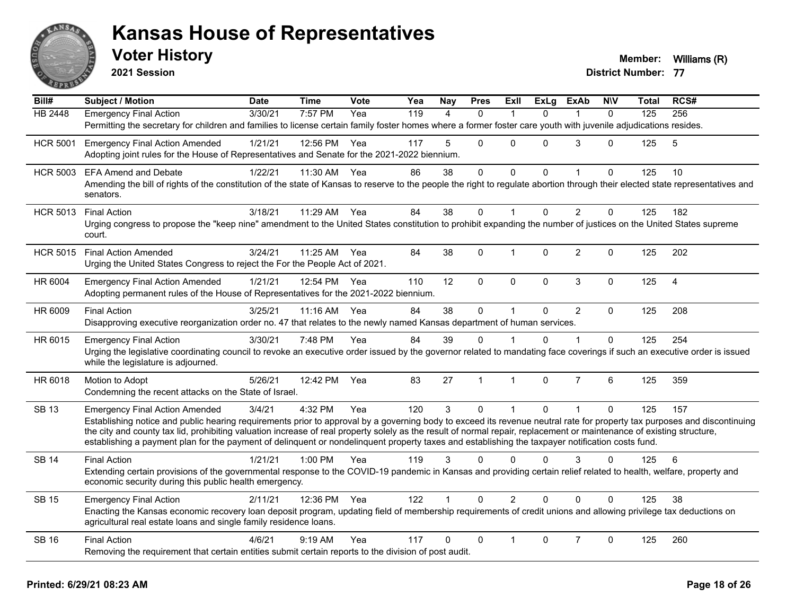

**2021 Session**

| Bill#           | <b>Subject / Motion</b>                                                                                                                                                                                                              | <b>Date</b> | <b>Time</b>  | <b>Vote</b> | Yea | <b>Nay</b> | <b>Pres</b>    | <b>Exll</b>    | <b>ExLg</b>  | <b>ExAb</b>    | <b>N\V</b>   | Total | RCS#           |
|-----------------|--------------------------------------------------------------------------------------------------------------------------------------------------------------------------------------------------------------------------------------|-------------|--------------|-------------|-----|------------|----------------|----------------|--------------|----------------|--------------|-------|----------------|
| <b>HB 2448</b>  | Emergency Final Action                                                                                                                                                                                                               | 3/30/21     | 7:57 PM      | Yea         | 119 | 4          | $\mathbf{0}$   | -1             | $\Omega$     | 1              | $\mathbf{0}$ | 125   | 256            |
|                 | Permitting the secretary for children and families to license certain family foster homes where a former foster care youth with juvenile adjudications resides.                                                                      |             |              |             |     |            |                |                |              |                |              |       |                |
| <b>HCR 5001</b> | <b>Emergency Final Action Amended</b>                                                                                                                                                                                                | 1/21/21     | 12:56 PM     | Yea         | 117 | 5          | $\mathbf{0}$   | $\Omega$       | $\Omega$     | 3              | $\Omega$     | 125   | 5              |
|                 | Adopting joint rules for the House of Representatives and Senate for the 2021-2022 biennium.                                                                                                                                         |             |              |             |     |            |                |                |              |                |              |       |                |
| <b>HCR 5003</b> | <b>EFA Amend and Debate</b>                                                                                                                                                                                                          | 1/22/21     | 11:30 AM     | Yea         | 86  | 38         | $\mathbf 0$    | 0              | $\Omega$     |                | $\mathbf 0$  | 125   | 10             |
|                 | Amending the bill of rights of the constitution of the state of Kansas to reserve to the people the right to regulate abortion through their elected state representatives and<br>senators.                                          |             |              |             |     |            |                |                |              |                |              |       |                |
| <b>HCR 5013</b> | <b>Final Action</b>                                                                                                                                                                                                                  | 3/18/21     | 11:29 AM     | Yea         | 84  | 38         | $\mathbf 0$    |                | $\Omega$     | $\overline{2}$ | $\mathbf{0}$ | 125   | 182            |
|                 | Urging congress to propose the "keep nine" amendment to the United States constitution to prohibit expanding the number of justices on the United States supreme<br>court.                                                           |             |              |             |     |            |                |                |              |                |              |       |                |
| <b>HCR 5015</b> | <b>Final Action Amended</b>                                                                                                                                                                                                          | 3/24/21     | 11:25 AM Yea |             | 84  | 38         | $\mathbf{0}$   | 1              | $\Omega$     | $\overline{2}$ | $\Omega$     | 125   | 202            |
|                 | Urging the United States Congress to reject the For the People Act of 2021.                                                                                                                                                          |             |              |             |     |            |                |                |              |                |              |       |                |
| HR 6004         | <b>Emergency Final Action Amended</b>                                                                                                                                                                                                | 1/21/21     | 12:54 PM Yea |             | 110 | 12         | $\pmb{0}$      | $\mathbf 0$    | 0            | $\mathbf{3}$   | $\pmb{0}$    | 125   | $\overline{4}$ |
|                 | Adopting permanent rules of the House of Representatives for the 2021-2022 biennium.                                                                                                                                                 |             |              |             |     |            |                |                |              |                |              |       |                |
| HR 6009         | <b>Final Action</b>                                                                                                                                                                                                                  | 3/25/21     | 11:16 AM     | Yea         | 84  | 38         | $\mathbf 0$    | $\mathbf{1}$   | $\Omega$     | $\overline{2}$ | $\mathbf{0}$ | 125   | 208            |
|                 | Disapproving executive reorganization order no. 47 that relates to the newly named Kansas department of human services.                                                                                                              |             |              |             |     |            |                |                |              |                |              |       |                |
| HR 6015         | <b>Emergency Final Action</b>                                                                                                                                                                                                        | 3/30/21     | 7:48 PM      | Yea         | 84  | 39         | 0              |                | 0            |                | $\Omega$     | 125   | 254            |
|                 | Urging the legislative coordinating council to revoke an executive order issued by the governor related to mandating face coverings if such an executive order is issued                                                             |             |              |             |     |            |                |                |              |                |              |       |                |
|                 | while the legislature is adjourned.                                                                                                                                                                                                  |             |              |             |     |            |                |                |              |                |              |       |                |
| HR 6018         | Motion to Adopt                                                                                                                                                                                                                      | 5/26/21     | 12:42 PM     | Yea         | 83  | 27         | $\overline{1}$ | $\mathbf{1}$   | $\mathbf{0}$ | $\overline{7}$ | 6            | 125   | 359            |
|                 | Condemning the recent attacks on the State of Israel.                                                                                                                                                                                |             |              |             |     |            |                |                |              |                |              |       |                |
| <b>SB 13</b>    | <b>Emergency Final Action Amended</b>                                                                                                                                                                                                | 3/4/21      | 4:32 PM      | Yea         | 120 | 3          | $\mathbf 0$    | $\mathbf{1}$   | $\mathbf{0}$ | $\mathbf{1}$   | $\mathbf 0$  | 125   | 157            |
|                 | Establishing notice and public hearing requirements prior to approval by a governing body to exceed its revenue neutral rate for property tax purposes and discontinuing                                                             |             |              |             |     |            |                |                |              |                |              |       |                |
|                 | the city and county tax lid, prohibiting valuation increase of real property solely as the result of normal repair, replacement or maintenance of existing structure,                                                                |             |              |             |     |            |                |                |              |                |              |       |                |
|                 | establishing a payment plan for the payment of delinquent or nondelinquent property taxes and establishing the taxpayer notification costs fund.                                                                                     |             |              |             |     |            |                |                |              |                |              |       |                |
| <b>SB 14</b>    | <b>Final Action</b>                                                                                                                                                                                                                  | 1/21/21     | $1:00$ PM    | Yea         | 119 | 3          | $\Omega$       | $\Omega$       | $\Omega$     | 3              | $\Omega$     | 125   | 6              |
|                 | Extending certain provisions of the governmental response to the COVID-19 pandemic in Kansas and providing certain relief related to health, welfare, property and                                                                   |             |              |             |     |            |                |                |              |                |              |       |                |
|                 | economic security during this public health emergency.                                                                                                                                                                               |             |              |             |     |            |                |                |              |                |              |       |                |
| <b>SB 15</b>    | <b>Emergency Final Action</b>                                                                                                                                                                                                        | 2/11/21     | 12:36 PM     | Yea         | 122 |            | $\Omega$       | $\overline{2}$ | $\Omega$     | $\Omega$       | $\Omega$     | 125   | 38             |
|                 | Enacting the Kansas economic recovery loan deposit program, updating field of membership requirements of credit unions and allowing privilege tax deductions on<br>agricultural real estate loans and single family residence loans. |             |              |             |     |            |                |                |              |                |              |       |                |
| <b>SB 16</b>    | <b>Final Action</b>                                                                                                                                                                                                                  | 4/6/21      | $9:19$ AM    | Yea         | 117 | $\Omega$   | $\Omega$       |                | $\Omega$     | $\overline{7}$ | 0            | 125   | 260            |
|                 | Removing the requirement that certain entities submit certain reports to the division of post audit.                                                                                                                                 |             |              |             |     |            |                |                |              |                |              |       |                |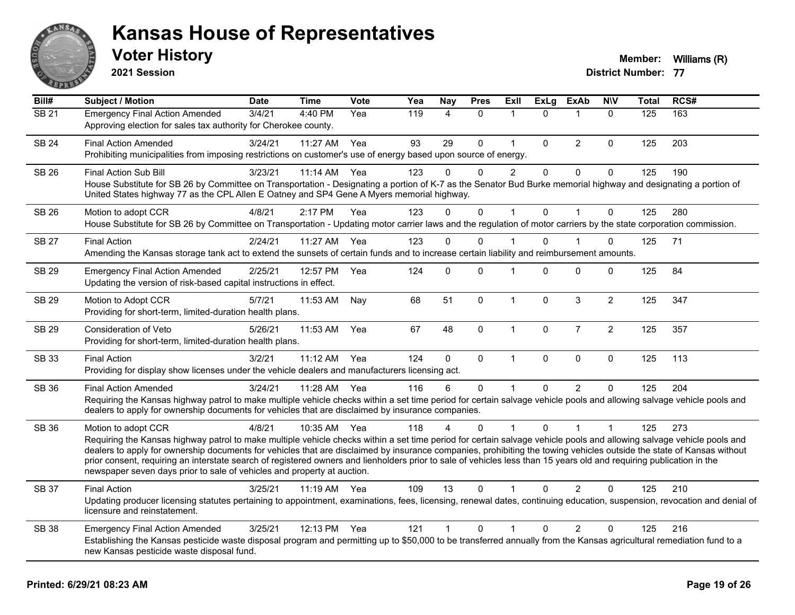

**2021 Session**

| Bill#        | <b>Subject / Motion</b>                                                                                                                                                                                                                                                                                                                                                                                                                                                                                                                                                                                                  | <b>Date</b> | <b>Time</b> | <b>Vote</b> | Yea | <b>Nay</b>   | <b>Pres</b> | ExIl                 | <b>ExLg</b>  | <b>ExAb</b>    | <b>NIV</b>     | <b>Total</b> | RCS# |
|--------------|--------------------------------------------------------------------------------------------------------------------------------------------------------------------------------------------------------------------------------------------------------------------------------------------------------------------------------------------------------------------------------------------------------------------------------------------------------------------------------------------------------------------------------------------------------------------------------------------------------------------------|-------------|-------------|-------------|-----|--------------|-------------|----------------------|--------------|----------------|----------------|--------------|------|
| <b>SB 21</b> | <b>Emergency Final Action Amended</b><br>Approving election for sales tax authority for Cherokee county.                                                                                                                                                                                                                                                                                                                                                                                                                                                                                                                 | 3/4/21      | 4:40 PM     | Yea         | 119 | 4            | $\Omega$    | $\mathbf{1}$         | $\mathbf{0}$ | $\mathbf 1$    | $\Omega$       | 125          | 163  |
| <b>SB 24</b> | <b>Final Action Amended</b><br>Prohibiting municipalities from imposing restrictions on customer's use of energy based upon source of energy.                                                                                                                                                                                                                                                                                                                                                                                                                                                                            | 3/24/21     | 11:27 AM    | Yea         | 93  | 29           | $\Omega$    | $\mathbf{1}$         | $\Omega$     | 2              | 0              | 125          | 203  |
| <b>SB 26</b> | <b>Final Action Sub Bill</b><br>House Substitute for SB 26 by Committee on Transportation - Designating a portion of K-7 as the Senator Bud Burke memorial highway and designating a portion of<br>United States highway 77 as the CPL Allen E Oatney and SP4 Gene A Myers memorial highway.                                                                                                                                                                                                                                                                                                                             | 3/23/21     | 11:14 AM    | Yea         | 123 | 0            | $\Omega$    | $\overline{c}$       | $\mathbf 0$  | $\mathbf 0$    | 0              | 125          | 190  |
| SB 26        | Motion to adopt CCR<br>House Substitute for SB 26 by Committee on Transportation - Updating motor carrier laws and the regulation of motor carriers by the state corporation commission.                                                                                                                                                                                                                                                                                                                                                                                                                                 | 4/8/21      | 2:17 PM     | Yea         | 123 | $\Omega$     | 0           | 1                    | 0            | -1             | 0              | 125          | 280  |
| <b>SB 27</b> | <b>Final Action</b><br>Amending the Kansas storage tank act to extend the sunsets of certain funds and to increase certain liability and reimbursement amounts.                                                                                                                                                                                                                                                                                                                                                                                                                                                          | 2/24/21     | 11:27 AM    | Yea         | 123 | $\Omega$     | 0           |                      | $\Omega$     |                | 0              | 125          | 71   |
| <b>SB 29</b> | <b>Emergency Final Action Amended</b><br>Updating the version of risk-based capital instructions in effect.                                                                                                                                                                                                                                                                                                                                                                                                                                                                                                              | 2/25/21     | 12:57 PM    | Yea         | 124 | 0            | 0           | 1                    | $\Omega$     | 0              | 0              | 125          | 84   |
| <b>SB 29</b> | Motion to Adopt CCR<br>Providing for short-term, limited-duration health plans.                                                                                                                                                                                                                                                                                                                                                                                                                                                                                                                                          | 5/7/21      | 11:53 AM    | Nay         | 68  | 51           | $\Omega$    | $\mathbf{1}$         | $\Omega$     | 3              | $\overline{2}$ | 125          | 347  |
| <b>SB 29</b> | Consideration of Veto<br>Providing for short-term, limited-duration health plans.                                                                                                                                                                                                                                                                                                                                                                                                                                                                                                                                        | 5/26/21     | 11:53 AM    | Yea         | 67  | 48           | 0           | $\mathbf{1}$         | 0            | $\overline{7}$ | $\overline{c}$ | 125          | 357  |
| <b>SB 33</b> | <b>Final Action</b><br>Providing for display show licenses under the vehicle dealers and manufacturers licensing act.                                                                                                                                                                                                                                                                                                                                                                                                                                                                                                    | 3/2/21      | 11:12 AM    | Yea         | 124 | $\mathbf 0$  | 0           | $\mathbf{1}$         | $\mathbf{0}$ | $\mathbf 0$    | 0              | 125          | 113  |
| <b>SB 36</b> | <b>Final Action Amended</b><br>Requiring the Kansas highway patrol to make multiple vehicle checks within a set time period for certain salvage vehicle pools and allowing salvage vehicle pools and<br>dealers to apply for ownership documents for vehicles that are disclaimed by insurance companies.                                                                                                                                                                                                                                                                                                                | 3/24/21     | 11:28 AM    | Yea         | 116 | 6            | $\Omega$    | $\blacktriangleleft$ | $\Omega$     | $\overline{2}$ | 0              | 125          | 204  |
| <b>SB 36</b> | Motion to adopt CCR<br>Requiring the Kansas highway patrol to make multiple vehicle checks within a set time period for certain salvage vehicle pools and allowing salvage vehicle pools and<br>dealers to apply for ownership documents for vehicles that are disclaimed by insurance companies, prohibiting the towing vehicles outside the state of Kansas without<br>prior consent, requiring an interstate search of registered owners and lienholders prior to sale of vehicles less than 15 years old and requiring publication in the<br>newspaper seven days prior to sale of vehicles and property at auction. | 4/8/21      | 10:35 AM    | Yea         | 118 | 4            | $\Omega$    | $\mathbf{1}$         | $\Omega$     | 1              | $\mathbf 1$    | 125          | 273  |
| <b>SB 37</b> | <b>Final Action</b><br>Updating producer licensing statutes pertaining to appointment, examinations, fees, licensing, renewal dates, continuing education, suspension, revocation and denial of<br>licensure and reinstatement.                                                                                                                                                                                                                                                                                                                                                                                          | 3/25/21     | 11:19 AM    | Yea         | 109 | 13           | 0           | 1                    | $\Omega$     | 2              | 0              | 125          | 210  |
| <b>SB 38</b> | <b>Emergency Final Action Amended</b><br>Establishing the Kansas pesticide waste disposal program and permitting up to \$50,000 to be transferred annually from the Kansas agricultural remediation fund to a<br>new Kansas pesticide waste disposal fund.                                                                                                                                                                                                                                                                                                                                                               | 3/25/21     | 12:13 PM    | Yea         | 121 | $\mathbf{1}$ | $\mathbf 0$ | $\mathbf{1}$         | $\Omega$     | $\overline{2}$ | 0              | 125          | 216  |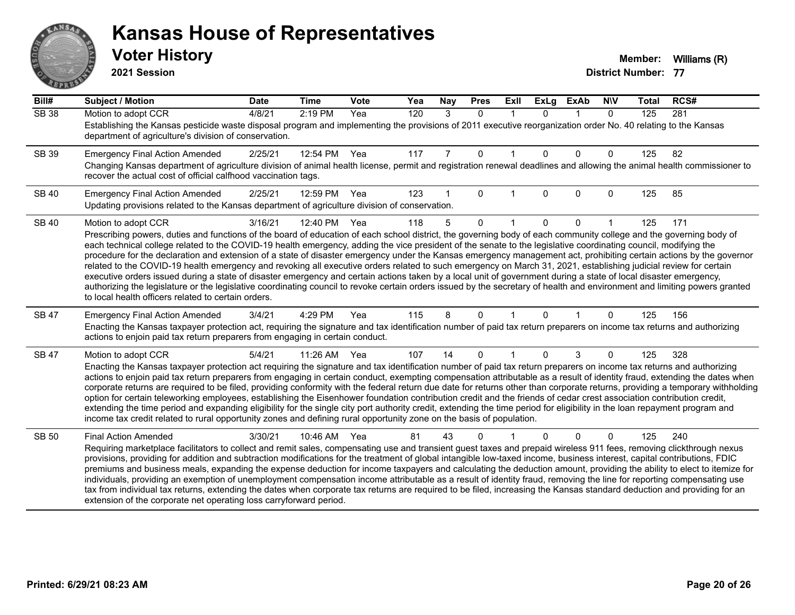# ANS **PARTIE**

#### **Kansas House of Representatives**

**2021 Session**

| Bill#        | <b>Subject / Motion</b>                                                                                                                                                                                                                                                                                                                                    | <b>Date</b> | <b>Time</b> | Vote | Yea | Nay | <b>Pres</b> | ExII        | <b>ExLg</b> | <b>ExAb</b> | <b>NIV</b>   | <b>Total</b> | RCS# |
|--------------|------------------------------------------------------------------------------------------------------------------------------------------------------------------------------------------------------------------------------------------------------------------------------------------------------------------------------------------------------------|-------------|-------------|------|-----|-----|-------------|-------------|-------------|-------------|--------------|--------------|------|
| <b>SB 38</b> | Motion to adopt CCR                                                                                                                                                                                                                                                                                                                                        | 4/8/21      | 2:19 PM     | Yea  | 120 | 3   | $\Omega$    | $\mathbf 1$ | $\Omega$    | $\mathbf 1$ | $\mathbf{0}$ | 125          | 281  |
|              | Establishing the Kansas pesticide waste disposal program and implementing the provisions of 2011 executive reorganization order No. 40 relating to the Kansas<br>department of agriculture's division of conservation.                                                                                                                                     |             |             |      |     |     |             |             |             |             |              |              |      |
| SB 39        | <b>Emergency Final Action Amended</b>                                                                                                                                                                                                                                                                                                                      | 2/25/21     | 12:54 PM    | Yea  | 117 | 7   | 0           |             | $\Omega$    | $\Omega$    | 0            | 125          | 82   |
|              | Changing Kansas department of agriculture division of animal health license, permit and registration renewal deadlines and allowing the animal health commissioner to<br>recover the actual cost of official calfhood vaccination tags.                                                                                                                    |             |             |      |     |     |             |             |             |             |              |              |      |
| <b>SB 40</b> | <b>Emergency Final Action Amended</b>                                                                                                                                                                                                                                                                                                                      | 2/25/21     | 12:59 PM    | Yea  | 123 |     | $\Omega$    |             | $\Omega$    | $\Omega$    | 0            | 125          | 85   |
|              | Updating provisions related to the Kansas department of agriculture division of conservation.                                                                                                                                                                                                                                                              |             |             |      |     |     |             |             |             |             |              |              |      |
| <b>SB 40</b> | Motion to adopt CCR                                                                                                                                                                                                                                                                                                                                        | 3/16/21     | 12:40 PM    | Yea  | 118 | 5   | $\Omega$    |             | $\Omega$    | $\Omega$    |              | 125          | 171  |
|              | Prescribing powers, duties and functions of the board of education of each school district, the governing body of each community college and the governing body of                                                                                                                                                                                         |             |             |      |     |     |             |             |             |             |              |              |      |
|              | each technical college related to the COVID-19 health emergency, adding the vice president of the senate to the legislative coordinating council, modifying the<br>procedure for the declaration and extension of a state of disaster emergency under the Kansas emergency management act, prohibiting certain actions by the governor                     |             |             |      |     |     |             |             |             |             |              |              |      |
|              | related to the COVID-19 health emergency and revoking all executive orders related to such emergency on March 31, 2021, establishing judicial review for certain                                                                                                                                                                                           |             |             |      |     |     |             |             |             |             |              |              |      |
|              | executive orders issued during a state of disaster emergency and certain actions taken by a local unit of government during a state of local disaster emergency,<br>authorizing the legislature or the legislative coordinating council to revoke certain orders issued by the secretary of health and environment and limiting powers granted             |             |             |      |     |     |             |             |             |             |              |              |      |
|              | to local health officers related to certain orders.                                                                                                                                                                                                                                                                                                        |             |             |      |     |     |             |             |             |             |              |              |      |
| <b>SB 47</b> | <b>Emergency Final Action Amended</b>                                                                                                                                                                                                                                                                                                                      | 3/4/21      | 4:29 PM     | Yea  | 115 | 8   | $\Omega$    |             | $\Omega$    |             | 0            | 125          | 156  |
|              | Enacting the Kansas taxpayer protection act, requiring the signature and tax identification number of paid tax return preparers on income tax returns and authorizing<br>actions to enjoin paid tax return preparers from engaging in certain conduct.                                                                                                     |             |             |      |     |     |             |             |             |             |              |              |      |
| SB 47        | Motion to adopt CCR                                                                                                                                                                                                                                                                                                                                        | 5/4/21      | 11:26 AM    | Yea  | 107 | 14  | 0           |             | $\Omega$    | 3           | 0            | 125          | 328  |
|              | Enacting the Kansas taxpayer protection act requiring the signature and tax identification number of paid tax return preparers on income tax returns and authorizing                                                                                                                                                                                       |             |             |      |     |     |             |             |             |             |              |              |      |
|              | actions to enjoin paid tax return preparers from engaging in certain conduct, exempting compensation attributable as a result of identity fraud, extending the dates when<br>corporate returns are required to be filed, providing conformity with the federal return due date for returns other than corporate returns, providing a temporary withholding |             |             |      |     |     |             |             |             |             |              |              |      |
|              | option for certain teleworking employees, establishing the Eisenhower foundation contribution credit and the friends of cedar crest association contribution credit,                                                                                                                                                                                       |             |             |      |     |     |             |             |             |             |              |              |      |
|              | extending the time period and expanding eligibility for the single city port authority credit, extending the time period for eligibility in the loan repayment program and<br>income tax credit related to rural opportunity zones and defining rural opportunity zone on the basis of population.                                                         |             |             |      |     |     |             |             |             |             |              |              |      |
|              |                                                                                                                                                                                                                                                                                                                                                            |             |             |      |     |     |             |             |             |             |              |              |      |
| <b>SB 50</b> | <b>Final Action Amended</b><br>Requiring marketplace facilitators to collect and remit sales, compensating use and transient guest taxes and prepaid wireless 911 fees, removing clickthrough nexus                                                                                                                                                        | 3/30/21     | 10:46 AM    | Yea  | 81  | 43  | 0           |             |             | $\Omega$    | 0            | 125          | 240  |
|              | provisions, providing for addition and subtraction modifications for the treatment of global intangible low-taxed income, business interest, capital contributions, FDIC                                                                                                                                                                                   |             |             |      |     |     |             |             |             |             |              |              |      |
|              | premiums and business meals, expanding the expense deduction for income taxpayers and calculating the deduction amount, providing the ability to elect to itemize for                                                                                                                                                                                      |             |             |      |     |     |             |             |             |             |              |              |      |
|              | individuals, providing an exemption of unemployment compensation income attributable as a result of identity fraud, removing the line for reporting compensating use<br>tax from individual tax returns, extending the dates when corporate tax returns are required to be filed, increasing the Kansas standard deduction and providing for an            |             |             |      |     |     |             |             |             |             |              |              |      |
|              | extension of the corporate net operating loss carryforward period.                                                                                                                                                                                                                                                                                         |             |             |      |     |     |             |             |             |             |              |              |      |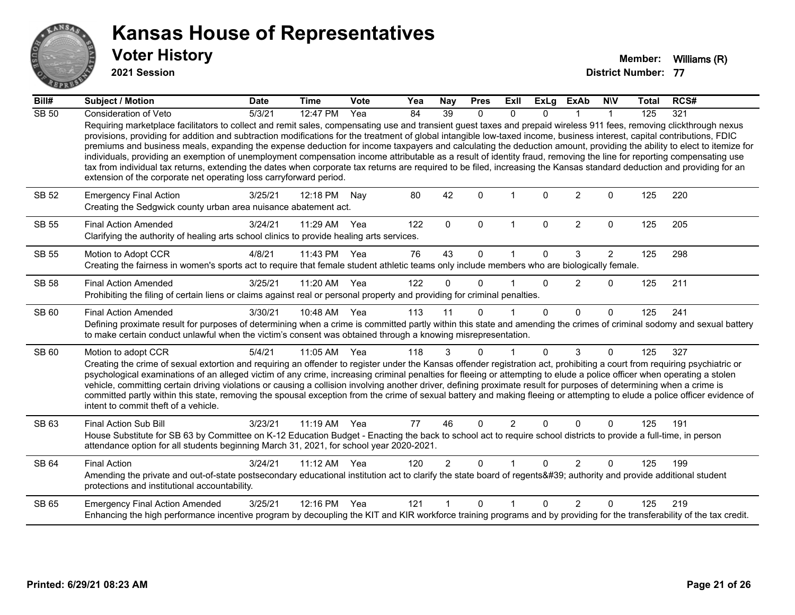

**2021 Session**

| Bill#        | <b>Subject / Motion</b>                                                                                                                                                                                                                                                                                                                                                                                                                                                                                                                                                                                                                                                                                                                                                                                                                                                                                                                            | <b>Date</b> | <b>Time</b>  | Vote | Yea | <b>Nay</b>     | <b>Pres</b>  | Exll           | <b>ExLg</b>  | <b>ExAb</b>    | <b>NIV</b>     | <b>Total</b> | RCS# |
|--------------|----------------------------------------------------------------------------------------------------------------------------------------------------------------------------------------------------------------------------------------------------------------------------------------------------------------------------------------------------------------------------------------------------------------------------------------------------------------------------------------------------------------------------------------------------------------------------------------------------------------------------------------------------------------------------------------------------------------------------------------------------------------------------------------------------------------------------------------------------------------------------------------------------------------------------------------------------|-------------|--------------|------|-----|----------------|--------------|----------------|--------------|----------------|----------------|--------------|------|
| <b>SB 50</b> | Consideration of Veto                                                                                                                                                                                                                                                                                                                                                                                                                                                                                                                                                                                                                                                                                                                                                                                                                                                                                                                              | 5/3/21      | 12:47 PM     | Yea  | 84  | 39             | $\mathbf{0}$ | $\Omega$       | <sup>n</sup> |                |                | 125          | 321  |
|              | Requiring marketplace facilitators to collect and remit sales, compensating use and transient guest taxes and prepaid wireless 911 fees, removing clickthrough nexus<br>provisions, providing for addition and subtraction modifications for the treatment of global intangible low-taxed income, business interest, capital contributions, FDIC<br>premiums and business meals, expanding the expense deduction for income taxpayers and calculating the deduction amount, providing the ability to elect to itemize for<br>individuals, providing an exemption of unemployment compensation income attributable as a result of identity fraud, removing the line for reporting compensating use<br>tax from individual tax returns, extending the dates when corporate tax returns are required to be filed, increasing the Kansas standard deduction and providing for an<br>extension of the corporate net operating loss carryforward period. |             |              |      |     |                |              |                |              |                |                |              |      |
| SB 52        | <b>Emergency Final Action</b><br>Creating the Sedgwick county urban area nuisance abatement act.                                                                                                                                                                                                                                                                                                                                                                                                                                                                                                                                                                                                                                                                                                                                                                                                                                                   | 3/25/21     | 12:18 PM     | Nay  | 80  | 42             | $\Omega$     |                | 0            | $\overline{2}$ | $\Omega$       | 125          | 220  |
| <b>SB 55</b> | <b>Final Action Amended</b><br>Clarifying the authority of healing arts school clinics to provide healing arts services.                                                                                                                                                                                                                                                                                                                                                                                                                                                                                                                                                                                                                                                                                                                                                                                                                           | 3/24/21     | $11:29$ AM   | Yea  | 122 | $\mathbf{0}$   | $\mathbf{0}$ | $\mathbf 1$    | $\Omega$     | $\overline{2}$ | $\Omega$       | 125          | 205  |
| <b>SB 55</b> | Motion to Adopt CCR                                                                                                                                                                                                                                                                                                                                                                                                                                                                                                                                                                                                                                                                                                                                                                                                                                                                                                                                | 4/8/21      | 11:43 PM     | Yea  | 76  | 43             | $\Omega$     |                | 0            | 3              | $\overline{2}$ | 125          | 298  |
|              | Creating the fairness in women's sports act to require that female student athletic teams only include members who are biologically female.                                                                                                                                                                                                                                                                                                                                                                                                                                                                                                                                                                                                                                                                                                                                                                                                        |             |              |      |     |                |              |                |              |                |                |              |      |
| <b>SB 58</b> | <b>Final Action Amended</b><br>Prohibiting the filing of certain liens or claims against real or personal property and providing for criminal penalties.                                                                                                                                                                                                                                                                                                                                                                                                                                                                                                                                                                                                                                                                                                                                                                                           | 3/25/21     | 11:20 AM Yea |      | 122 | $\Omega$       | $\Omega$     |                | $\Omega$     | $\overline{2}$ | $\mathbf{0}$   | 125          | 211  |
| SB 60        | <b>Final Action Amended</b>                                                                                                                                                                                                                                                                                                                                                                                                                                                                                                                                                                                                                                                                                                                                                                                                                                                                                                                        | 3/30/21     | 10:48 AM Yea |      | 113 | 11             | $\Omega$     |                | $\Omega$     | $\Omega$       | $\Omega$       | 125          | 241  |
|              | Defining proximate result for purposes of determining when a crime is committed partly within this state and amending the crimes of criminal sodomy and sexual battery<br>to make certain conduct unlawful when the victim's consent was obtained through a knowing misrepresentation.                                                                                                                                                                                                                                                                                                                                                                                                                                                                                                                                                                                                                                                             |             |              |      |     |                |              |                |              |                |                |              |      |
| SB 60        | Motion to adopt CCR                                                                                                                                                                                                                                                                                                                                                                                                                                                                                                                                                                                                                                                                                                                                                                                                                                                                                                                                | 5/4/21      | 11:05 AM Yea |      | 118 | 3              | $\Omega$     | 1              | $\Omega$     | 3              | $\Omega$       | 125          | 327  |
|              | Creating the crime of sexual extortion and requiring an offender to register under the Kansas offender registration act, prohibiting a court from requiring psychiatric or<br>psychological examinations of an alleged victim of any crime, increasing criminal penalties for fleeing or attempting to elude a police officer when operating a stolen<br>vehicle, committing certain driving violations or causing a collision involving another driver, defining proximate result for purposes of determining when a crime is<br>committed partly within this state, removing the spousal exception from the crime of sexual battery and making fleeing or attempting to elude a police officer evidence of<br>intent to commit theft of a vehicle.                                                                                                                                                                                               |             |              |      |     |                |              |                |              |                |                |              |      |
| SB 63        | <b>Final Action Sub Bill</b>                                                                                                                                                                                                                                                                                                                                                                                                                                                                                                                                                                                                                                                                                                                                                                                                                                                                                                                       | 3/23/21     | 11:19 AM Yea |      | 77  | 46             | $\Omega$     | $\overline{2}$ | <sup>0</sup> | $\Omega$       | $\Omega$       | 125          | 191  |
|              | House Substitute for SB 63 by Committee on K-12 Education Budget - Enacting the back to school act to require school districts to provide a full-time, in person<br>attendance option for all students beginning March 31, 2021, for school year 2020-2021.                                                                                                                                                                                                                                                                                                                                                                                                                                                                                                                                                                                                                                                                                        |             |              |      |     |                |              |                |              |                |                |              |      |
| SB 64        | <b>Final Action</b>                                                                                                                                                                                                                                                                                                                                                                                                                                                                                                                                                                                                                                                                                                                                                                                                                                                                                                                                | 3/24/21     | 11:12 AM     | Yea  | 120 | $\overline{2}$ | $\Omega$     |                | $\Omega$     | 2              | $\Omega$       | 125          | 199  |
|              | Amending the private and out-of-state postsecondary educational institution act to clarify the state board of regents' authority and provide additional student<br>protections and institutional accountability.                                                                                                                                                                                                                                                                                                                                                                                                                                                                                                                                                                                                                                                                                                                                   |             |              |      |     |                |              |                |              |                |                |              |      |
| <b>SB 65</b> | <b>Emergency Final Action Amended</b>                                                                                                                                                                                                                                                                                                                                                                                                                                                                                                                                                                                                                                                                                                                                                                                                                                                                                                              | 3/25/21     | 12:16 PM     | Yea  | 121 |                | $\Omega$     |                | <sup>n</sup> | $\mathcal{P}$  | $\Omega$       | 125          | 219  |
|              | Enhancing the high performance incentive program by decoupling the KIT and KIR workforce training programs and by providing for the transferability of the tax credit.                                                                                                                                                                                                                                                                                                                                                                                                                                                                                                                                                                                                                                                                                                                                                                             |             |              |      |     |                |              |                |              |                |                |              |      |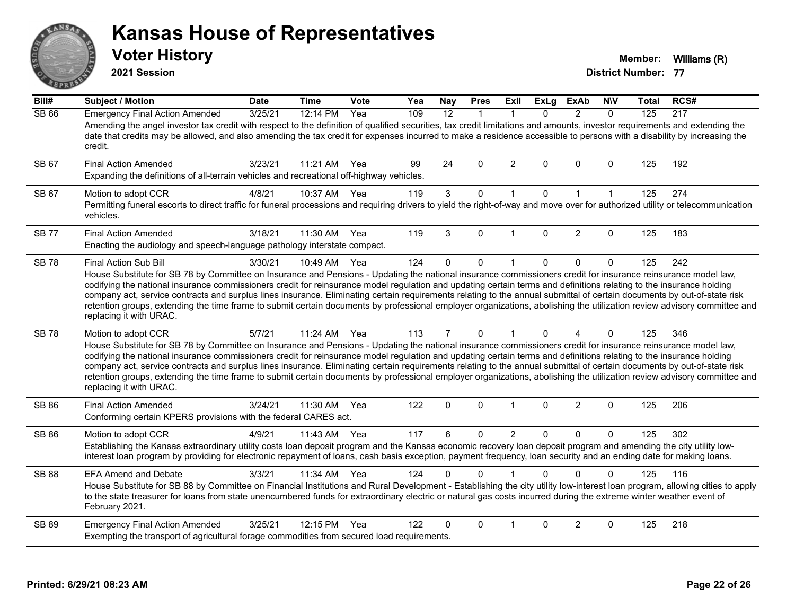# ANS **PARTIE**

#### **Kansas House of Representatives**

**2021 Session**

**Voter History Member:** Williams (R)

| Bill#        | Subject / Motion                                                                                                                                                                                                                                                                                                                                                                                                                                                                                                                                                                                                                                                                                                                                      | <b>Date</b> | <b>Time</b>  | Vote | Yea | <b>Nay</b>     | <b>Pres</b>  | <b>Exll</b>    | <b>ExLg</b>  | <b>ExAb</b>    | <b>NIV</b>   | <b>Total</b> | RCS# |
|--------------|-------------------------------------------------------------------------------------------------------------------------------------------------------------------------------------------------------------------------------------------------------------------------------------------------------------------------------------------------------------------------------------------------------------------------------------------------------------------------------------------------------------------------------------------------------------------------------------------------------------------------------------------------------------------------------------------------------------------------------------------------------|-------------|--------------|------|-----|----------------|--------------|----------------|--------------|----------------|--------------|--------------|------|
| <b>SB 66</b> | <b>Emergency Final Action Amended</b><br>Amending the angel investor tax credit with respect to the definition of qualified securities, tax credit limitations and amounts, investor requirements and extending the<br>date that credits may be allowed, and also amending the tax credit for expenses incurred to make a residence accessible to persons with a disability by increasing the<br>credit.                                                                                                                                                                                                                                                                                                                                              | 3/25/21     | 12:14 PM     | Yea  | 109 | 12             | $\mathbf{1}$ | -1             | 0            | $\overline{2}$ | $\mathbf{0}$ | 125          | 217  |
| SB 67        | <b>Final Action Amended</b><br>Expanding the definitions of all-terrain vehicles and recreational off-highway vehicles.                                                                                                                                                                                                                                                                                                                                                                                                                                                                                                                                                                                                                               | 3/23/21     | 11:21 AM     | Yea  | 99  | 24             | 0            | $\overline{2}$ | $\Omega$     | $\Omega$       | $\mathbf 0$  | 125          | 192  |
| SB 67        | Motion to adopt CCR<br>Permitting funeral escorts to direct traffic for funeral processions and requiring drivers to yield the right-of-way and move over for authorized utility or telecommunication<br>vehicles.                                                                                                                                                                                                                                                                                                                                                                                                                                                                                                                                    | 4/8/21      | 10:37 AM     | Yea  | 119 | 3              | 0            | $\mathbf 1$    | 0            | 1              | $\mathbf{1}$ | 125          | 274  |
| <b>SB 77</b> | <b>Final Action Amended</b><br>Enacting the audiology and speech-language pathology interstate compact.                                                                                                                                                                                                                                                                                                                                                                                                                                                                                                                                                                                                                                               | 3/18/21     | 11:30 AM     | Yea  | 119 | 3              | $\Omega$     | $\mathbf{1}$   | $\Omega$     | 2              | $\Omega$     | 125          | 183  |
| <b>SB78</b>  | <b>Final Action Sub Bill</b><br>House Substitute for SB 78 by Committee on Insurance and Pensions - Updating the national insurance commissioners credit for insurance reinsurance model law,<br>codifying the national insurance commissioners credit for reinsurance model regulation and updating certain terms and definitions relating to the insurance holding<br>company act, service contracts and surplus lines insurance. Eliminating certain requirements relating to the annual submittal of certain documents by out-of-state risk<br>retention groups, extending the time frame to submit certain documents by professional employer organizations, abolishing the utilization review advisory committee and<br>replacing it with URAC. | 3/30/21     | 10:49 AM     | Yea  | 124 | $\Omega$       | $\Omega$     | $\overline{1}$ | $\mathbf{0}$ | $\Omega$       | $\Omega$     | 125          | 242  |
| <b>SB78</b>  | Motion to adopt CCR<br>House Substitute for SB 78 by Committee on Insurance and Pensions - Updating the national insurance commissioners credit for insurance reinsurance model law,<br>codifying the national insurance commissioners credit for reinsurance model regulation and updating certain terms and definitions relating to the insurance holding<br>company act, service contracts and surplus lines insurance. Eliminating certain requirements relating to the annual submittal of certain documents by out-of-state risk<br>retention groups, extending the time frame to submit certain documents by professional employer organizations, abolishing the utilization review advisory committee and<br>replacing it with URAC.          | 5/7/21      | 11:24 AM     | Yea  | 113 | $\overline{7}$ | 0            | 1              | $\Omega$     | 4              | 0            | 125          | 346  |
| SB 86        | <b>Final Action Amended</b><br>Conforming certain KPERS provisions with the federal CARES act.                                                                                                                                                                                                                                                                                                                                                                                                                                                                                                                                                                                                                                                        | 3/24/21     | 11:30 AM     | Yea  | 122 | 0              | 0            | $\mathbf{1}$   | $\mathbf 0$  | $\overline{2}$ | 0            | 125          | 206  |
| <b>SB 86</b> | Motion to adopt CCR<br>Establishing the Kansas extraordinary utility costs loan deposit program and the Kansas economic recovery loan deposit program and amending the city utility low-<br>interest loan program by providing for electronic repayment of loans, cash basis exception, payment frequency, loan security and an ending date for making loans.                                                                                                                                                                                                                                                                                                                                                                                         | 4/9/21      | 11:43 AM Yea |      | 117 | 6              | 0            | $\overline{2}$ | $\mathbf{0}$ | $\Omega$       | 0            | 125          | 302  |
| <b>SB 88</b> | <b>EFA Amend and Debate</b><br>House Substitute for SB 88 by Committee on Financial Institutions and Rural Development - Establishing the city utility low-interest loan program, allowing cities to apply<br>to the state treasurer for loans from state unencumbered funds for extraordinary electric or natural gas costs incurred during the extreme winter weather event of<br>February 2021.                                                                                                                                                                                                                                                                                                                                                    | 3/3/21      | 11:34 AM     | Yea  | 124 | 0              | $\Omega$     |                | 0            | $\Omega$       | $\Omega$     | 125          | 116  |
| <b>SB 89</b> | <b>Emergency Final Action Amended</b><br>Exempting the transport of agricultural forage commodities from secured load requirements.                                                                                                                                                                                                                                                                                                                                                                                                                                                                                                                                                                                                                   | 3/25/21     | 12:15 PM     | Yea  | 122 | 0              | 0            | $\mathbf 1$    | $\Omega$     | 2              | 0            | 125          | 218  |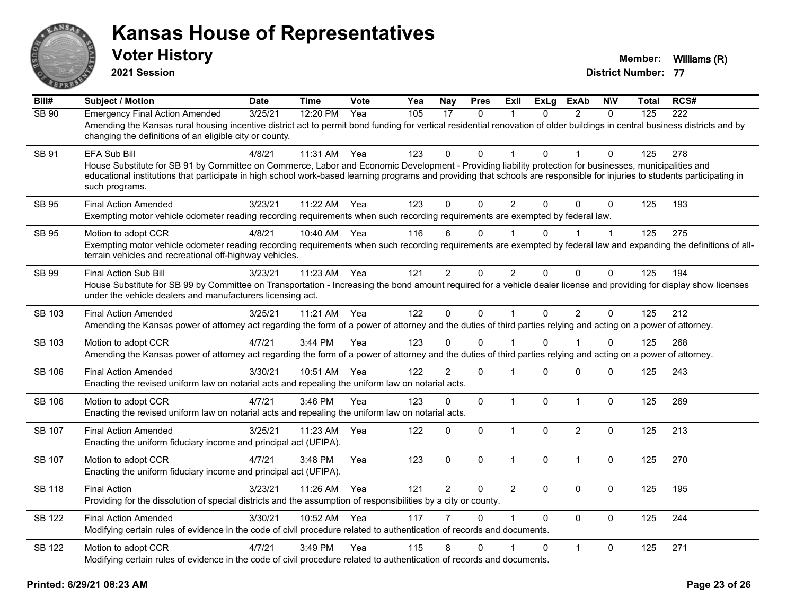

**2021 Session**

| Bill#         | <b>Subject / Motion</b>                                                                                                                                                                                                                                                                                                                                                 | <b>Date</b> | <b>Time</b> | <b>Vote</b> | Yea | <b>Nay</b>     | <b>Pres</b> | Exll           | <b>ExLg</b>  | <b>ExAb</b>    | <b>NIV</b>  | <b>Total</b> | RCS# |
|---------------|-------------------------------------------------------------------------------------------------------------------------------------------------------------------------------------------------------------------------------------------------------------------------------------------------------------------------------------------------------------------------|-------------|-------------|-------------|-----|----------------|-------------|----------------|--------------|----------------|-------------|--------------|------|
| <b>SB 90</b>  | <b>Emergency Final Action Amended</b><br>Amending the Kansas rural housing incentive district act to permit bond funding for vertical residential renovation of older buildings in central business districts and by<br>changing the definitions of an eligible city or county.                                                                                         | 3/25/21     | 12:20 PM    | Yea         | 105 | 17             | $\Omega$    | -1             | $\Omega$     | $\mathcal{P}$  | $\Omega$    | 125          | 222  |
| SB 91         | EFA Sub Bill<br>House Substitute for SB 91 by Committee on Commerce, Labor and Economic Development - Providing liability protection for businesses, municipalities and<br>educational institutions that participate in high school work-based learning programs and providing that schools are responsible for injuries to students participating in<br>such programs. | 4/8/21      | 11:31 AM    | Yea         | 123 | $\Omega$       | $\Omega$    |                | $\Omega$     |                | $\Omega$    | 125          | 278  |
| <b>SB 95</b>  | <b>Final Action Amended</b><br>Exempting motor vehicle odometer reading recording requirements when such recording requirements are exempted by federal law.                                                                                                                                                                                                            | 3/23/21     | 11:22 AM    | Yea         | 123 | $\Omega$       | $\Omega$    | $\overline{2}$ | $\Omega$     | $\Omega$       | $\Omega$    | 125          | 193  |
| <b>SB 95</b>  | Motion to adopt CCR<br>Exempting motor vehicle odometer reading recording requirements when such recording requirements are exempted by federal law and expanding the definitions of all-<br>terrain vehicles and recreational off-highway vehicles.                                                                                                                    | 4/8/21      | 10:40 AM    | Yea         | 116 | 6              | $\Omega$    |                | U            |                | $\mathbf 1$ | 125          | 275  |
| SB 99         | Final Action Sub Bill<br>House Substitute for SB 99 by Committee on Transportation - Increasing the bond amount required for a vehicle dealer license and providing for display show licenses<br>under the vehicle dealers and manufacturers licensing act.                                                                                                             | 3/23/21     | 11:23 AM    | Yea         | 121 | $\overline{2}$ | $\mathbf 0$ | $\overline{2}$ | $\Omega$     | $\mathbf{0}$   | $\Omega$    | 125          | 194  |
| <b>SB 103</b> | <b>Final Action Amended</b><br>Amending the Kansas power of attorney act regarding the form of a power of attorney and the duties of third parties relying and acting on a power of attorney.                                                                                                                                                                           | 3/25/21     | 11:21 AM    | Yea         | 122 | $\Omega$       | $\mathbf 0$ | $\mathbf{1}$   | $\Omega$     | $\overline{2}$ | $\Omega$    | 125          | 212  |
| SB 103        | Motion to adopt CCR<br>Amending the Kansas power of attorney act regarding the form of a power of attorney and the duties of third parties relying and acting on a power of attorney.                                                                                                                                                                                   | 4/7/21      | 3:44 PM     | Yea         | 123 | 0              | $\Omega$    |                | $\Omega$     |                | $\Omega$    | 125          | 268  |
| <b>SB 106</b> | <b>Final Action Amended</b><br>Enacting the revised uniform law on notarial acts and repealing the uniform law on notarial acts.                                                                                                                                                                                                                                        | 3/30/21     | 10:51 AM    | Yea         | 122 | $\overline{2}$ | $\mathbf 0$ | 1              | $\Omega$     | $\mathbf 0$    | $\Omega$    | 125          | 243  |
| <b>SB 106</b> | Motion to adopt CCR<br>Enacting the revised uniform law on notarial acts and repealing the uniform law on notarial acts.                                                                                                                                                                                                                                                | 4/7/21      | 3:46 PM     | Yea         | 123 | $\Omega$       | $\mathbf 0$ | $\mathbf{1}$   | $\mathbf{0}$ | $\mathbf{1}$   | $\Omega$    | 125          | 269  |
| SB 107        | <b>Final Action Amended</b><br>Enacting the uniform fiduciary income and principal act (UFIPA).                                                                                                                                                                                                                                                                         | 3/25/21     | 11:23 AM    | Yea         | 122 | $\Omega$       | $\mathbf 0$ | $\mathbf 1$    | $\Omega$     | $\overline{2}$ | $\Omega$    | 125          | 213  |
| SB 107        | Motion to adopt CCR<br>Enacting the uniform fiduciary income and principal act (UFIPA).                                                                                                                                                                                                                                                                                 | 4/7/21      | 3:48 PM     | Yea         | 123 | $\mathbf 0$    | $\mathbf 0$ | $\overline{1}$ | $\mathbf 0$  | $\mathbf{1}$   | $\mathbf 0$ | 125          | 270  |
| <b>SB 118</b> | <b>Final Action</b><br>Providing for the dissolution of special districts and the assumption of responsibilities by a city or county.                                                                                                                                                                                                                                   | 3/23/21     | 11:26 AM    | Yea         | 121 | 2              | $\mathbf 0$ | $\overline{2}$ | $\Omega$     | $\mathbf 0$    | $\mathbf 0$ | 125          | 195  |
| <b>SB 122</b> | <b>Final Action Amended</b><br>Modifying certain rules of evidence in the code of civil procedure related to authentication of records and documents.                                                                                                                                                                                                                   | 3/30/21     | 10:52 AM    | Yea         | 117 |                | $\Omega$    |                | $\Omega$     | $\mathbf{0}$   | $\mathbf 0$ | 125          | 244  |
| SB 122        | Motion to adopt CCR<br>Modifying certain rules of evidence in the code of civil procedure related to authentication of records and documents.                                                                                                                                                                                                                           | 4/7/21      | 3:49 PM     | Yea         | 115 | 8              | $\Omega$    |                | $\Omega$     | $\mathbf{1}$   | $\Omega$    | 125          | 271  |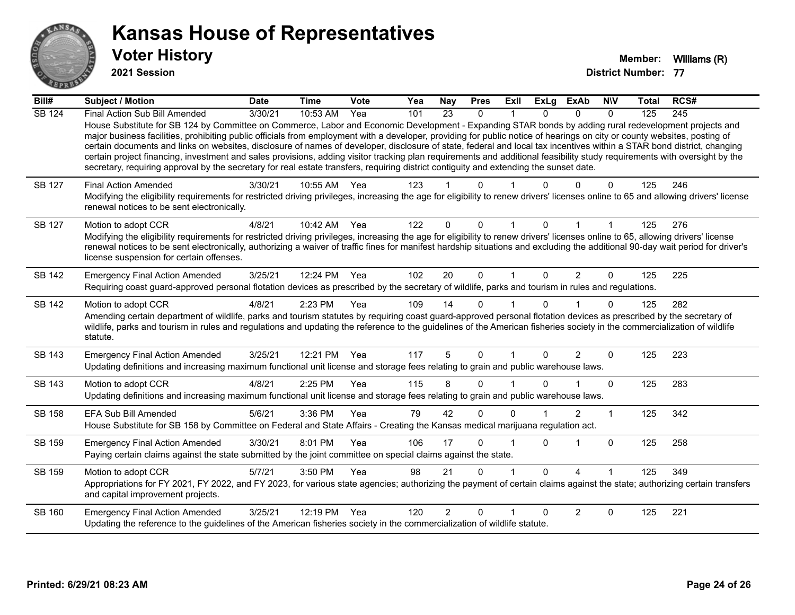

**2021 Session**

| Bill#         | <b>Subject / Motion</b>                                                                                                                                                                                                                                                                                                                                                                                                                                                                                                                                                                                                                                                                                                                                                                                                                                              | <b>Date</b> | <b>Time</b> | Vote | Yea | <b>Nay</b>     | <b>Pres</b>  | Exll     | <b>ExLg</b> | <b>ExAb</b>            | <b>NIV</b>   | Total | RCS# |
|---------------|----------------------------------------------------------------------------------------------------------------------------------------------------------------------------------------------------------------------------------------------------------------------------------------------------------------------------------------------------------------------------------------------------------------------------------------------------------------------------------------------------------------------------------------------------------------------------------------------------------------------------------------------------------------------------------------------------------------------------------------------------------------------------------------------------------------------------------------------------------------------|-------------|-------------|------|-----|----------------|--------------|----------|-------------|------------------------|--------------|-------|------|
| <b>SB 124</b> | Final Action Sub Bill Amended<br>House Substitute for SB 124 by Committee on Commerce, Labor and Economic Development - Expanding STAR bonds by adding rural redevelopment projects and<br>major business facilities, prohibiting public officials from employment with a developer, providing for public notice of hearings on city or county websites, posting of<br>certain documents and links on websites, disclosure of names of developer, disclosure of state, federal and local tax incentives within a STAR bond district, changing<br>certain project financing, investment and sales provisions, adding visitor tracking plan requirements and additional feasibility study requirements with oversight by the<br>secretary, requiring approval by the secretary for real estate transfers, requiring district contiguity and extending the sunset date. | 3/30/21     | 10:53 AM    | Yea  | 101 | 23             | $\mathbf{0}$ |          | $\Omega$    | $\Omega$               | $\mathbf{0}$ | 125   | 245  |
| SB 127        | <b>Final Action Amended</b><br>Modifying the eligibility requirements for restricted driving privileges, increasing the age for eligibility to renew drivers' licenses online to 65 and allowing drivers' license<br>renewal notices to be sent electronically.                                                                                                                                                                                                                                                                                                                                                                                                                                                                                                                                                                                                      | 3/30/21     | 10:55 AM    | Yea  | 123 |                | n            |          |             | O                      | 0            | 125   | 246  |
| <b>SB 127</b> | Motion to adopt CCR<br>Modifying the eligibility requirements for restricted driving privileges, increasing the age for eligibility to renew drivers' licenses online to 65, allowing drivers' license<br>renewal notices to be sent electronically, authorizing a waiver of traffic fines for manifest hardship situations and excluding the additional 90-day wait period for driver's<br>license suspension for certain offenses.                                                                                                                                                                                                                                                                                                                                                                                                                                 | 4/8/21      | 10:42 AM    | Yea  | 122 | $\Omega$       | $\Omega$     |          |             |                        |              | 125   | 276  |
| <b>SB 142</b> | <b>Emergency Final Action Amended</b><br>Requiring coast guard-approved personal flotation devices as prescribed by the secretary of wildlife, parks and tourism in rules and regulations.                                                                                                                                                                                                                                                                                                                                                                                                                                                                                                                                                                                                                                                                           | 3/25/21     | 12:24 PM    | Yea  | 102 | 20             | $\mathbf{0}$ |          | $\Omega$    | $\overline{2}$         | $\mathbf{0}$ | 125   | 225  |
| <b>SB 142</b> | Motion to adopt CCR<br>Amending certain department of wildlife, parks and tourism statutes by requiring coast guard-approved personal flotation devices as prescribed by the secretary of<br>wildlife, parks and tourism in rules and regulations and updating the reference to the guidelines of the American fisheries society in the commercialization of wildlife<br>statute.                                                                                                                                                                                                                                                                                                                                                                                                                                                                                    | 4/8/21      | 2:23 PM     | Yea  | 109 | 14             | $\Omega$     |          | $\Omega$    |                        | 0            | 125   | 282  |
| SB 143        | <b>Emergency Final Action Amended</b><br>Updating definitions and increasing maximum functional unit license and storage fees relating to grain and public warehouse laws.                                                                                                                                                                                                                                                                                                                                                                                                                                                                                                                                                                                                                                                                                           | 3/25/21     | 12:21 PM    | Yea  | 117 | 5              | $\Omega$     |          | $\Omega$    | $\overline{2}$         | 0            | 125   | 223  |
| SB 143        | Motion to adopt CCR<br>Updating definitions and increasing maximum functional unit license and storage fees relating to grain and public warehouse laws.                                                                                                                                                                                                                                                                                                                                                                                                                                                                                                                                                                                                                                                                                                             | 4/8/21      | $2:25$ PM   | Yea  | 115 | 8              | $\Omega$     |          | 0           |                        | $\Omega$     | 125   | 283  |
| SB 158        | EFA Sub Bill Amended<br>House Substitute for SB 158 by Committee on Federal and State Affairs - Creating the Kansas medical marijuana regulation act.                                                                                                                                                                                                                                                                                                                                                                                                                                                                                                                                                                                                                                                                                                                | 5/6/21      | 3:36 PM     | Yea  | 79  | 42             | $\Omega$     | $\Omega$ |             | 2                      | $\mathbf{1}$ | 125   | 342  |
| SB 159        | <b>Emergency Final Action Amended</b><br>Paying certain claims against the state submitted by the joint committee on special claims against the state.                                                                                                                                                                                                                                                                                                                                                                                                                                                                                                                                                                                                                                                                                                               | 3/30/21     | 8:01 PM     | Yea  | 106 | 17             | 0            |          | $\Omega$    |                        | $\Omega$     | 125   | 258  |
| SB 159        | Motion to adopt CCR<br>Appropriations for FY 2021, FY 2022, and FY 2023, for various state agencies; authorizing the payment of certain claims against the state; authorizing certain transfers<br>and capital improvement projects.                                                                                                                                                                                                                                                                                                                                                                                                                                                                                                                                                                                                                                 | 5/7/21      | 3:50 PM     | Yea  | 98  | 21             | $\Omega$     |          | $\Omega$    | $\boldsymbol{\Lambda}$ | 1            | 125   | 349  |
| SB 160        | <b>Emergency Final Action Amended</b><br>Updating the reference to the guidelines of the American fisheries society in the commercialization of wildlife statute.                                                                                                                                                                                                                                                                                                                                                                                                                                                                                                                                                                                                                                                                                                    | 3/25/21     | 12:19 PM    | Yea  | 120 | $\overline{2}$ | $\Omega$     |          |             | 2                      | $\Omega$     | 125   | 221  |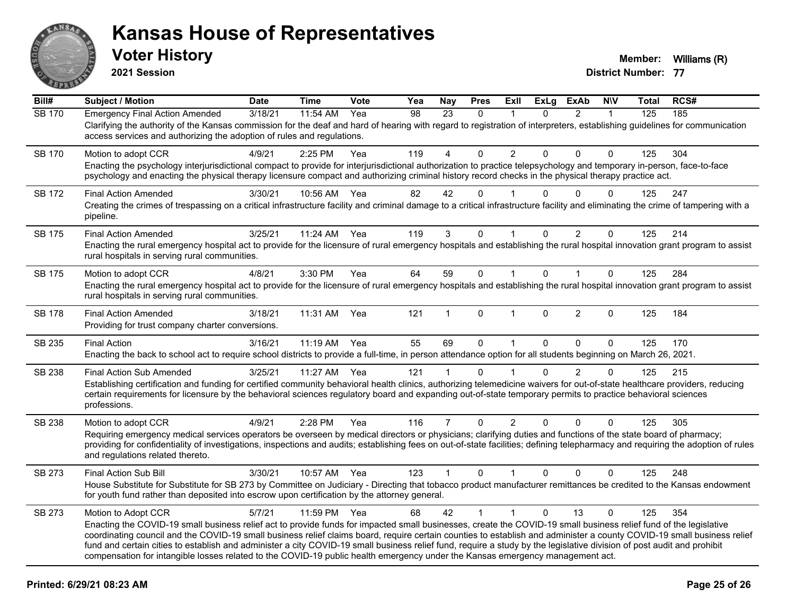

**2021 Session**

| Bill#         | <b>Subject / Motion</b>                                                                                                                                                                                                                                                                                                                                                                                                                                                                                                                                                                                                                                                       | <b>Date</b> | <b>Time</b> | Vote | Yea | <b>Nay</b>     | <b>Pres</b>  | ExIl                    | <b>ExLg</b>  | <b>ExAb</b>    | <b>N\V</b>   | Total | RCS# |
|---------------|-------------------------------------------------------------------------------------------------------------------------------------------------------------------------------------------------------------------------------------------------------------------------------------------------------------------------------------------------------------------------------------------------------------------------------------------------------------------------------------------------------------------------------------------------------------------------------------------------------------------------------------------------------------------------------|-------------|-------------|------|-----|----------------|--------------|-------------------------|--------------|----------------|--------------|-------|------|
| <b>SB 170</b> | <b>Emergency Final Action Amended</b><br>Clarifying the authority of the Kansas commission for the deaf and hard of hearing with regard to registration of interpreters, establishing guidelines for communication<br>access services and authorizing the adoption of rules and regulations.                                                                                                                                                                                                                                                                                                                                                                                  | 3/18/21     | 11:54 AM    | Yea  | 98  | 23             | $\mathbf{0}$ | $\mathbf 1$             | $\Omega$     | $\overline{2}$ | $\mathbf{1}$ | 125   | 185  |
| <b>SB 170</b> | Motion to adopt CCR<br>Enacting the psychology interjurisdictional compact to provide for interjurisdictional authorization to practice telepsychology and temporary in-person, face-to-face<br>psychology and enacting the physical therapy licensure compact and authorizing criminal history record checks in the physical therapy practice act.                                                                                                                                                                                                                                                                                                                           | 4/9/21      | 2:25 PM     | Yea  | 119 | 4              | $\Omega$     | $\overline{2}$          | $\Omega$     | $\Omega$       | $\Omega$     | 125   | 304  |
| SB 172        | <b>Final Action Amended</b><br>Creating the crimes of trespassing on a critical infrastructure facility and criminal damage to a critical infrastructure facility and eliminating the crime of tampering with a<br>pipeline.                                                                                                                                                                                                                                                                                                                                                                                                                                                  | 3/30/21     | 10:56 AM    | Yea  | 82  | 42             | $\Omega$     |                         | 0            | $\Omega$       | $\Omega$     | 125   | 247  |
| <b>SB 175</b> | <b>Final Action Amended</b><br>Enacting the rural emergency hospital act to provide for the licensure of rural emergency hospitals and establishing the rural hospital innovation grant program to assist<br>rural hospitals in serving rural communities.                                                                                                                                                                                                                                                                                                                                                                                                                    | 3/25/21     | 11:24 AM    | Yea  | 119 | 3              | $\Omega$     | 1                       | $\mathbf{0}$ | $\overline{2}$ | $\Omega$     | 125   | 214  |
| SB 175        | Motion to adopt CCR<br>Enacting the rural emergency hospital act to provide for the licensure of rural emergency hospitals and establishing the rural hospital innovation grant program to assist<br>rural hospitals in serving rural communities.                                                                                                                                                                                                                                                                                                                                                                                                                            | 4/8/21      | 3:30 PM     | Yea  | 64  | 59             | $\mathbf 0$  | $\mathbf{1}$            | $\Omega$     | $\mathbf{1}$   | $\mathbf{0}$ | 125   | 284  |
| <b>SB 178</b> | <b>Final Action Amended</b><br>Providing for trust company charter conversions.                                                                                                                                                                                                                                                                                                                                                                                                                                                                                                                                                                                               | 3/18/21     | 11:31 AM    | Yea  | 121 |                | $\Omega$     | $\overline{\mathbf{1}}$ | $\mathbf{0}$ | $\overline{2}$ | $\Omega$     | 125   | 184  |
| SB 235        | <b>Final Action</b><br>Enacting the back to school act to require school districts to provide a full-time, in person attendance option for all students beginning on March 26, 2021.                                                                                                                                                                                                                                                                                                                                                                                                                                                                                          | 3/16/21     | 11:19 AM    | Yea  | 55  | 69             | 0            | $\mathbf{1}$            | $\mathbf{0}$ | $\Omega$       | $\mathbf{0}$ | 125   | 170  |
| <b>SB 238</b> | <b>Final Action Sub Amended</b><br>Establishing certification and funding for certified community behavioral health clinics, authorizing telemedicine waivers for out-of-state healthcare providers, reducing<br>certain requirements for licensure by the behavioral sciences regulatory board and expanding out-of-state temporary permits to practice behavioral sciences<br>professions.                                                                                                                                                                                                                                                                                  | 3/25/21     | 11:27 AM    | Yea  | 121 | 1              | $\Omega$     |                         | $\Omega$     | $\overline{2}$ | $\Omega$     | 125   | 215  |
| SB 238        | Motion to adopt CCR<br>Requiring emergency medical services operators be overseen by medical directors or physicians; clarifying duties and functions of the state board of pharmacy;<br>providing for confidentiality of investigations, inspections and audits; establishing fees on out-of-state facilities; defining telepharmacy and requiring the adoption of rules<br>and regulations related thereto.                                                                                                                                                                                                                                                                 | 4/9/21      | 2:28 PM     | Yea  | 116 | $\overline{7}$ | $\mathbf 0$  | $\overline{2}$          | $\mathbf 0$  | 0              | $\mathbf 0$  | 125   | 305  |
| SB 273        | Final Action Sub Bill<br>House Substitute for Substitute for SB 273 by Committee on Judiciary - Directing that tobacco product manufacturer remittances be credited to the Kansas endowment<br>for youth fund rather than deposited into escrow upon certification by the attorney general.                                                                                                                                                                                                                                                                                                                                                                                   | 3/30/21     | 10:57 AM    | Yea  | 123 | $\mathbf{1}$   | $\mathbf{0}$ | $\mathbf{1}$            | $\mathbf{0}$ | $\Omega$       | $\mathbf{0}$ | 125   | 248  |
| SB 273        | Motion to Adopt CCR<br>Enacting the COVID-19 small business relief act to provide funds for impacted small businesses, create the COVID-19 small business relief fund of the legislative<br>coordinating council and the COVID-19 small business relief claims board, require certain counties to establish and administer a county COVID-19 small business relief<br>fund and certain cities to establish and administer a city COVID-19 small business relief fund, require a study by the legislative division of post audit and prohibit<br>compensation for intangible losses related to the COVID-19 public health emergency under the Kansas emergency management act. | 5/7/21      | 11:59 PM    | Yea  | 68  | 42             | $\mathbf{1}$ | $\mathbf{1}$            | $\Omega$     | 13             | $\Omega$     | 125   | 354  |